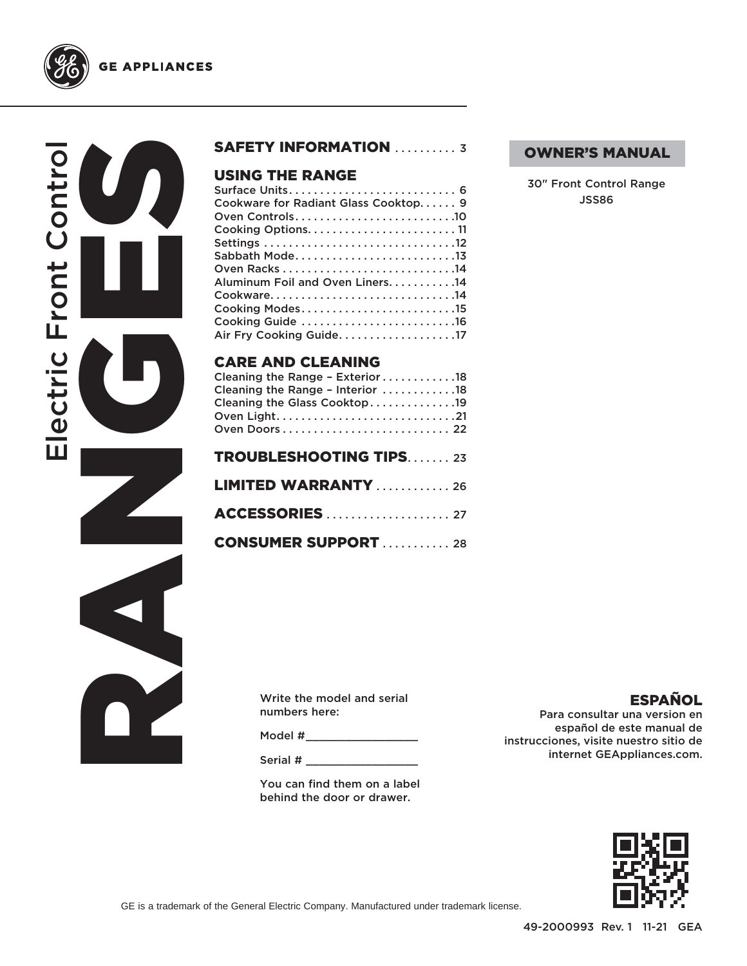

**GE APPLIANCES** 



### USING THE RANGE

| Cleaning the Range - Interior $\ldots \ldots \ldots \ldots$<br>Cleaning the Glass Cooktop19<br>Oven Light21 |
|-------------------------------------------------------------------------------------------------------------|
| <b>TROUBLESHOOTING TIPS23</b>                                                                               |
| <b>LIMITED WARRANTY</b> 26                                                                                  |
|                                                                                                             |
| <b>CONSUMER SUPPORT  28</b>                                                                                 |

### OWNER'S MANUAL

30" Front Control Range JSS86

Write the model and serial numbers here:

Model # \_\_\_\_\_\_\_\_\_\_\_\_\_\_\_\_\_

Serial # \_\_\_\_\_\_\_\_\_\_\_\_\_\_\_\_\_

You can find them on a label behind the door or drawer.

### ESPAÑOL

Para consultar una version en español de este manual de instrucciones, visite nuestro sitio de internet GEAppliances.com.



GE is a trademark of the General Electric Company. Manufactured under trademark license.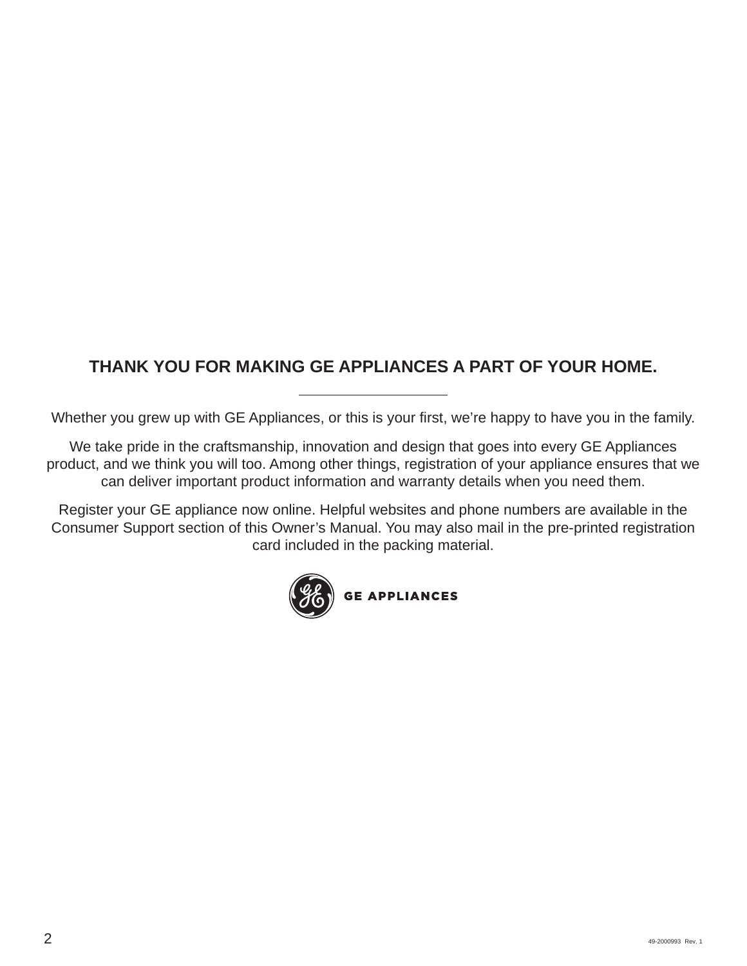### **THANK YOU FOR MAKING GE APPLIANCES A PART OF YOUR HOME.**

Whether you grew up with GE Appliances, or this is your first, we're happy to have you in the family.

We take pride in the craftsmanship, innovation and design that goes into every GE Appliances product, and we think you will too. Among other things, registration of your appliance ensures that we can deliver important product information and warranty details when you need them.

Register your GE appliance now online. Helpful websites and phone numbers are available in the Consumer Support section of this Owner's Manual. You may also mail in the pre-printed registration card included in the packing material.

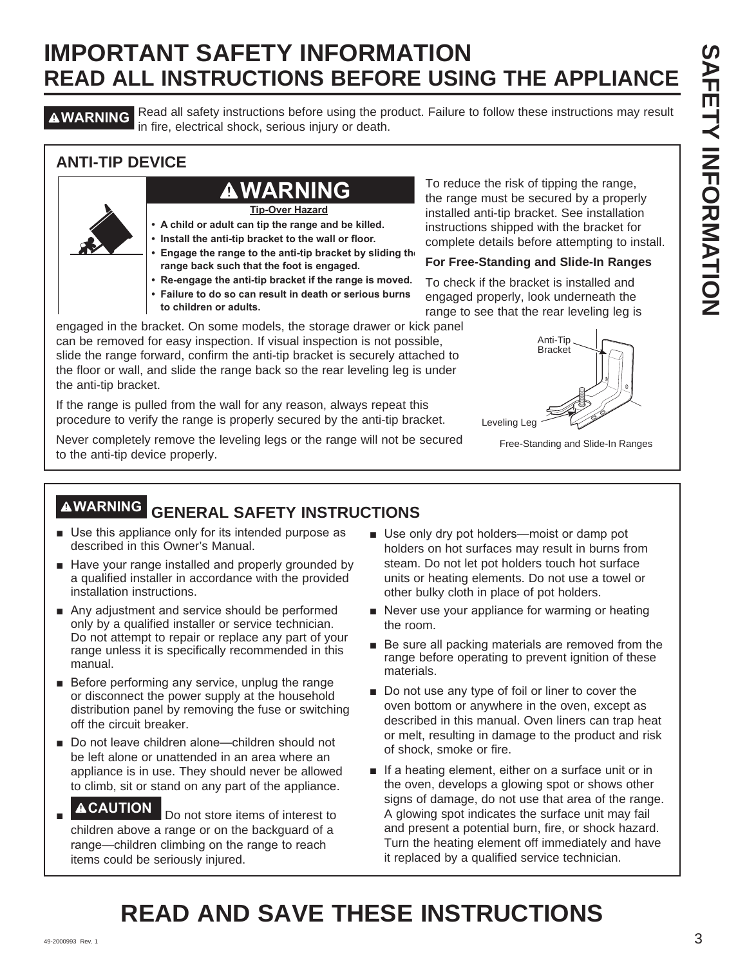# **IMPORTANT SAFETY INFORMATION READ ALL INSTRUCTIONS BEFORE USING THE APPLIANCE**

**AWARNING** Read all safety instructions before using the product. Failure to follow these instructions may result in fire, electrical shock, serious injury or death.

### **ANTI-TIP DEVICE**

### **WARNING**

**Tip-Over Hazard**

- **A child or adult can tip the range and be killed.**
- **Install the anti-tip bracket to the wall or floor.**
- **Engage the range to the anti-tip bracket by sliding the range back such that the foot is engaged.**
- **Re-engage the anti-tip bracket if the range is moved.**
- **Failure to do so can result in death or serious burns**
- **to children or adults.**

engaged in the bracket. On some models, the storage drawer or kick panel can be removed for easy inspection. If visual inspection is not possible, slide the range forward, confirm the anti-tip bracket is securely attached to the floor or wall, and slide the range back so the rear leveling leg is under the anti-tip bracket.

If the range is pulled from the wall for any reason, always repeat this procedure to verify the range is properly secured by the anti-tip bracket.

Never completely remove the leveling legs or the range will not be secured to the anti-tip device properly.

To reduce the risk of tipping the range, the range must be secured by a properly installed anti-tip bracket. See installation instructions shipped with the bracket for complete details before attempting to install.

### **For Free-Standing and Slide-In Ranges**

To check if the bracket is installed and engaged properly, look underneath the range to see that the rear leveling leg is



Free-Standing and Slide-In Ranges

## **WARNING GENERAL SAFETY INSTRUCTIONS**

- $\blacksquare$  Use this appliance only for its intended purpose as described in this Owner's Manual.
- Have your range installed and properly grounded by a qualified installer in accordance with the provided installation instructions.
- $\blacksquare$  Any adjustment and service should be performed only by a qualified installer or service technician. Do not attempt to repair or replace any part of your range unless it is specifically recommended in this manual.
- $\blacksquare$  Before performing any service, unplug the range or disconnect the power supply at the household distribution panel by removing the fuse or switching off the circuit breaker.
- Do not leave children alone—children should not be left alone or unattended in an area where an appliance is in use. They should never be allowed to climb, sit or stand on any part of the appliance.
- Ŷ **ACAUTION** Do not store items of interest to children above a range or on the backguard of a range-children climbing on the range to reach items could be seriously injured.
- Use only dry pot holders—moist or damp pot holders on hot surfaces may result in burns from steam. Do not let pot holders touch hot surface units or heating elements. Do not use a towel or other bulky cloth in place of pot holders.
- $\blacksquare$  Never use your appliance for warming or heating the room.
- $\blacksquare$  Be sure all packing materials are removed from the range before operating to prevent ignition of these materials.
- Do not use any type of foil or liner to cover the oven bottom or anywhere in the oven, except as described in this manual. Oven liners can trap heat or melt, resulting in damage to the product and risk of shock, smoke or fire.
- If a heating element, either on a surface unit or in the oven, develops a glowing spot or shows other signs of damage, do not use that area of the range. A glowing spot indicates the surface unit may fail and present a potential burn, fire, or shock hazard. Turn the heating element off immediately and have it replaced by a qualified service technician.

# **READ AND SAVE THESE INSTRUCTIONS**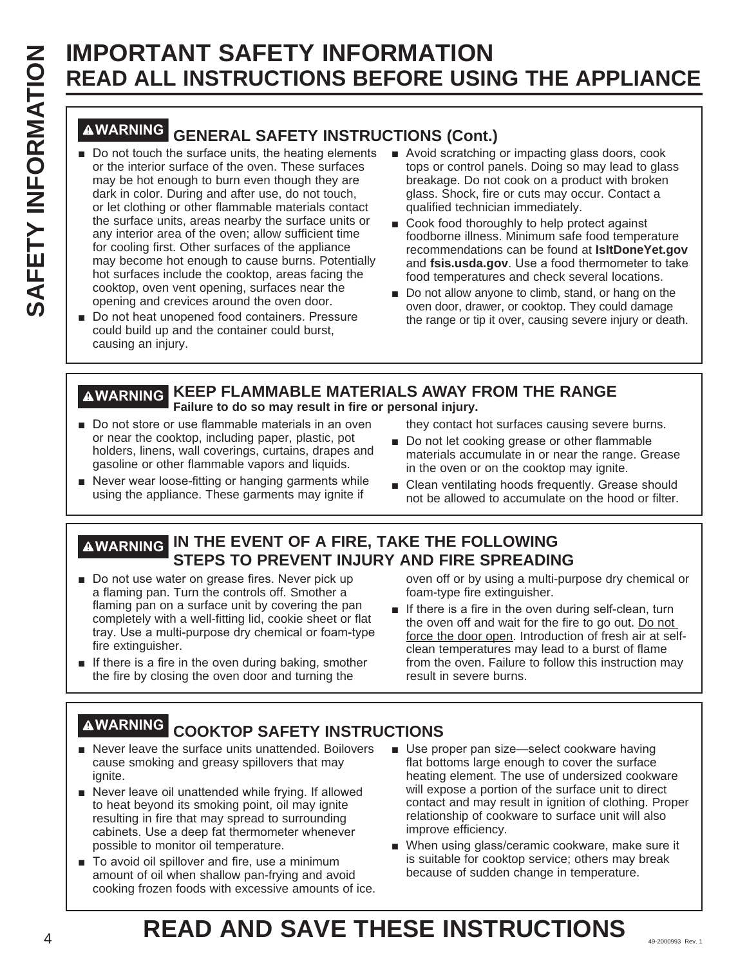# **IMPORTANT SAFETY INFORMATION READ ALL INSTRUCTIONS BEFORE USING THE APPLIANCE**

# **WARNING GENERAL SAFETY INSTRUCTIONS (Cont.)**

- Do not touch the surface units, the heating elements Avoid scratching or impacting glass doors, cook or the interior surface of the oven. These surfaces may be hot enough to burn even though they are dark in color. During and after use, do not touch, or let clothing or other flammable materials contact the surface units, areas nearby the surface units or any interior area of the oven; allow sufficient time for cooling first. Other surfaces of the appliance may become hot enough to cause burns. Potentially hot surfaces include the cooktop, areas facing the cooktop, oven vent opening, surfaces near the opening and crevices around the oven door.
- Do not heat unopened food containers. Pressure could build up and the container could burst, causing an injury.
- tops or control panels. Doing so may lead to glass breakage. Do not cook on a product with broken glass. Shock, fire or cuts may occur. Contact a qualified technician immediately.
- Cook food thoroughly to help protect against foodborne illness. Minimum safe food temperature recommendations can be found at **IsItDoneYet.gov** and **fsis.usda.gov**. Use a food thermometer to take food temperatures and check several locations.
- $\blacksquare$  Do not allow anyone to climb, stand, or hang on the oven door, drawer, or cooktop. They could damage the range or tip it over, causing severe injury or death.

### **WARNING KEEP FLAMMABLE MATERIALS AWAY FROM THE RANGE Failure to do so may result in fire or personal injury.**

- Do not store or use flammable materials in an oven or near the cooktop, including paper, plastic, pot holders, linens, wall coverings, curtains, drapes and gasoline or other flammable vapors and liquids.
- Never wear loose-fitting or hanging garments while using the appliance. These garments may ignite if
- they contact hot surfaces causing severe burns.
- Do not let cooking grease or other flammable materials accumulate in or near the range. Grease in the oven or on the cooktop may ignite.
- Clean ventilating hoods frequently. Grease should not be allowed to accumulate on the hood or filter.

### **WARNING IN THE EVENT OF A FIRE, TAKE THE FOLLOWING STEPS TO PREVENT INJURY AND FIRE SPREADING**

- Do not use water on grease fires. Never pick up a flaming pan. Turn the controls off. Smother a flaming pan on a surface unit by covering the pan completely with a well-fitting lid, cookie sheet or flat tray. Use a multi-purpose dry chemical or foam-type fire extinguisher.
- $\blacksquare$  If there is a fire in the oven during baking, smother the fire by closing the oven door and turning the

oven off or by using a multi-purpose dry chemical or foam-type fire extinguisher.

 $\blacksquare$  If there is a fire in the oven during self-clean, turn the oven off and wait for the fire to go out. Do not force the door open. Introduction of fresh air at selfclean temperatures may lead to a burst of flame from the oven. Failure to follow this instruction may result in severe burns.

# **WARNING COOKTOP SAFETY INSTRUCTIONS**

- Never leave the surface units unattended. Boilovers cause smoking and greasy spillovers that may ignite.
- Never leave oil unattended while frying. If allowed to heat beyond its smoking point, oil may ignite resulting in fire that may spread to surrounding cabinets. Use a deep fat thermometer whenever possible to monitor oil temperature.
- To avoid oil spillover and fire, use a minimum amount of oil when shallow pan-frying and avoid cooking frozen foods with excessive amounts of ice.
- Use proper pan size-select cookware having flat bottoms large enough to cover the surface heating element. The use of undersized cookware will expose a portion of the surface unit to direct contact and may result in ignition of clothing. Proper relationship of cookware to surface unit will also improve efficiency.
- When using glass/ceramic cookware, make sure it is suitable for cooktop service; others may break because of sudden change in temperature.

# **READ AND SAVE THESE INSTRUCTIONS**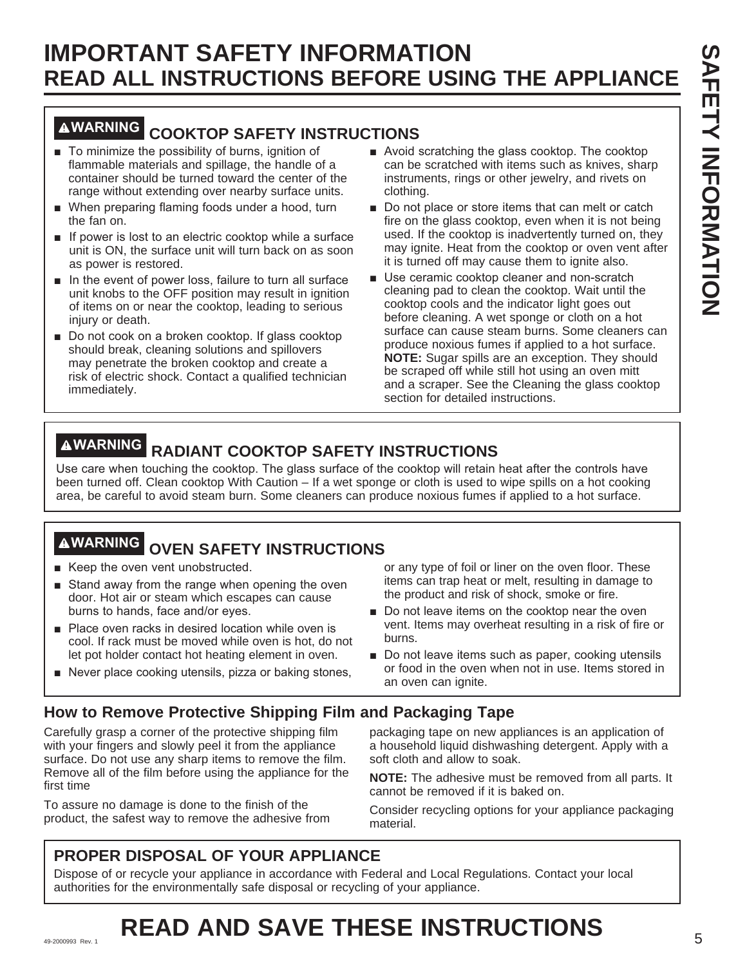# **IMPORTANT SAFETY INFORMATION READ ALL INSTRUCTIONS BEFORE USING THE APPLIANCE**

### **WARNING COOKTOP SAFETY INSTRUCTIONS**

- $\blacksquare$  To minimize the possibility of burns, ignition of flammable materials and spillage, the handle of a container should be turned toward the center of the range without extending over nearby surface units.
- **Now induced in the preparing flaming foods under a hood, turn** the fan on.
- $\blacksquare$  If power is lost to an electric cooktop while a surface unit is ON, the surface unit will turn back on as soon as power is restored.
- $\blacksquare$  In the event of power loss, failure to turn all surface unit knobs to the OFF position may result in ignition of items on or near the cooktop, leading to serious injury or death.
- Do not cook on a broken cooktop. If glass cooktop should break, cleaning solutions and spillovers may penetrate the broken cooktop and create a risk of electric shock. Contact a qualified technician immediately.
- $\blacksquare$  Avoid scratching the glass cooktop. The cooktop can be scratched with items such as knives, sharp instruments, rings or other jewelry, and rivets on clothing.
- Do not place or store items that can melt or catch fire on the glass cooktop, even when it is not being used. If the cooktop is inadvertently turned on, they may ignite. Heat from the cooktop or oven vent after it is turned off may cause them to ignite also.
- Use ceramic cooktop cleaner and non-scratch cleaning pad to clean the cooktop. Wait until the cooktop cools and the indicator light goes out before cleaning. A wet sponge or cloth on a hot surface can cause steam burns. Some cleaners can produce noxious fumes if applied to a hot surface. **NOTE:** Sugar spills are an exception. They should be scraped off while still hot using an oven mitt and a scraper. See the Cleaning the glass cooktop section for detailed instructions.

# **WARNING RADIANT COOKTOP SAFETY INSTRUCTIONS**

Use care when touching the cooktop. The glass surface of the cooktop will retain heat after the controls have been turned off. Clean cooktop With Caution – If a wet sponge or cloth is used to wipe spills on a hot cooking area, be careful to avoid steam burn. Some cleaners can produce noxious fumes if applied to a hot surface.

# **WARNING OVEN SAFETY INSTRUCTIONS**

- $\blacksquare$  Keep the oven vent unobstructed.
- Stand away from the range when opening the oven door. Hot air or steam which escapes can cause burns to hands, face and/or eyes.
- Place oven racks in desired location while oven is cool. If rack must be moved while oven is hot, do not let pot holder contact hot heating element in oven.
- $\blacksquare$  Never place cooking utensils, pizza or baking stones,

or any type of foil or liner on the oven floor. These items can trap heat or melt, resulting in damage to the product and risk of shock, smoke or fire.

- Do not leave items on the cooktop near the oven vent. Items may overheat resulting in a risk of fire or burns.
- Do not leave items such as paper, cooking utensils or food in the oven when not in use. Items stored in an oven can ignite.

### **How to Remove Protective Shipping Film and Packaging Tape**

Carefully grasp a corner of the protective shipping film with your fingers and slowly peel it from the appliance surface. Do not use any sharp items to remove the film. Remove all of the film before using the appliance for the first time

To assure no damage is done to the finish of the product, the safest way to remove the adhesive from

packaging tape on new appliances is an application of a household liquid dishwashing detergent. Apply with a soft cloth and allow to soak.

**NOTE:** The adhesive must be removed from all parts. It cannot be removed if it is baked on.

Consider recycling options for your appliance packaging material.

### **PROPER DISPOSAL OF YOUR APPLIANCE**

Dispose of or recycle your appliance in accordance with Federal and Local Regulations. Contact your local authorities for the environmentally safe disposal or recycling of your appliance.

# **READ AND SAVE THESE INSTRUCTIONS**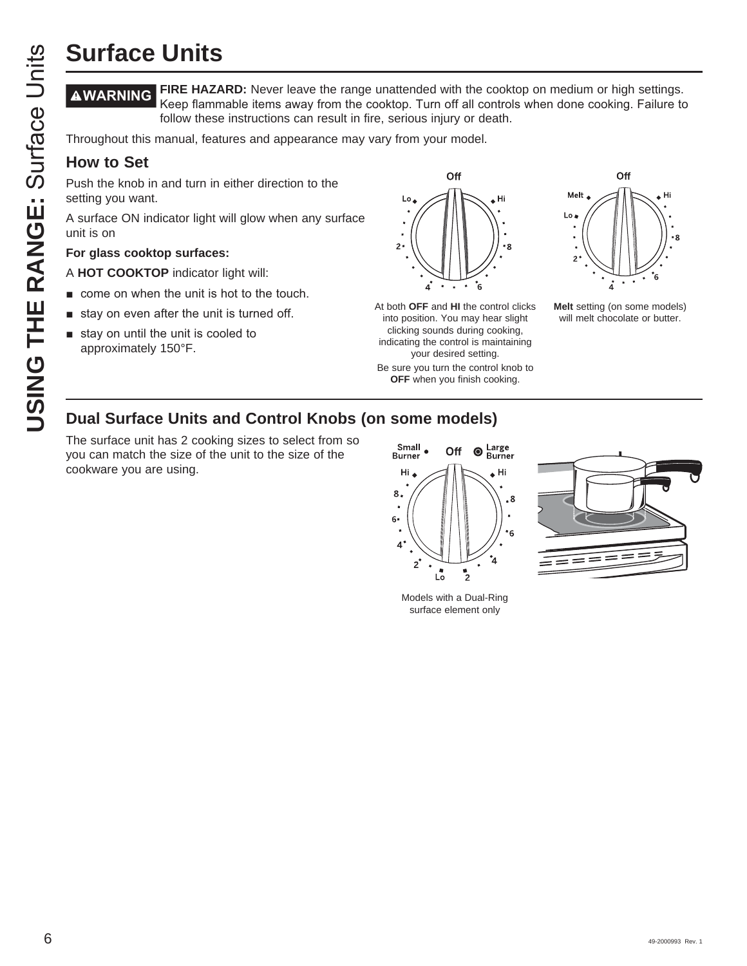**FIRE HAZARD:** Never leave the range unattended with the cooktop on medium or high settings. Keep flammable items away from the cooktop. Turn off all controls when done cooking. Failure to follow these instructions can result in fire, serious injury or death.

Throughout this manual, features and appearance may vary from your model.

### **How to Set**

Push the knob in and turn in either direction to the setting you want.

A surface ON indicator light will glow when any surface unit is on

### **For glass cooktop surfaces:**

- A **HOT COOKTOP** indicator light will:
- $\blacksquare$  come on when the unit is hot to the touch.
- $\blacksquare$  stay on even after the unit is turned off.
- $\blacksquare$  stay on until the unit is cooled to approximately 150°F.



At both **OFF** and **HI** the control clicks into position. You may hear slight clicking sounds during cooking, indicating the control is maintaining your desired setting.

Be sure you turn the control knob to **OFF** when you finish cooking.



**Melt** setting (on some models) will melt chocolate or butter.

### **Dual Surface Units and Control Knobs (on some models)**

The surface unit has 2 cooking sizes to select from so you can match the size of the unit to the size of the cookware you are using.



Models with a Dual-Ring surface element only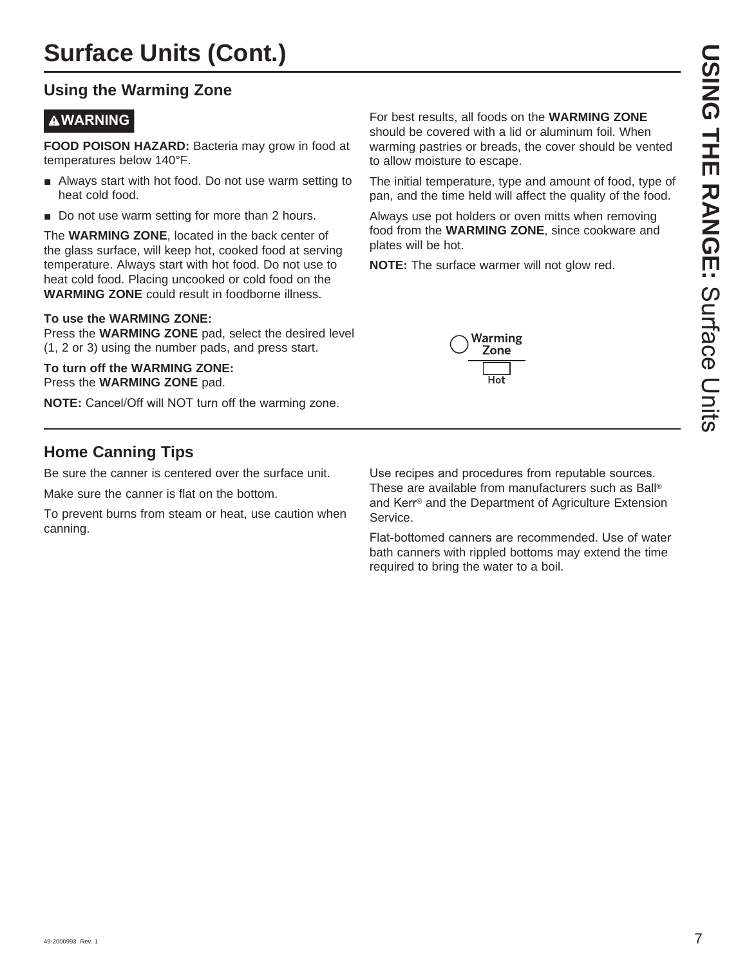### **Using the Warming Zone**

### **WARNING**

**FOOD POISON HAZARD:** Bacteria may grow in food at temperatures below 140°F.

- Always start with hot food. Do not use warm setting to heat cold food.
- $\blacksquare$  Do not use warm setting for more than 2 hours.

The **WARMING ZONE**, located in the back center of the glass surface, will keep hot, cooked food at serving temperature. Always start with hot food. Do not use to heat cold food. Placing uncooked or cold food on the **WARMING ZONE** could result in foodborne illness.

### **To use the WARMING ZONE:**

Press the **WARMING ZONE** pad, select the desired level (1, 2 or 3) using the number pads, and press start.

**To turn off the WARMING ZONE:** Press the **WARMING ZONE** pad.

**NOTE:** Cancel/Off will NOT turn off the warming zone.

For best results, all foods on the **WARMING ZONE** should be covered with a lid or aluminum foil. When warming pastries or breads, the cover should be vented to allow moisture to escape.

The initial temperature, type and amount of food, type of pan, and the time held will affect the quality of the food.

Always use pot holders or oven mitts when removing food from the **WARMING ZONE**, since cookware and plates will be hot.

**NOTE:** The surface warmer will not glow red.



### **Home Canning Tips**

Be sure the canner is centered over the surface unit.

Make sure the canner is flat on the bottom.

To prevent burns from steam or heat, use caution when canning.

Use recipes and procedures from reputable sources. These are available from manufacturers such as Ball® and Kerr<sup>®</sup> and the Department of Agriculture Extension Service.

Flat-bottomed canners are recommended. Use of water bath canners with rippled bottoms may extend the time required to bring the water to a boil.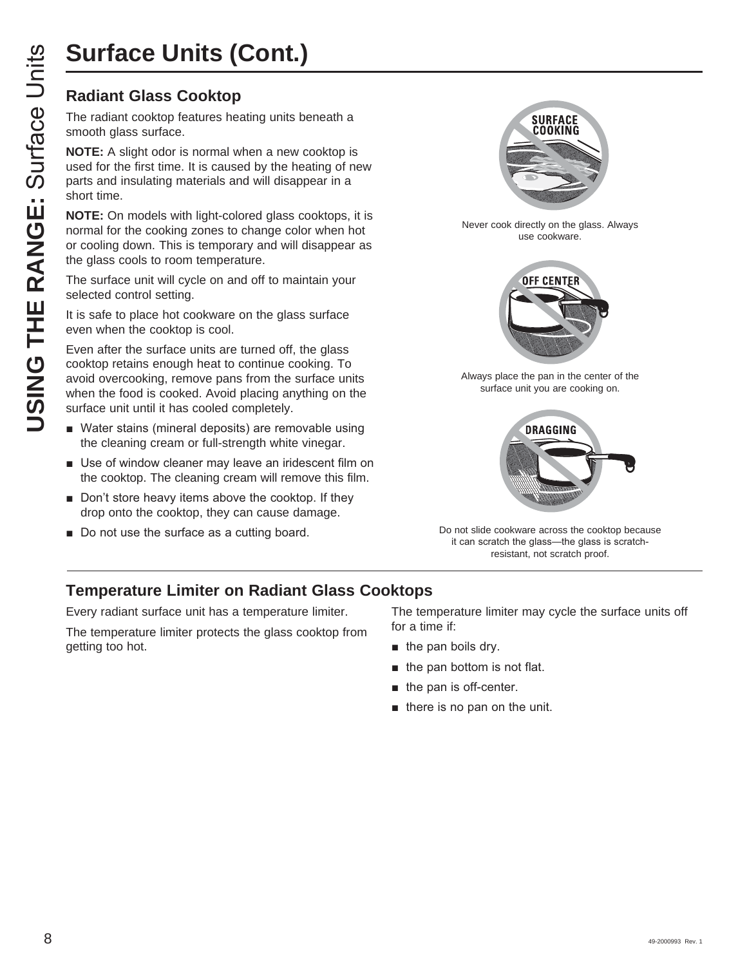# **Surface Units (Cont.)**

### **Radiant Glass Cooktop**

The radiant cooktop features heating units beneath a smooth glass surface.

**NOTE:** A slight odor is normal when a new cooktop is used for the first time. It is caused by the heating of new parts and insulating materials and will disappear in a short time.

**NOTE:** On models with light-colored glass cooktops, it is normal for the cooking zones to change color when hot or cooling down. This is temporary and will disappear as the glass cools to room temperature.

The surface unit will cycle on and off to maintain your selected control setting.

It is safe to place hot cookware on the glass surface even when the cooktop is cool.

Even after the surface units are turned off, the glass cooktop retains enough heat to continue cooking. To avoid overcooking, remove pans from the surface units when the food is cooked. Avoid placing anything on the surface unit until it has cooled completely.

- Water stains (mineral deposits) are removable using the cleaning cream or full-strength white vinegar.
- **B** Use of window cleaner may leave an iridescent film on the cooktop. The cleaning cream will remove this film.
- $\blacksquare$  Don't store heavy items above the cooktop. If they drop onto the cooktop, they can cause damage.
- Do not use the surface as a cutting board.



Never cook directly on the glass. Always use cookware.



Always place the pan in the center of the surface unit you are cooking on.



Do not slide cookware across the cooktop because it can scratch the glass-the glass is scratchresistant, not scratch proof.

### **Temperature Limiter on Radiant Glass Cooktops**

Every radiant surface unit has a temperature limiter.

The temperature limiter protects the glass cooktop from getting too hot.

The temperature limiter may cycle the surface units off for a time if:

- $\blacksquare$  the pan boils dry.
- $\blacksquare$  the pan bottom is not flat.
- $\blacksquare$  the pan is off-center.
- $\blacksquare$  there is no pan on the unit.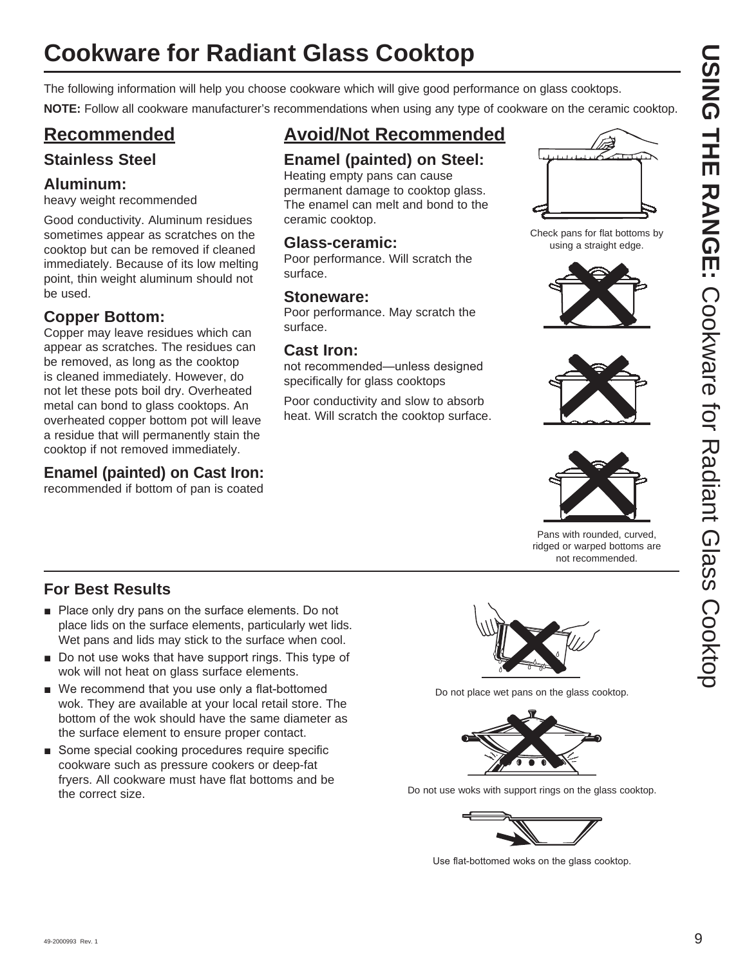# **Cookware for Radiant Glass Cooktop**

The following information will help you choose cookware which will give good performance on glass cooktops.

**NOTE:** Follow all cookware manufacturer's recommendations when using any type of cookware on the ceramic cooktop.

### **Recommended**

### **Stainless Steel**

### **Aluminum:**

heavy weight recommended

Good conductivity. Aluminum residues sometimes appear as scratches on the cooktop but can be removed if cleaned immediately. Because of its low melting point, thin weight aluminum should not be used.

### **Copper Bottom:**

Copper may leave residues which can appear as scratches. The residues can be removed, as long as the cooktop is cleaned immediately. However, do not let these pots boil dry. Overheated metal can bond to glass cooktops. An overheated copper bottom pot will leave a residue that will permanently stain the cooktop if not removed immediately.

### **Enamel (painted) on Cast Iron:**

recommended if bottom of pan is coated

### **Avoid/Not Recommended**

### **Enamel (painted) on Steel:**

Heating empty pans can cause permanent damage to cooktop glass. The enamel can melt and bond to the ceramic cooktop.

### **Glass-ceramic:**

Poor performance. Will scratch the surface.

### **Stoneware:**

Poor performance. May scratch the surface.

### **Cast Iron:**

not recommended—unless designed specifically for glass cooktops

Poor conductivity and slow to absorb heat. Will scratch the cooktop surface.



Check pans for flat bottoms by using a straight edge.







Pans with rounded, curved, ridged or warped bottoms are not recommended.

### **For Best Results**

- $\blacksquare$  Place only dry pans on the surface elements. Do not place lids on the surface elements, particularly wet lids. Wet pans and lids may stick to the surface when cool.
- $\blacksquare$  Do not use woks that have support rings. This type of wok will not heat on glass surface elements.
- $\blacksquare$  We recommend that you use only a flat-bottomed wok. They are available at your local retail store. The bottom of the wok should have the same diameter as the surface element to ensure proper contact.
- Some special cooking procedures require specific cookware such as pressure cookers or deep-fat fryers. All cookware must have flat bottoms and be the correct size.



Do not place wet pans on the glass cooktop.



Do not use woks with support rings on the glass cooktop.



Use flat-bottomed woks on the glass cooktop.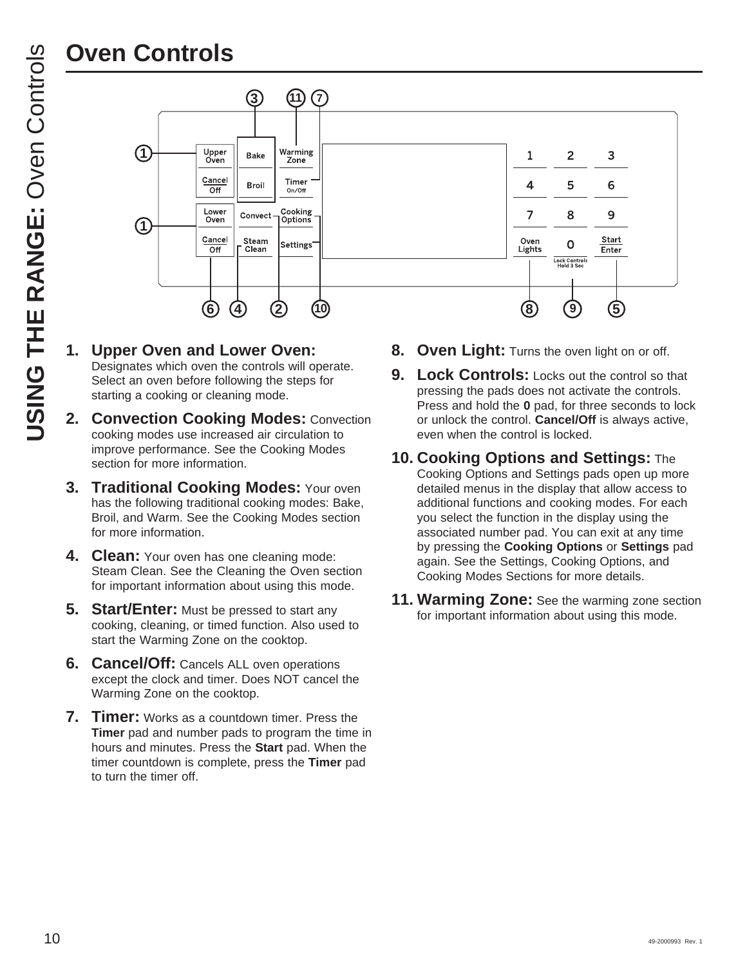

- **1. Upper Oven and Lower Oven:** Designates which oven the controls will operate. Select an oven before following the steps for starting a cooking or cleaning mode.
- **2. Convection Cooking Modes:** Convection cooking modes use increased air circulation to improve performance. See the Cooking Modes section for more information.
- **3. Traditional Cooking Modes:** Your oven has the following traditional cooking modes: Bake, Broil, and Warm. See the Cooking Modes section for more information.
- **4. Clean:** Your oven has one cleaning mode: Steam Clean. See the Cleaning the Oven section for important information about using this mode.
- **5. Start/Enter:** Must be pressed to start any cooking, cleaning, or timed function. Also used to start the Warming Zone on the cooktop.
- **6. Cancel/Off:** Cancels ALL oven operations except the clock and timer. Does NOT cancel the Warming Zone on the cooktop.
- **7. Timer:** Works as a countdown timer. Press the **Timer** pad and number pads to program the time in hours and minutes. Press the **Start** pad. When the timer countdown is complete, press the **Timer** pad to turn the timer off.
- 8. Oven Light: Turns the oven light on or off.
- **9. Lock Controls:** Locks out the control so that pressing the pads does not activate the controls. Press and hold the **0** pad, for three seconds to lock or unlock the control. **Cancel/Off** is always active, even when the control is locked.
- **10. Cooking Options and Settings:** The Cooking Options and Settings pads open up more detailed menus in the display that allow access to additional functions and cooking modes. For each you select the function in the display using the associated number pad. You can exit at any time by pressing the **Cooking Options** or **Settings** pad again. See the Settings, Cooking Options, and Cooking Modes Sections for more details.
- **11. Warming Zone:** See the warming zone section for important information about using this mode.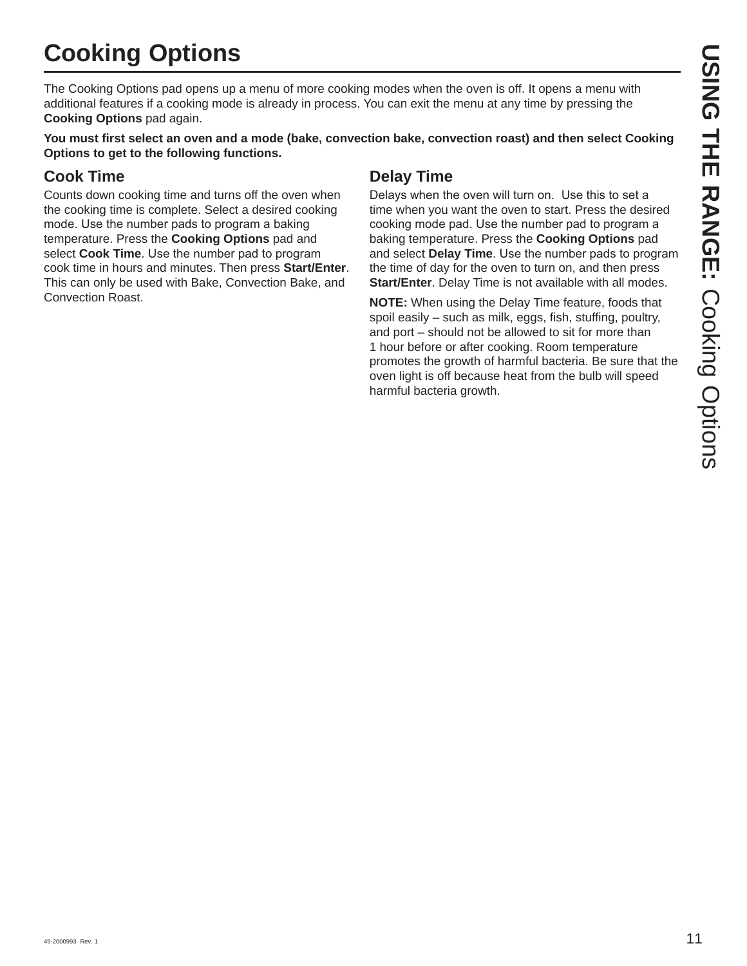# **Cooking Options**

The Cooking Options pad opens up a menu of more cooking modes when the oven is off. It opens a menu with additional features if a cooking mode is already in process. You can exit the menu at any time by pressing the **Cooking Options** pad again.

**You must first select an oven and a mode (bake, convection bake, convection roast) and then select Cooking Options to get to the following functions.**

### **Cook Time**

Counts down cooking time and turns off the oven when the cooking time is complete. Select a desired cooking mode. Use the number pads to program a baking temperature. Press the **Cooking Options** pad and select **Cook Time**. Use the number pad to program cook time in hours and minutes. Then press **Start/Enter**. This can only be used with Bake, Convection Bake, and Convection Roast.

### **Delay Time**

Delays when the oven will turn on. Use this to set a time when you want the oven to start. Press the desired cooking mode pad. Use the number pad to program a baking temperature. Press the **Cooking Options** pad and select **Delay Time**. Use the number pads to program the time of day for the oven to turn on, and then press **Start/Enter**. Delay Time is not available with all modes.

**NOTE:** When using the Delay Time feature, foods that spoil easily – such as milk, eggs, fish, stuffing, poultry, and port – should not be allowed to sit for more than 1 hour before or after cooking. Room temperature promotes the growth of harmful bacteria. Be sure that the oven light is off because heat from the bulb will speed harmful bacteria growth.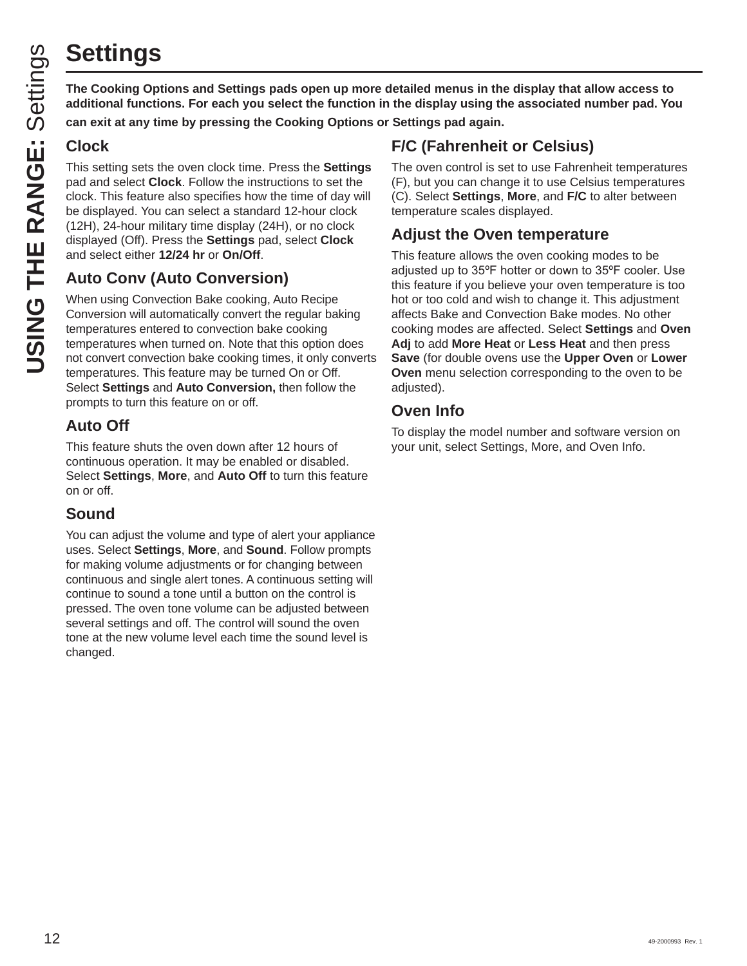# **Settings**

**The Cooking Options and Settings pads open up more detailed menus in the display that allow access to additional functions. For each you select the function in the display using the associated number pad. You** 

**can exit at any time by pressing the Cooking Options or Settings pad again.**

### **Clock**

This setting sets the oven clock time. Press the **Settings** pad and select **Clock**. Follow the instructions to set the clock. This feature also specifies how the time of day will be displayed. You can select a standard 12-hour clock (12H), 24-hour military time display (24H), or no clock displayed (Off). Press the **Settings** pad, select **Clock** and select either **12/24 hr** or **On/Off**.

### **Auto Conv (Auto Conversion)**

When using Convection Bake cooking, Auto Recipe Conversion will automatically convert the regular baking temperatures entered to convection bake cooking temperatures when turned on. Note that this option does not convert convection bake cooking times, it only converts temperatures. This feature may be turned On or Off. Select **Settings** and **Auto Conversion,** then follow the prompts to turn this feature on or off.

### **Auto Off**

This feature shuts the oven down after 12 hours of continuous operation. It may be enabled or disabled. Select **Settings**, **More**, and **Auto Off** to turn this feature on or off.

### **Sound**

You can adjust the volume and type of alert your appliance uses. Select **Settings**, **More**, and **Sound**. Follow prompts for making volume adjustments or for changing between continuous and single alert tones. A continuous setting will continue to sound a tone until a button on the control is pressed. The oven tone volume can be adjusted between several settings and off. The control will sound the oven tone at the new volume level each time the sound level is changed.

### **F/C (Fahrenheit or Celsius)**

The oven control is set to use Fahrenheit temperatures (F), but you can change it to use Celsius temperatures (C). Select **Settings**, **More**, and **F/C** to alter between temperature scales displayed.

### **Adjust the Oven temperature**

This feature allows the oven cooking modes to be adiusted up to 35°F hotter or down to 35°F cooler. Use this feature if you believe your oven temperature is too hot or too cold and wish to change it. This adjustment affects Bake and Convection Bake modes. No other cooking modes are affected. Select **Settings** and **Oven Adj** to add **More Heat** or **Less Heat** and then press **Save** (for double ovens use the **Upper Oven** or **Lower Oven** menu selection corresponding to the oven to be adjusted).

### **Oven Info**

To display the model number and software version on your unit, select Settings, More, and Oven Info.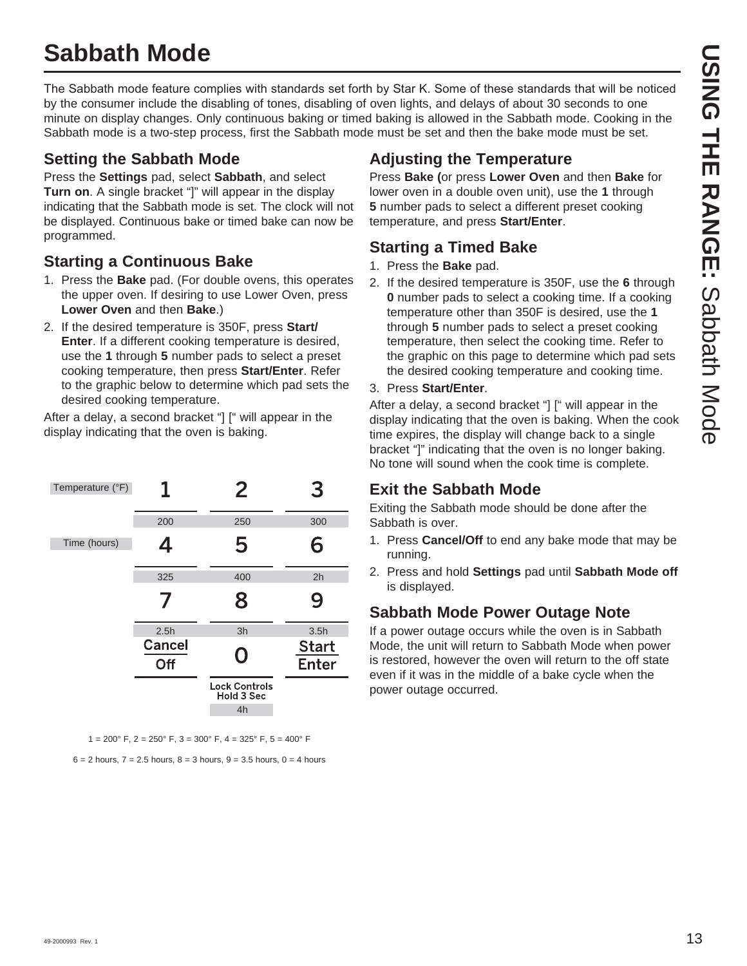# **Sabbath Mode**

The Sabbath mode feature complies with standards set forth by Star K. Some of these standards that will be noticed by the consumer include the disabling of tones, disabling of oven lights, and delays of about 30 seconds to one minute on display changes. Only continuous baking or timed baking is allowed in the Sabbath mode. Cooking in the Sabbath mode is a two-step process, first the Sabbath mode must be set and then the bake mode must be set.

### **Setting the Sabbath Mode**

Press the **Settings** pad, select **Sabbath**, and select **Turn on**. A single bracket "]" will appear in the display indicating that the Sabbath mode is set. The clock will not be displayed. Continuous bake or timed bake can now be programmed.

### **Starting a Continuous Bake**

- 1. Press the **Bake** pad. (For double ovens, this operates the upper oven. If desiring to use Lower Oven, press **Lower Oven** and then **Bake**.)
- 2. If the desired temperature is 350F, press **Start/ Enter**. If a different cooking temperature is desired, use the **1** through **5** number pads to select a preset cooking temperature, then press **Start/Enter**. Refer to the graphic below to determine which pad sets the desired cooking temperature.

After a delay, a second bracket "] [" will appear in the display indicating that the oven is baking.



1 = 200° F, 2 = 250° F, 3 = 300° F, 4 = 325° F, 5 = 400° F

 $6 = 2$  hours,  $7 = 2.5$  hours,  $8 = 3$  hours,  $9 = 3.5$  hours,  $0 = 4$  hours

### **Adjusting the Temperature**

Press **Bake (**or press **Lower Oven** and then **Bake** for lower oven in a double oven unit), use the **1** through **5** number pads to select a different preset cooking temperature, and press **Start/Enter**.

### **Starting a Timed Bake**

- 1. Press the **Bake** pad.
- 2. If the desired temperature is 350F, use the **6** through **0** number pads to select a cooking time. If a cooking temperature other than 350F is desired, use the **1** through **5** number pads to select a preset cooking temperature, then select the cooking time. Refer to the graphic on this page to determine which pad sets the desired cooking temperature and cooking time.
- 3. Press **Start/Enter**.

After a delay, a second bracket "] [" will appear in the display indicating that the oven is baking. When the cook time expires, the display will change back to a single bracket "]" indicating that the oven is no longer baking. No tone will sound when the cook time is complete.

### **Exit the Sabbath Mode**

Exiting the Sabbath mode should be done after the Sabbath is over.

- 1. Press **Cancel/Off** to end any bake mode that may be running.
- 2. Press and hold **Settings** pad until **Sabbath Mode off** is displayed.

### **Sabbath Mode Power Outage Note**

If a power outage occurs while the oven is in Sabbath Mode, the unit will return to Sabbath Mode when power is restored, however the oven will return to the off state even if it was in the middle of a bake cycle when the power outage occurred.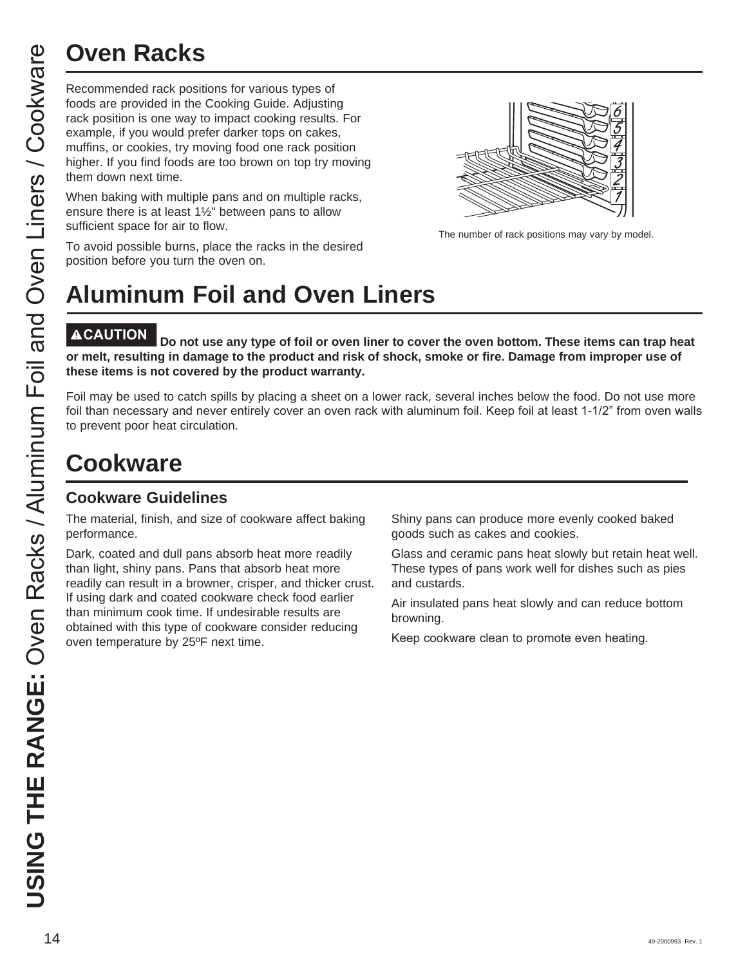Recommended rack positions for various types of foods are provided in the Cooking Guide. Adjusting rack position is one way to impact cooking results. For example, if you would prefer darker tops on cakes, muffins, or cookies, try moving food one rack position higher. If you find foods are too brown on top try moving them down next time.

When baking with multiple pans and on multiple racks, ensure there is at least  $1\frac{1}{2}$ " between pans to allow sufficient space for air to flow.

The number of rack positions may vary by model.

### To avoid possible burns, place the racks in the desired position before you turn the oven on.

# **Aluminum Foil and Oven Liners**

Do not use any type of foil or oven liner to cover the oven bottom. These items can trap heat **or melt, resulting in damage to the product and risk of shock, smoke or fire. Damage from improper use of these items is not covered by the product warranty.** 

Foil may be used to catch spills by placing a sheet on a lower rack, several inches below the food. Do not use more foil than necessary and never entirely cover an oven rack with aluminum foil. Keep foil at least 1-1/2" from oven walls to prevent poor heat circulation.

# **Cookware**

### **Cookware Guidelines**

The material, finish, and size of cookware affect baking performance.

Dark, coated and dull pans absorb heat more readily than light, shiny pans. Pans that absorb heat more readily can result in a browner, crisper, and thicker crust. If using dark and coated cookware check food earlier than minimum cook time. If undesirable results are obtained with this type of cookware consider reducing oven temperature by 25ºF next time.

Shiny pans can produce more evenly cooked baked goods such as cakes and cookies.

Glass and ceramic pans heat slowly but retain heat well. These types of pans work well for dishes such as pies and custards.

Air insulated pans heat slowly and can reduce bottom browning.

Keep cookware clean to promote even heating.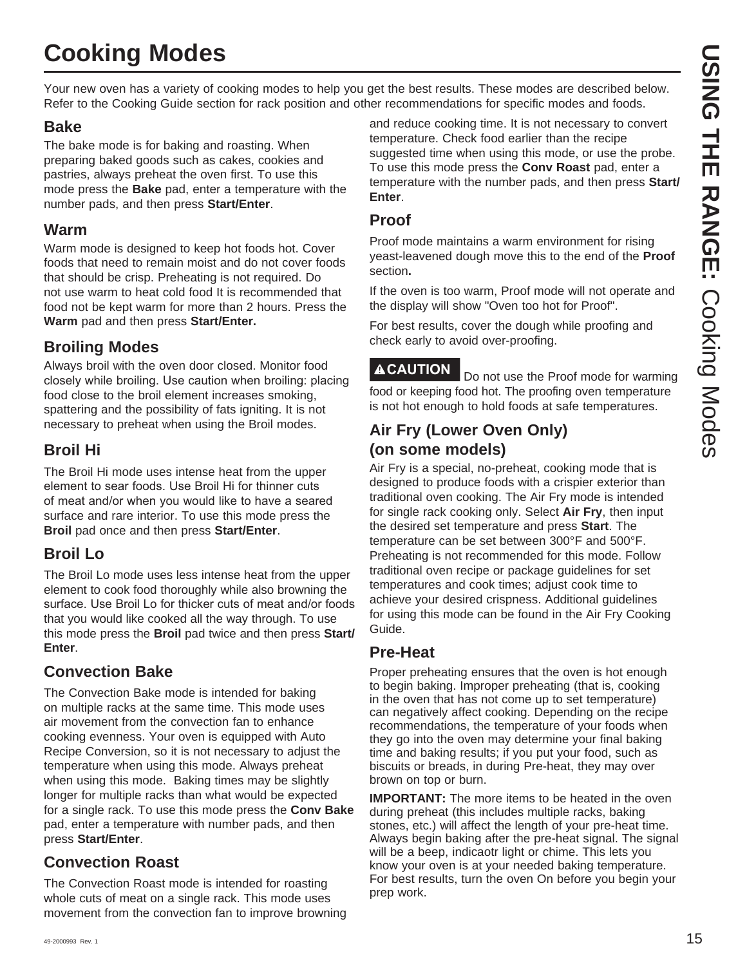# **Cooking Modes**

Your new oven has a variety of cooking modes to help you get the best results. These modes are described below. Refer to the Cooking Guide section for rack position and other recommendations for specific modes and foods.

### **Bake**

The bake mode is for baking and roasting. When preparing baked goods such as cakes, cookies and pastries, always preheat the oven first. To use this mode press the **Bake** pad, enter a temperature with the number pads, and then press **Start/Enter**.

### **Warm**

Warm mode is designed to keep hot foods hot. Cover foods that need to remain moist and do not cover foods that should be crisp. Preheating is not required. Do not use warm to heat cold food It is recommended that food not be kept warm for more than 2 hours. Press the **Warm** pad and then press **Start/Enter.**

### **Broiling Modes**

Always broil with the oven door closed. Monitor food closely while broiling. Use caution when broiling: placing food close to the broil element increases smoking, spattering and the possibility of fats igniting. It is not necessary to preheat when using the Broil modes.

### **Broil Hi**

The Broil Hi mode uses intense heat from the upper element to sear foods. Use Broil Hi for thinner cuts of meat and/or when you would like to have a seared surface and rare interior. To use this mode press the **Broil** pad once and then press **Start/Enter**.

### **Broil Lo**

The Broil Lo mode uses less intense heat from the upper element to cook food thoroughly while also browning the surface. Use Broil Lo for thicker cuts of meat and/or foods that you would like cooked all the way through. To use this mode press the **Broil** pad twice and then press **Start/ Enter**.

### **Convection Bake**

The Convection Bake mode is intended for baking on multiple racks at the same time. This mode uses air movement from the convection fan to enhance cooking evenness. Your oven is equipped with Auto Recipe Conversion, so it is not necessary to adjust the temperature when using this mode. Always preheat when using this mode. Baking times may be slightly longer for multiple racks than what would be expected for a single rack. To use this mode press the **Conv Bake**  pad, enter a temperature with number pads, and then press **Start/Enter**.

### **Convection Roast**

The Convection Roast mode is intended for roasting whole cuts of meat on a single rack. This mode uses movement from the convection fan to improve browning and reduce cooking time. It is not necessary to convert temperature. Check food earlier than the recipe suggested time when using this mode, or use the probe. To use this mode press the **Conv Roast** pad, enter a temperature with the number pads, and then press **Start/ Enter**.

### **Proof**

Proof mode maintains a warm environment for rising yeast-leavened dough move this to the end of the **Proof** section**.**

If the oven is too warm, Proof mode will not operate and the display will show "Oven too hot for Proof".

For best results, cover the dough while proofing and check early to avoid over-proofing.

**ACAUTION** Do not use the Proof mode for warming food or keeping food hot. The proofing oven temperature is not hot enough to hold foods at safe temperatures.

### **Air Fry (Lower Oven Only) (on some models)**

Air Fry is a special, no-preheat, cooking mode that is designed to produce foods with a crispier exterior than traditional oven cooking. The Air Fry mode is intended for single rack cooking only. Select **Air Fry**, then input the desired set temperature and press **Start**. The temperature can be set between 300°F and 500°F. Preheating is not recommended for this mode. Follow traditional oven recipe or package guidelines for set temperatures and cook times; adjust cook time to achieve your desired crispness. Additional guidelines for using this mode can be found in the Air Fry Cooking Guide.

### **Pre-Heat**

Proper preheating ensures that the oven is hot enough to begin baking. Improper preheating (that is, cooking in the oven that has not come up to set temperature) can negatively affect cooking. Depending on the recipe recommendations, the temperature of your foods when they go into the oven may determine your final baking time and baking results; if you put your food, such as biscuits or breads, in during Pre-heat, they may over brown on top or burn.

**IMPORTANT:** The more items to be heated in the oven during preheat (this includes multiple racks, baking stones, etc.) will affect the length of your pre-heat time. Always begin baking after the pre-heat signal. The signal will be a beep, indicaotr light or chime. This lets you know your oven is at your needed baking temperature. For best results, turn the oven On before you begin your prep work.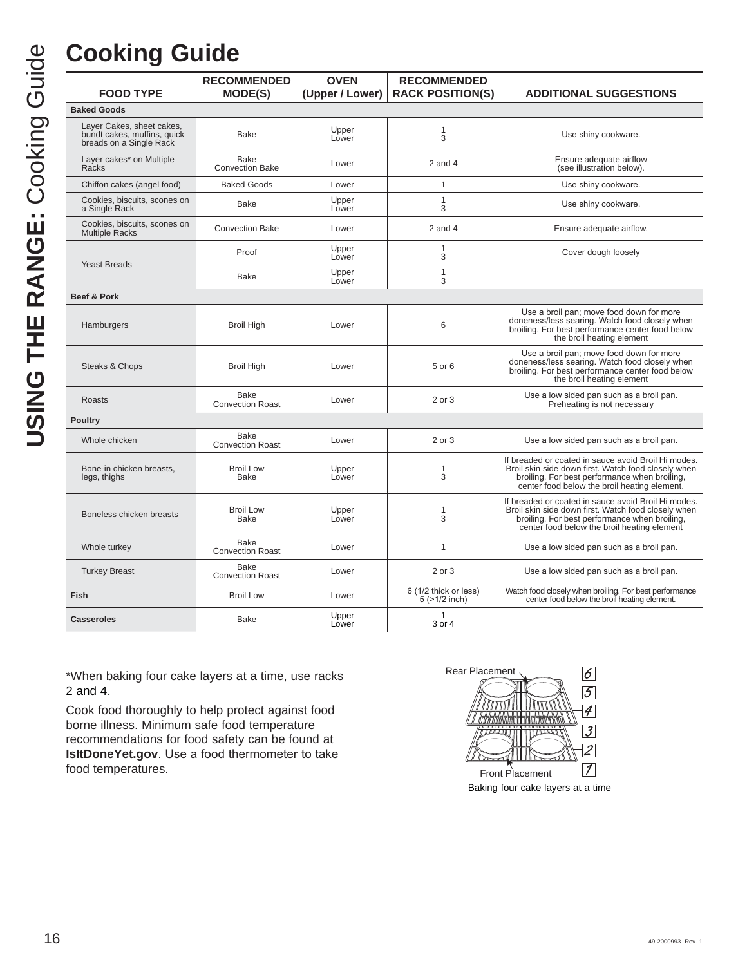# **Cooking Guide**

|                                                                                     | <b>RECOMMENDED</b>                     | <b>OVEN</b>     | <b>RECOMMENDED</b>                     |                                                                                                                                                                                                             |
|-------------------------------------------------------------------------------------|----------------------------------------|-----------------|----------------------------------------|-------------------------------------------------------------------------------------------------------------------------------------------------------------------------------------------------------------|
| <b>FOOD TYPE</b>                                                                    | <b>MODE(S)</b>                         | (Upper / Lower) | <b>RACK POSITION(S)</b>                | <b>ADDITIONAL SUGGESTIONS</b>                                                                                                                                                                               |
| <b>Baked Goods</b>                                                                  |                                        |                 |                                        |                                                                                                                                                                                                             |
| Layer Cakes, sheet cakes,<br>bundt cakes, muffins, quick<br>breads on a Single Rack | <b>Bake</b>                            | Upper<br>Lower  | 1<br>3                                 | Use shiny cookware.                                                                                                                                                                                         |
| Layer cakes* on Multiple<br>Racks                                                   | Bake<br><b>Convection Bake</b>         | Lower           | $2$ and $4$                            | Ensure adequate airflow<br>(see illustration below).                                                                                                                                                        |
| Chiffon cakes (angel food)                                                          | <b>Baked Goods</b>                     | Lower           | $\mathbf{1}$                           | Use shiny cookware.                                                                                                                                                                                         |
| Cookies, biscuits, scones on<br>a Single Rack                                       | Bake                                   | Upper<br>Lower  | $\mathbf{1}$<br>3                      | Use shiny cookware.                                                                                                                                                                                         |
| Cookies, biscuits, scones on<br><b>Multiple Racks</b>                               | <b>Convection Bake</b>                 | Lower           | $2$ and $4$                            | Ensure adequate airflow.                                                                                                                                                                                    |
|                                                                                     | Proof                                  | Upper<br>Lower  | $\mathbf{1}$<br>3                      | Cover dough loosely                                                                                                                                                                                         |
| <b>Yeast Breads</b>                                                                 | <b>Bake</b>                            | Upper<br>Lower  | 1<br>3                                 |                                                                                                                                                                                                             |
| <b>Beef &amp; Pork</b>                                                              |                                        |                 |                                        |                                                                                                                                                                                                             |
| Hamburgers                                                                          | <b>Broil High</b>                      | Lower           | 6                                      | Use a broil pan; move food down for more<br>doneness/less searing. Watch food closely when<br>broiling. For best performance center food below<br>the broil heating element                                 |
| Steaks & Chops                                                                      | <b>Broil High</b>                      | Lower           | 5 or 6                                 | Use a broil pan; move food down for more<br>doneness/less searing. Watch food closely when<br>broiling. For best performance center food below<br>the broil heating element                                 |
| <b>Roasts</b>                                                                       | Bake<br><b>Convection Roast</b>        | Lower           | 2 or 3                                 | Use a low sided pan such as a broil pan.<br>Preheating is not necessary                                                                                                                                     |
| <b>Poultry</b>                                                                      |                                        |                 |                                        |                                                                                                                                                                                                             |
| Whole chicken                                                                       | <b>Bake</b><br><b>Convection Roast</b> | Lower           | 2 or 3                                 | Use a low sided pan such as a broil pan.                                                                                                                                                                    |
| Bone-in chicken breasts,<br>legs, thighs                                            | <b>Broil Low</b><br><b>Bake</b>        | Upper<br>Lower  | 1<br>3                                 | If breaded or coated in sauce avoid Broil Hi modes.<br>Broil skin side down first. Watch food closely when<br>broiling. For best performance when broiling,<br>center food below the broil heating element. |
| Boneless chicken breasts                                                            | <b>Broil Low</b><br><b>Bake</b>        | Upper<br>Lower  | 1<br>3                                 | If breaded or coated in sauce avoid Broil Hi modes.<br>Broil skin side down first. Watch food closely when<br>broiling. For best performance when broiling,<br>center food below the broil heating element  |
| Whole turkey                                                                        | <b>Bake</b><br><b>Convection Roast</b> | Lower           | 1                                      | Use a low sided pan such as a broil pan.                                                                                                                                                                    |
| <b>Turkey Breast</b>                                                                | <b>Bake</b><br><b>Convection Roast</b> | Lower           | 2 or 3                                 | Use a low sided pan such as a broil pan.                                                                                                                                                                    |
| Fish                                                                                | <b>Broil Low</b>                       | Lower           | 6 (1/2 thick or less)<br>5 (>1/2 inch) | Watch food closely when broiling. For best performance<br>center food below the broil heating element.                                                                                                      |
| <b>Casseroles</b>                                                                   | <b>Bake</b>                            | Upper<br>Lower  | $\mathbf{1}$<br>3 or 4                 |                                                                                                                                                                                                             |

\*When baking four cake layers at a time, use racks 2 and 4.

Cook food thoroughly to help protect against food borne illness. Minimum safe food temperature recommendations for food safety can be found at **IsItDoneYet.gov**. Use a food thermometer to take food temperatures.

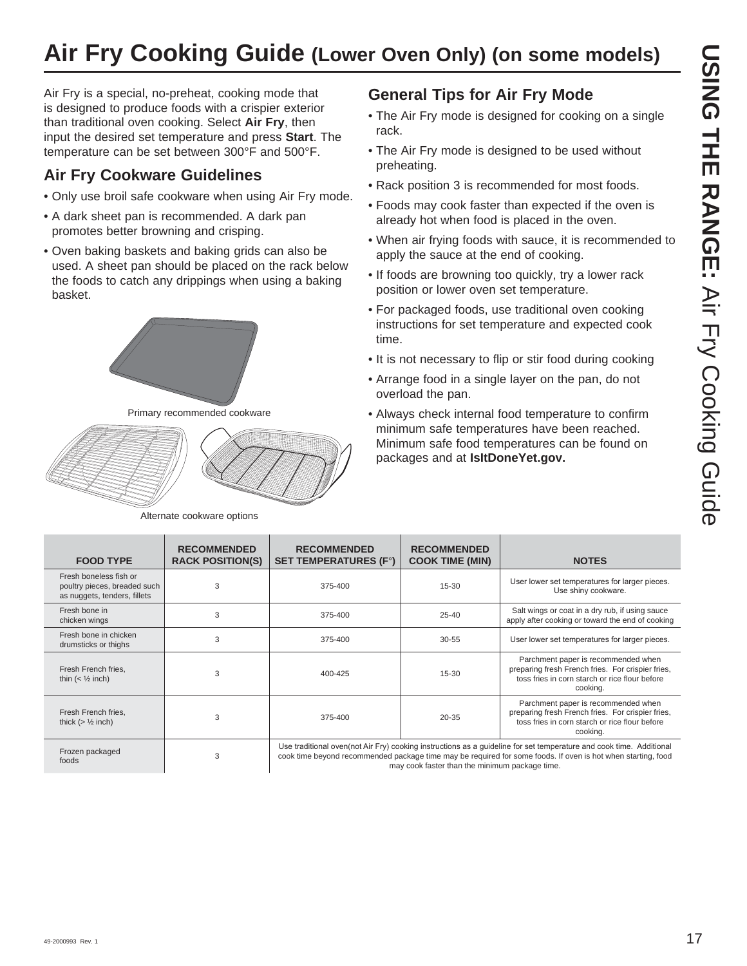# **Air Fry Cooking Guide (Lower Oven Only) (on some models)**

Air Fry is a special, no-preheat, cooking mode that is designed to produce foods with a crispier exterior than traditional oven cooking. Select **Air Fry**, then input the desired set temperature and press **Start**. The temperature can be set between 300°F and 500°F.

### **Air Fry Cookware Guidelines**

- Only use broil safe cookware when using Air Fry mode.
- A dark sheet pan is recommended. A dark pan promotes better browning and crisping.
- Oven baking baskets and baking grids can also be used. A sheet pan should be placed on the rack below the foods to catch any drippings when using a baking basket.



Primary recommended cookware



Alternate cookware options

### **General Tips for Air Fry Mode**

- The Air Fry mode is designed for cooking on a single rack.
- The Air Fry mode is designed to be used without preheating.
- Rack position 3 is recommended for most foods.
- Foods may cook faster than expected if the oven is already hot when food is placed in the oven.
- When air frying foods with sauce, it is recommended to apply the sauce at the end of cooking.
- If foods are browning too quickly, try a lower rack position or lower oven set temperature.
- For packaged foods, use traditional oven cooking instructions for set temperature and expected cook time.
- It is not necessary to flip or stir food during cooking
- Arrange food in a single layer on the pan, do not overload the pan.
- Always check internal food temperature to confirm minimum safe temperatures have been reached. Minimum safe food temperatures can be found on packages and at **IsItDoneYet.gov.**

| <b>FOOD TYPE</b>                                                                       | <b>RECOMMENDED</b><br><b>RACK POSITION(S)</b> | <b>RECOMMENDED</b><br><b>SET TEMPERATURES (F°)</b> | <b>RECOMMENDED</b><br><b>COOK TIME (MIN)</b>   | <b>NOTES</b>                                                                                                                                                                                                                        |
|----------------------------------------------------------------------------------------|-----------------------------------------------|----------------------------------------------------|------------------------------------------------|-------------------------------------------------------------------------------------------------------------------------------------------------------------------------------------------------------------------------------------|
| Fresh boneless fish or<br>poultry pieces, breaded such<br>as nuggets, tenders, fillets | 3                                             | 375-400                                            | 15-30                                          | User lower set temperatures for larger pieces.<br>Use shiny cookware.                                                                                                                                                               |
| Fresh bone in<br>chicken wings                                                         | 3                                             | 375-400                                            | $25 - 40$                                      | Salt wings or coat in a dry rub, if using sauce<br>apply after cooking or toward the end of cooking                                                                                                                                 |
| Fresh bone in chicken<br>drumsticks or thighs                                          | 3                                             | 375-400                                            | $30 - 55$                                      | User lower set temperatures for larger pieces.                                                                                                                                                                                      |
| Fresh French fries,<br>thin $(\frac{1}{2} inch)$                                       | 3                                             | 400-425                                            | 15-30                                          | Parchment paper is recommended when<br>preparing fresh French fries. For crispier fries,<br>toss fries in corn starch or rice flour before<br>cooking.                                                                              |
| Fresh French fries,<br>thick $(> 1/2$ inch)                                            | 3                                             | 375-400                                            | $20 - 35$                                      | Parchment paper is recommended when<br>preparing fresh French fries. For crispier fries,<br>toss fries in corn starch or rice flour before<br>cooking.                                                                              |
| Frozen packaged<br>foods                                                               | 3                                             |                                                    | may cook faster than the minimum package time. | Use traditional oven(not Air Fry) cooking instructions as a quideline for set temperature and cook time. Additional<br>cook time beyond recommended package time may be required for some foods. If oven is hot when starting, food |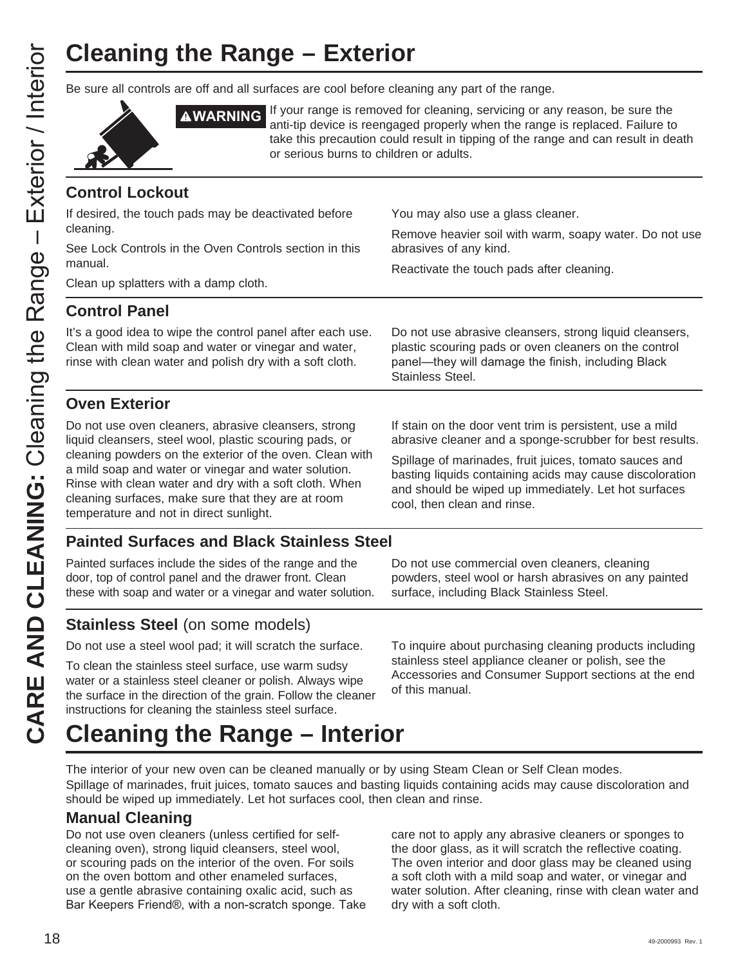# **Cleaning the Range – Exterior**

Be sure all controls are off and all surfaces are cool before cleaning any part of the range.



**AWARNING** If your range is removed for cleaning, servicing or any reason, be sure the anti-tip device is reengaged properly when the range is replaced. Failure to take this precaution could result in tipping of the range and can result in death or serious burns to children or adults.

### **Control Lockout**

| <b>CONTROL LOCKOUL</b>                                                                                                                                                                                                                                                      |                                                                                                                                                                                                           |  |  |
|-----------------------------------------------------------------------------------------------------------------------------------------------------------------------------------------------------------------------------------------------------------------------------|-----------------------------------------------------------------------------------------------------------------------------------------------------------------------------------------------------------|--|--|
| If desired, the touch pads may be deactivated before                                                                                                                                                                                                                        | You may also use a glass cleaner.                                                                                                                                                                         |  |  |
| cleaning.                                                                                                                                                                                                                                                                   | Remove heavier soil with warm, soapy water. Do not use                                                                                                                                                    |  |  |
| See Lock Controls in the Oven Controls section in this<br>manual.                                                                                                                                                                                                           | abrasives of any kind.                                                                                                                                                                                    |  |  |
| Clean up splatters with a damp cloth.                                                                                                                                                                                                                                       | Reactivate the touch pads after cleaning.                                                                                                                                                                 |  |  |
| <b>Control Panel</b>                                                                                                                                                                                                                                                        |                                                                                                                                                                                                           |  |  |
| It's a good idea to wipe the control panel after each use.<br>Clean with mild soap and water or vinegar and water,<br>rinse with clean water and polish dry with a soft cloth.                                                                                              | Do not use abrasive cleansers, strong liquid cleansers,<br>plastic scouring pads or oven cleaners on the control<br>panel—they will damage the finish, including Black<br>Stainless Steel.                |  |  |
| <b>Oven Exterior</b>                                                                                                                                                                                                                                                        |                                                                                                                                                                                                           |  |  |
| Do not use oven cleaners, abrasive cleansers, strong<br>liquid cleansers, steel wool, plastic scouring pads, or                                                                                                                                                             | If stain on the door vent trim is persistent, use a mild<br>abrasive cleaner and a sponge-scrubber for best results.                                                                                      |  |  |
| cleaning powders on the exterior of the oven. Clean with<br>a mild soap and water or vinegar and water solution.<br>Rinse with clean water and dry with a soft cloth. When<br>cleaning surfaces, make sure that they are at room<br>temperature and not in direct sunlight. | Spillage of marinades, fruit juices, tomato sauces and<br>basting liquids containing acids may cause discoloration<br>and should be wiped up immediately. Let hot surfaces<br>cool, then clean and rinse. |  |  |
| <b>Painted Surfaces and Black Stainless Steel</b>                                                                                                                                                                                                                           |                                                                                                                                                                                                           |  |  |
| Painted surfaces include the sides of the range and the<br>door, top of control panel and the drawer front. Clean<br>these with soap and water or a vinegar and water solution.                                                                                             | Do not use commercial oven cleaners, cleaning<br>powders, steel wool or harsh abrasives on any painted<br>surface, including Black Stainless Steel.                                                       |  |  |

### **Stainless Steel** (on some models)

Do not use a steel wool pad; it will scratch the surface.

To clean the stainless steel surface, use warm sudsy water or a stainless steel cleaner or polish. Always wipe the surface in the direction of the grain. Follow the cleaner instructions for cleaning the stainless steel surface.

To inquire about purchasing cleaning products including stainless steel appliance cleaner or polish, see the Accessories and Consumer Support sections at the end of this manual.

# **Cleaning the Range – Interior**

The interior of your new oven can be cleaned manually or by using Steam Clean or Self Clean modes. Spillage of marinades, fruit juices, tomato sauces and basting liquids containing acids may cause discoloration and should be wiped up immediately. Let hot surfaces cool, then clean and rinse.

### **Manual Cleaning**

Do not use oven cleaners (unless certified for selfcleaning oven), strong liquid cleansers, steel wool, or scouring pads on the interior of the oven. For soils on the oven bottom and other enameled surfaces, use a gentle abrasive containing oxalic acid, such as Bar Keepers Friend®, with a non-scratch sponge. Take care not to apply any abrasive cleaners or sponges to the door glass, as it will scratch the reflective coating. The oven interior and door glass may be cleaned using a soft cloth with a mild soap and water, or vinegar and water solution. After cleaning, rinse with clean water and dry with a soft cloth.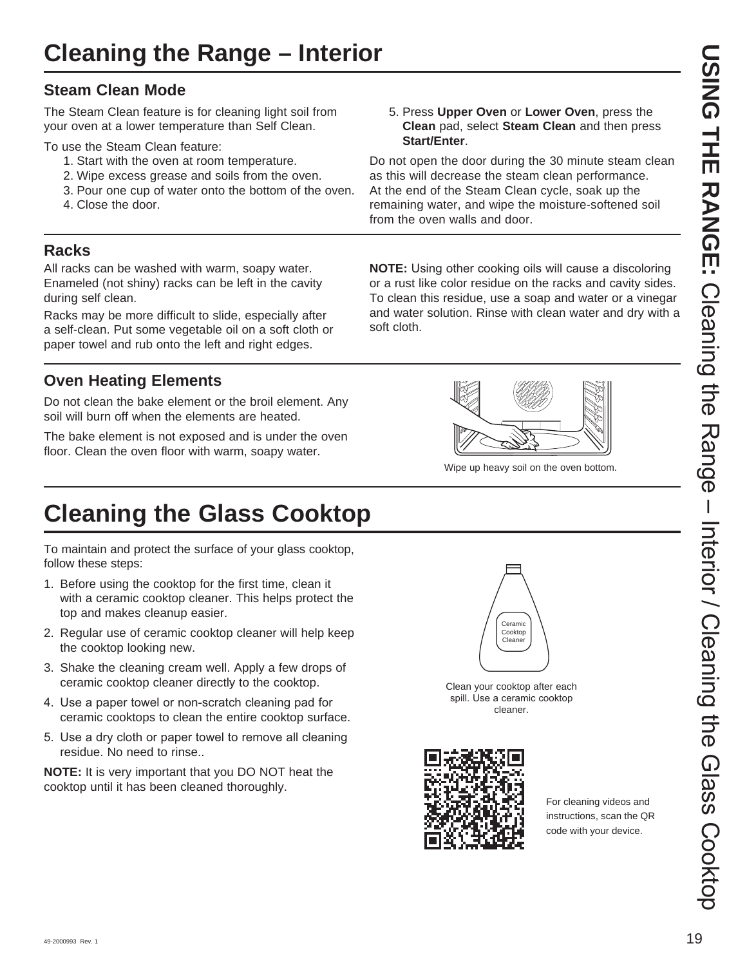### **Steam Clean Mode**

The Steam Clean feature is for cleaning light soil from your oven at a lower temperature than Self Clean.

To use the Steam Clean feature:

- 1. Start with the oven at room temperature.
- 2. Wipe excess grease and soils from the oven.
- 3. Pour one cup of water onto the bottom of the oven.
- 4. Close the door.

### **Racks**

All racks can be washed with warm, soapy water. Enameled (not shiny) racks can be left in the cavity during self clean.

Racks may be more difficult to slide, especially after a self-clean. Put some vegetable oil on a soft cloth or paper towel and rub onto the left and right edges.

### **Oven Heating Elements**

Do not clean the bake element or the broil element. Any soil will burn off when the elements are heated.

The bake element is not exposed and is under the oven floor. Clean the oven floor with warm, soapy water.

# **Cleaning the Glass Cooktop**

To maintain and protect the surface of your glass cooktop, follow these steps:

- 1. Before using the cooktop for the first time, clean it with a ceramic cooktop cleaner. This helps protect the top and makes cleanup easier.
- 2. Regular use of ceramic cooktop cleaner will help keep the cooktop looking new.
- 3. Shake the cleaning cream well. Apply a few drops of ceramic cooktop cleaner directly to the cooktop.
- 4. Use a paper towel or non-scratch cleaning pad for ceramic cooktops to clean the entire cooktop surface.
- 5. Use a dry cloth or paper towel to remove all cleaning residue. No need to rinse..

**NOTE:** It is very important that you DO NOT heat the cooktop until it has been cleaned thoroughly.



Do not open the door during the 30 minute steam clean as this will decrease the steam clean performance. At the end of the Steam Clean cycle, soak up the remaining water, and wipe the moisture-softened soil from the oven walls and door.

**NOTE:** Using other cooking oils will cause a discoloring or a rust like color residue on the racks and cavity sides. To clean this residue, use a soap and water or a vinegar and water solution. Rinse with clean water and dry with a soft cloth.



Wipe up heavy soil on the oven bottom.



Clean your cooktop after each spill. Use a ceramic cooktop cleaner.



For cleaning videos and instructions, scan the QR code with your device.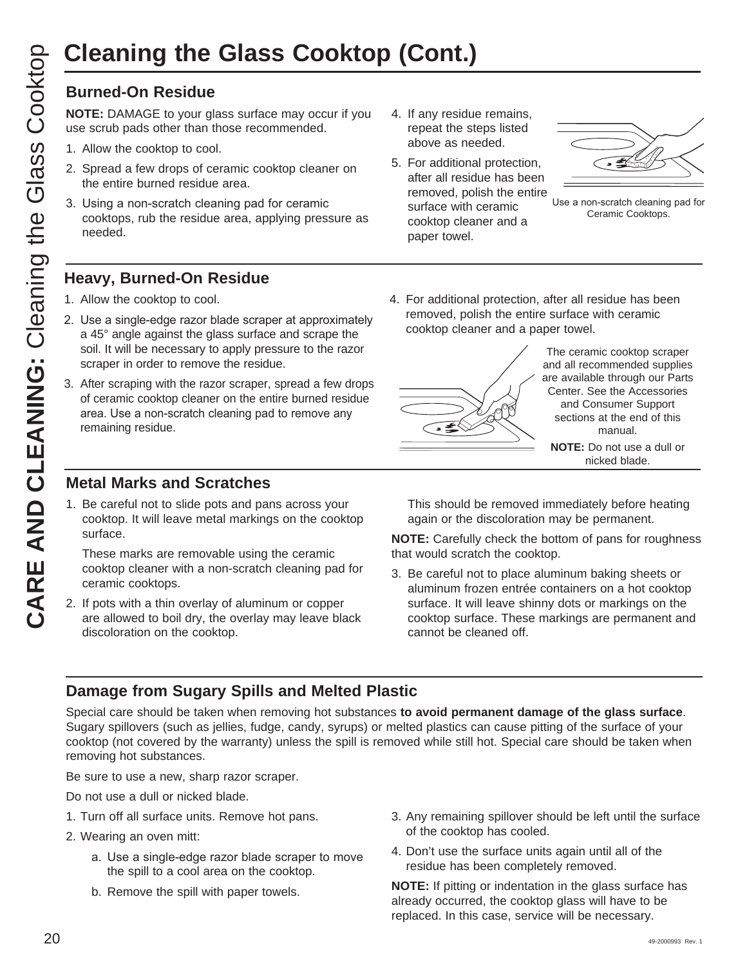**NOTE:** DAMAGE to your glass surface may occur if you use scrub pads other than those recommended.

- 1. Allow the cooktop to cool.
- 2. Spread a few drops of ceramic cooktop cleaner on the entire burned residue area.
- 3. Using a non-scratch cleaning pad for ceramic cooktops, rub the residue area, applying pressure as needed.

### **Heavy, Burned-On Residue**

- 1. Allow the cooktop to cool.
- 2. Use a single-edge razor blade scraper at approximately a 45° angle against the glass surface and scrape the soil. It will be necessary to apply pressure to the razor scraper in order to remove the residue.
- 3. After scraping with the razor scraper, spread a few drops of ceramic cooktop cleaner on the entire burned residue area. Use a non-scratch cleaning pad to remove any remaining residue.

### **Metal Marks and Scratches**

1. Be careful not to slide pots and pans across your cooktop. It will leave metal markings on the cooktop surface.

 These marks are removable using the ceramic cooktop cleaner with a non-scratch cleaning pad for ceramic cooktops.

2. If pots with a thin overlay of aluminum or copper are allowed to boil dry, the overlay may leave black discoloration on the cooktop.

- 4. If any residue remains, repeat the steps listed above as needed.
- 5. For additional protection, after all residue has been removed, polish the entire surface with ceramic cooktop cleaner and a paper towel.



Use a non-scratch cleaning pad for Ceramic Cooktops.

4. For additional protection, after all residue has been removed, polish the entire surface with ceramic cooktop cleaner and a paper towel.



The ceramic cooktop scraper and all recommended supplies are available through our Parts Center. See the Accessories and Consumer Support sections at the end of this manual.

**NOTE:** Do not use a dull or nicked blade.

 This should be removed immediately before heating again or the discoloration may be permanent.

**NOTE:** Carefully check the bottom of pans for roughness that would scratch the cooktop.

3. Be careful not to place aluminum baking sheets or aluminum frozen entrée containers on a hot cooktop surface. It will leave shinny dots or markings on the cooktop surface. These markings are permanent and cannot be cleaned off.

### **Damage from Sugary Spills and Melted Plastic**

Special care should be taken when removing hot substances **to avoid permanent damage of the glass surface**. Sugary spillovers (such as jellies, fudge, candy, syrups) or melted plastics can cause pitting of the surface of your cooktop (not covered by the warranty) unless the spill is removed while still hot. Special care should be taken when removing hot substances.

Be sure to use a new, sharp razor scraper.

Do not use a dull or nicked blade.

- 1. Turn off all surface units. Remove hot pans.
- 2. Wearing an oven mitt:
	- a. Use a single-edge razor blade scraper to move the spill to a cool area on the cooktop.
	- b. Remove the spill with paper towels.
- 3. Any remaining spillover should be left until the surface of the cooktop has cooled.
- 4. Don't use the surface units again until all of the residue has been completely removed.

**NOTE:** If pitting or indentation in the glass surface has already occurred, the cooktop glass will have to be replaced. In this case, service will be necessary.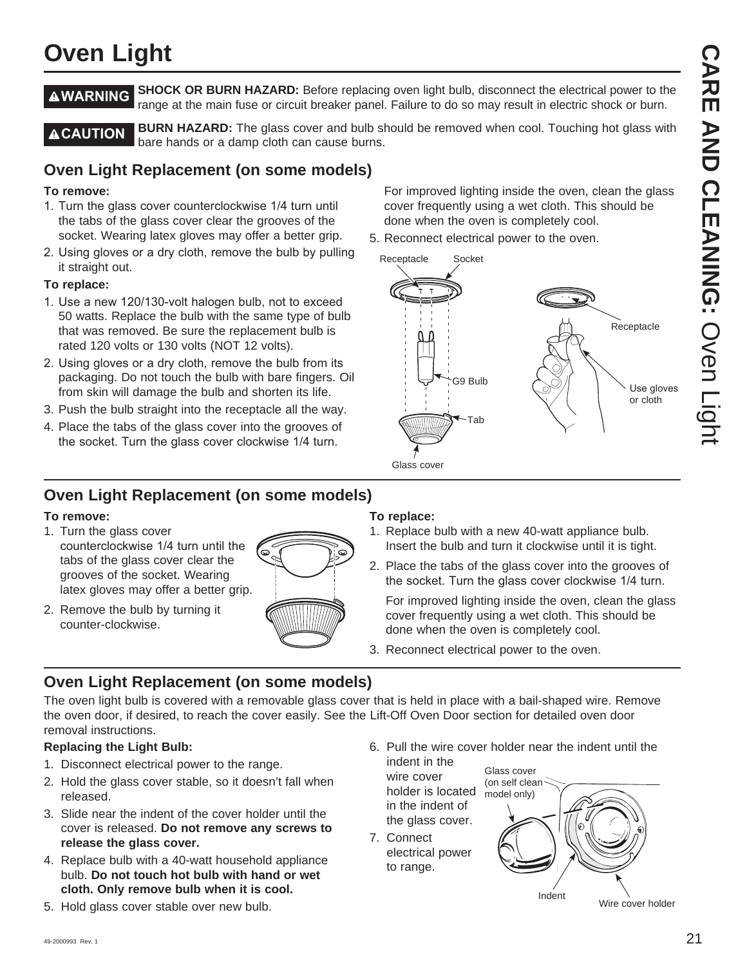# **Oven Light**

**AWARNING** SHOCK OR BURN HAZARD: Before replacing oven light bulb, disconnect the electrical power to the range at the main fuse or circuit breaker panel. Failure to do so may result in electric shock or burn.

**A CAUTION** BURN HAZARD: The glass cover and bulb should be removed when cool. Touching hot glass with bare hands or a damp cloth can cause burns.

Receptacle

### **Oven Light Replacement (on some models)**

### **To remove:**

- 1. Turn the glass cover counterclockwise 1/4 turn until the tabs of the glass cover clear the grooves of the socket. Wearing latex gloves may offer a better grip.
- 2. Using gloves or a dry cloth, remove the bulb by pulling it straight out.

### **To replace:**

- 1. Use a new 120/130-volt halogen bulb, not to exceed 50 watts. Replace the bulb with the same type of bulb that was removed. Be sure the replacement bulb is rated 120 volts or 130 volts (NOT 12 volts).
- 2. Using gloves or a dry cloth, remove the bulb from its packaging. Do not touch the bulb with bare fingers. Oil from skin will damage the bulb and shorten its life.
- 3. Push the bulb straight into the receptacle all the way.
- 4. Place the tabs of the glass cover into the grooves of the socket. Turn the glass cover clockwise 1/4 turn.

### **Oven Light Replacement (on some models)**

### **To remove:**

- 1. Turn the glass cover counterclockwise 1/4 turn until the tabs of the glass cover clear the grooves of the socket. Wearing latex gloves may offer a better grip.
- 2. Remove the bulb by turning it counter-clockwise.



### **To replace:**

Glass cover

1. Replace bulb with a new 40-watt appliance bulb. Insert the bulb and turn it clockwise until it is tight.

 For improved lighting inside the oven, clean the glass cover frequently using a wet cloth. This should be

done when the oven is completely cool. 5. Reconnect electrical power to the oven.

G9 Bulb

Tab

Socket

2. Place the tabs of the glass cover into the grooves of the socket. Turn the glass cover clockwise 1/4 turn.

 For improved lighting inside the oven, clean the glass cover frequently using a wet cloth. This should be done when the oven is completely cool.

3. Reconnect electrical power to the oven.

### **Oven Light Replacement (on some models)**

The oven light bulb is covered with a removable glass cover that is held in place with a bail-shaped wire. Remove the oven door, if desired, to reach the cover easily. See the Lift-Off Oven Door section for detailed oven door removal instructions.

### **Replacing the Light Bulb:**

- 1. Disconnect electrical power to the range.
- 2. Hold the glass cover stable, so it doesn't fall when released.
- 3. Slide near the indent of the cover holder until the cover is released. **Do not remove any screws to release the glass cover.**
- 4. Replace bulb with a 40-watt household appliance bulb. **Do not touch hot bulb with hand or wet cloth. Only remove bulb when it is cool.**
- 5. Hold glass cover stable over new bulb.

6. Pull the wire cover holder near the indent until the

indent in the wire cover holder is located in the indent of the glass cover.

7. Connect electrical power to range.

Wire cover holder Indent Glass cover (on self clean model only)

Use gloves or cloth

Receptacle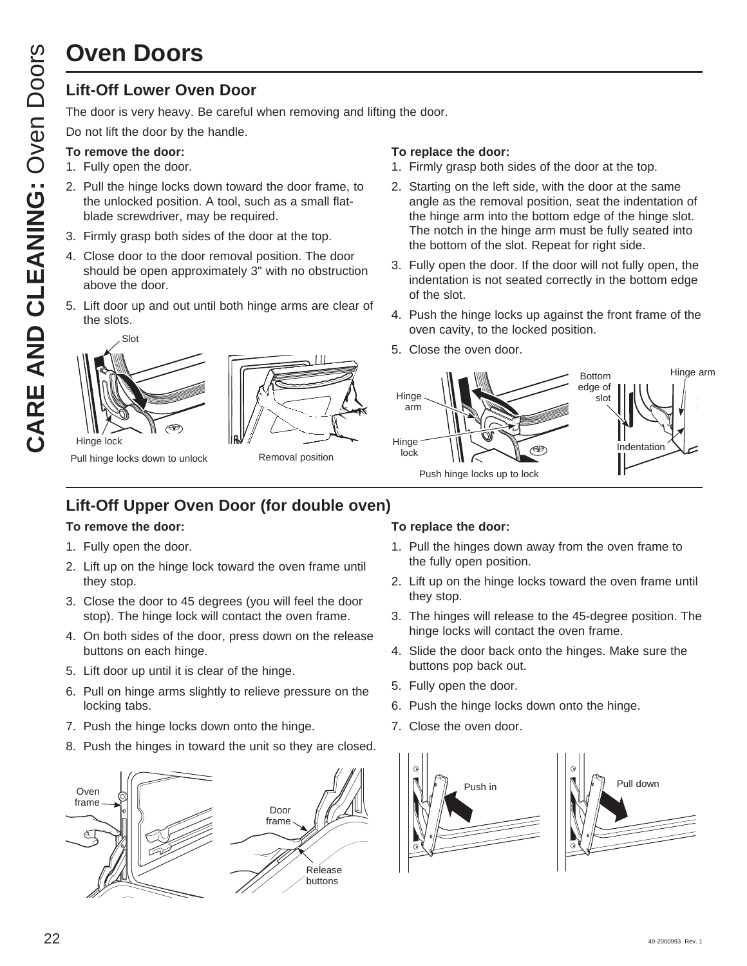# **Oven Doors**

### **Lift-Off Lower Oven Door**

The door is very heavy. Be careful when removing and lifting the door.

Do not lift the door by the handle.

### **To remove the door:**

- 1. Fully open the door.
- 2. Pull the hinge locks down toward the door frame, to the unlocked position. A tool, such as a small flatblade screwdriver, may be required.
- 3. Firmly grasp both sides of the door at the top.
- 4. Close door to the door removal position. The door should be open approximately 3" with no obstruction above the door.
- 5. Lift door up and out until both hinge arms are clear of the slots.

# Hinge lock Slot



Pull hinge locks down to unlock

### Removal position

### **To replace the door:**

- 1. Firmly grasp both sides of the door at the top.
- 2. Starting on the left side, with the door at the same angle as the removal position, seat the indentation of the hinge arm into the bottom edge of the hinge slot. The notch in the hinge arm must be fully seated into the bottom of the slot. Repeat for right side.
- 3. Fully open the door. If the door will not fully open, the indentation is not seated correctly in the bottom edge of the slot.
- 4. Push the hinge locks up against the front frame of the oven cavity, to the locked position.
- 5. Close the oven door.



### **Lift-Off Upper Oven Door (for double oven)**

### **To remove the door:**

- 1. Fully open the door.
- 2. Lift up on the hinge lock toward the oven frame until they stop.
- 3. Close the door to 45 degrees (you will feel the door stop). The hinge lock will contact the oven frame.
- 4. On both sides of the door, press down on the release buttons on each hinge.
- 5. Lift door up until it is clear of the hinge.
- 6. Pull on hinge arms slightly to relieve pressure on the locking tabs.
- 7. Push the hinge locks down onto the hinge.
- 8. Push the hinges in toward the unit so they are closed.



### **To replace the door:**

- 1. Pull the hinges down away from the oven frame to the fully open position.
- 2. Lift up on the hinge locks toward the oven frame until they stop.
- 3. The hinges will release to the 45-degree position. The hinge locks will contact the oven frame.
- 4. Slide the door back onto the hinges. Make sure the buttons pop back out.
- 5. Fully open the door.
- 6. Push the hinge locks down onto the hinge.
- 7. Close the oven door.



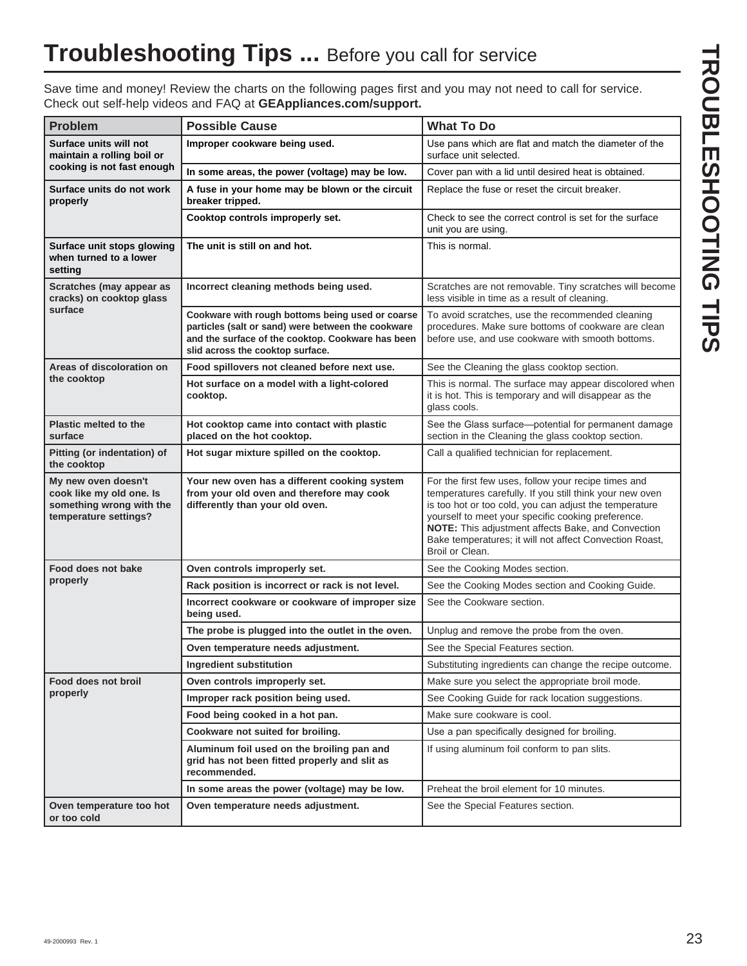Save time and money! Review the charts on the following pages first and you may not need to call for service. Check out self-help videos and FAQ at **GEAppliances.com/support.**

| <b>Problem</b>                                                                                       | <b>Possible Cause</b>                                                                                                                                                                           | <b>What To Do</b>                                                                                                                                                                                                                                                                                                                                                    |  |
|------------------------------------------------------------------------------------------------------|-------------------------------------------------------------------------------------------------------------------------------------------------------------------------------------------------|----------------------------------------------------------------------------------------------------------------------------------------------------------------------------------------------------------------------------------------------------------------------------------------------------------------------------------------------------------------------|--|
| Surface units will not<br>maintain a rolling boil or                                                 | Improper cookware being used.                                                                                                                                                                   | Use pans which are flat and match the diameter of the<br>surface unit selected.                                                                                                                                                                                                                                                                                      |  |
| cooking is not fast enough                                                                           | In some areas, the power (voltage) may be low.                                                                                                                                                  | Cover pan with a lid until desired heat is obtained.                                                                                                                                                                                                                                                                                                                 |  |
| Surface units do not work<br>properly                                                                | A fuse in your home may be blown or the circuit<br>breaker tripped.                                                                                                                             | Replace the fuse or reset the circuit breaker.                                                                                                                                                                                                                                                                                                                       |  |
|                                                                                                      | Cooktop controls improperly set.                                                                                                                                                                | Check to see the correct control is set for the surface<br>unit you are using.                                                                                                                                                                                                                                                                                       |  |
| Surface unit stops glowing<br>when turned to a lower<br>setting                                      | The unit is still on and hot.                                                                                                                                                                   | This is normal.                                                                                                                                                                                                                                                                                                                                                      |  |
| Scratches (may appear as<br>cracks) on cooktop glass                                                 | Incorrect cleaning methods being used.                                                                                                                                                          | Scratches are not removable. Tiny scratches will become<br>less visible in time as a result of cleaning.                                                                                                                                                                                                                                                             |  |
| surface                                                                                              | Cookware with rough bottoms being used or coarse<br>particles (salt or sand) were between the cookware<br>and the surface of the cooktop. Cookware has been<br>slid across the cooktop surface. | To avoid scratches, use the recommended cleaning<br>procedures. Make sure bottoms of cookware are clean<br>before use, and use cookware with smooth bottoms.                                                                                                                                                                                                         |  |
| Areas of discoloration on                                                                            | Food spillovers not cleaned before next use.                                                                                                                                                    | See the Cleaning the glass cooktop section.                                                                                                                                                                                                                                                                                                                          |  |
| the cooktop                                                                                          | Hot surface on a model with a light-colored<br>cooktop.                                                                                                                                         | This is normal. The surface may appear discolored when<br>it is hot. This is temporary and will disappear as the<br>glass cools.                                                                                                                                                                                                                                     |  |
| <b>Plastic melted to the</b><br>surface                                                              | Hot cooktop came into contact with plastic<br>placed on the hot cooktop.                                                                                                                        | See the Glass surface-potential for permanent damage<br>section in the Cleaning the glass cooktop section.                                                                                                                                                                                                                                                           |  |
| Pitting (or indentation) of<br>the cooktop                                                           | Hot sugar mixture spilled on the cooktop.                                                                                                                                                       | Call a qualified technician for replacement.                                                                                                                                                                                                                                                                                                                         |  |
| My new oven doesn't<br>cook like my old one. Is<br>something wrong with the<br>temperature settings? | Your new oven has a different cooking system<br>from your old oven and therefore may cook<br>differently than your old oven.                                                                    | For the first few uses, follow your recipe times and<br>temperatures carefully. If you still think your new oven<br>is too hot or too cold, you can adjust the temperature<br>yourself to meet your specific cooking preference.<br>NOTE: This adjustment affects Bake, and Convection<br>Bake temperatures; it will not affect Convection Roast,<br>Broil or Clean. |  |
| Food does not bake                                                                                   | Oven controls improperly set.                                                                                                                                                                   | See the Cooking Modes section.                                                                                                                                                                                                                                                                                                                                       |  |
| properly                                                                                             | Rack position is incorrect or rack is not level.                                                                                                                                                | See the Cooking Modes section and Cooking Guide.                                                                                                                                                                                                                                                                                                                     |  |
|                                                                                                      | Incorrect cookware or cookware of improper size<br>being used.                                                                                                                                  | See the Cookware section.                                                                                                                                                                                                                                                                                                                                            |  |
|                                                                                                      | The probe is plugged into the outlet in the oven.                                                                                                                                               | Unplug and remove the probe from the oven.                                                                                                                                                                                                                                                                                                                           |  |
|                                                                                                      | Oven temperature needs adjustment.                                                                                                                                                              | See the Special Features section.                                                                                                                                                                                                                                                                                                                                    |  |
|                                                                                                      | Ingredient substitution                                                                                                                                                                         | Substituting ingredients can change the recipe outcome.                                                                                                                                                                                                                                                                                                              |  |
| Food does not broil                                                                                  | Oven controls improperly set.                                                                                                                                                                   | Make sure you select the appropriate broil mode.                                                                                                                                                                                                                                                                                                                     |  |
| properly                                                                                             | Improper rack position being used.                                                                                                                                                              | See Cooking Guide for rack location suggestions.                                                                                                                                                                                                                                                                                                                     |  |
|                                                                                                      | Food being cooked in a hot pan.                                                                                                                                                                 | Make sure cookware is cool.                                                                                                                                                                                                                                                                                                                                          |  |
|                                                                                                      | Cookware not suited for broiling.                                                                                                                                                               | Use a pan specifically designed for broiling.                                                                                                                                                                                                                                                                                                                        |  |
|                                                                                                      | Aluminum foil used on the broiling pan and<br>grid has not been fitted properly and slit as<br>recommended.                                                                                     | If using aluminum foil conform to pan slits.                                                                                                                                                                                                                                                                                                                         |  |
|                                                                                                      | In some areas the power (voltage) may be low.                                                                                                                                                   | Preheat the broil element for 10 minutes.                                                                                                                                                                                                                                                                                                                            |  |
| Oven temperature too hot<br>or too cold                                                              | Oven temperature needs adjustment.                                                                                                                                                              | See the Special Features section.                                                                                                                                                                                                                                                                                                                                    |  |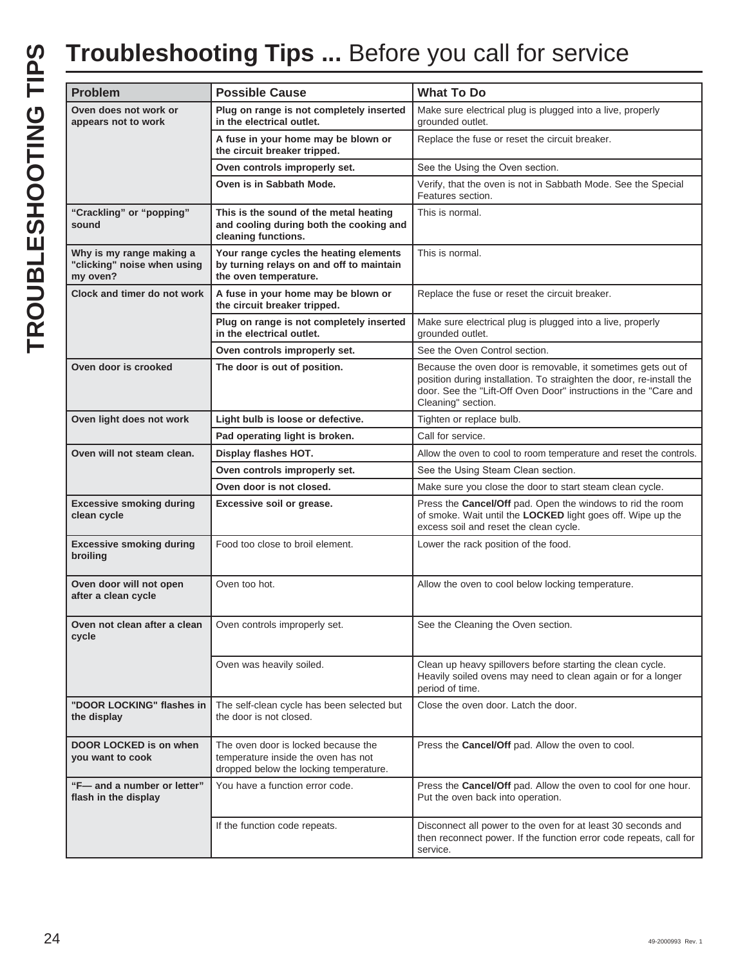# TROUBLESHOOTING TIPS **TROUBLESHOOTING TIPS**

# **Troubleshooting Tips ...** Before you call for service

| <b>Problem</b>                                                      | <b>Possible Cause</b>                                                                                                | <b>What To Do</b>                                                                                                                                                                                                              |
|---------------------------------------------------------------------|----------------------------------------------------------------------------------------------------------------------|--------------------------------------------------------------------------------------------------------------------------------------------------------------------------------------------------------------------------------|
| Oven does not work or<br>appears not to work                        | Plug on range is not completely inserted<br>in the electrical outlet.                                                | Make sure electrical plug is plugged into a live, properly<br>grounded outlet.                                                                                                                                                 |
|                                                                     | A fuse in your home may be blown or<br>the circuit breaker tripped.                                                  | Replace the fuse or reset the circuit breaker.                                                                                                                                                                                 |
|                                                                     | Oven controls improperly set.                                                                                        | See the Using the Oven section.                                                                                                                                                                                                |
|                                                                     | Oven is in Sabbath Mode.                                                                                             | Verify, that the oven is not in Sabbath Mode. See the Special<br>Features section.                                                                                                                                             |
| "Crackling" or "popping"<br>sound                                   | This is the sound of the metal heating<br>and cooling during both the cooking and<br>cleaning functions.             | This is normal.                                                                                                                                                                                                                |
| Why is my range making a<br>"clicking" noise when using<br>my oven? | Your range cycles the heating elements<br>by turning relays on and off to maintain<br>the oven temperature.          | This is normal.                                                                                                                                                                                                                |
| Clock and timer do not work                                         | A fuse in your home may be blown or<br>the circuit breaker tripped.                                                  | Replace the fuse or reset the circuit breaker.                                                                                                                                                                                 |
|                                                                     | Plug on range is not completely inserted<br>in the electrical outlet.                                                | Make sure electrical plug is plugged into a live, properly<br>grounded outlet.                                                                                                                                                 |
|                                                                     | Oven controls improperly set.                                                                                        | See the Oven Control section.                                                                                                                                                                                                  |
| Oven door is crooked                                                | The door is out of position.                                                                                         | Because the oven door is removable, it sometimes gets out of<br>position during installation. To straighten the door, re-install the<br>door. See the "Lift-Off Oven Door" instructions in the "Care and<br>Cleaning" section. |
| Oven light does not work                                            | Light bulb is loose or defective.                                                                                    | Tighten or replace bulb.                                                                                                                                                                                                       |
|                                                                     | Pad operating light is broken.                                                                                       | Call for service.                                                                                                                                                                                                              |
| Oven will not steam clean.                                          | Display flashes HOT.                                                                                                 | Allow the oven to cool to room temperature and reset the controls.                                                                                                                                                             |
|                                                                     | Oven controls improperly set.                                                                                        | See the Using Steam Clean section.                                                                                                                                                                                             |
|                                                                     | Oven door is not closed.                                                                                             | Make sure you close the door to start steam clean cycle.                                                                                                                                                                       |
| <b>Excessive smoking during</b><br>clean cycle                      | Excessive soil or grease.                                                                                            | Press the Cancel/Off pad. Open the windows to rid the room<br>of smoke. Wait until the LOCKED light goes off. Wipe up the<br>excess soil and reset the clean cycle.                                                            |
| <b>Excessive smoking during</b><br>broiling                         | Food too close to broil element.                                                                                     | Lower the rack position of the food.                                                                                                                                                                                           |
| Oven door will not open<br>after a clean cycle                      | Oven too hot.                                                                                                        | Allow the oven to cool below locking temperature.                                                                                                                                                                              |
| Oven not clean after a clean<br>cycle                               | Oven controls improperly set.                                                                                        | See the Cleaning the Oven section.                                                                                                                                                                                             |
|                                                                     | Oven was heavily soiled.                                                                                             | Clean up heavy spillovers before starting the clean cycle.<br>Heavily soiled ovens may need to clean again or for a longer<br>period of time.                                                                                  |
| "DOOR LOCKING" flashes in<br>the display                            | The self-clean cycle has been selected but<br>the door is not closed.                                                | Close the oven door. Latch the door.                                                                                                                                                                                           |
| DOOR LOCKED is on when<br>you want to cook                          | The oven door is locked because the<br>temperature inside the oven has not<br>dropped below the locking temperature. | Press the Cancel/Off pad. Allow the oven to cool.                                                                                                                                                                              |
| "F-and a number or letter"<br>flash in the display                  | You have a function error code.                                                                                      | Press the Cancel/Off pad. Allow the oven to cool for one hour.<br>Put the oven back into operation.                                                                                                                            |
|                                                                     | If the function code repeats.                                                                                        | Disconnect all power to the oven for at least 30 seconds and<br>then reconnect power. If the function error code repeats, call for<br>service.                                                                                 |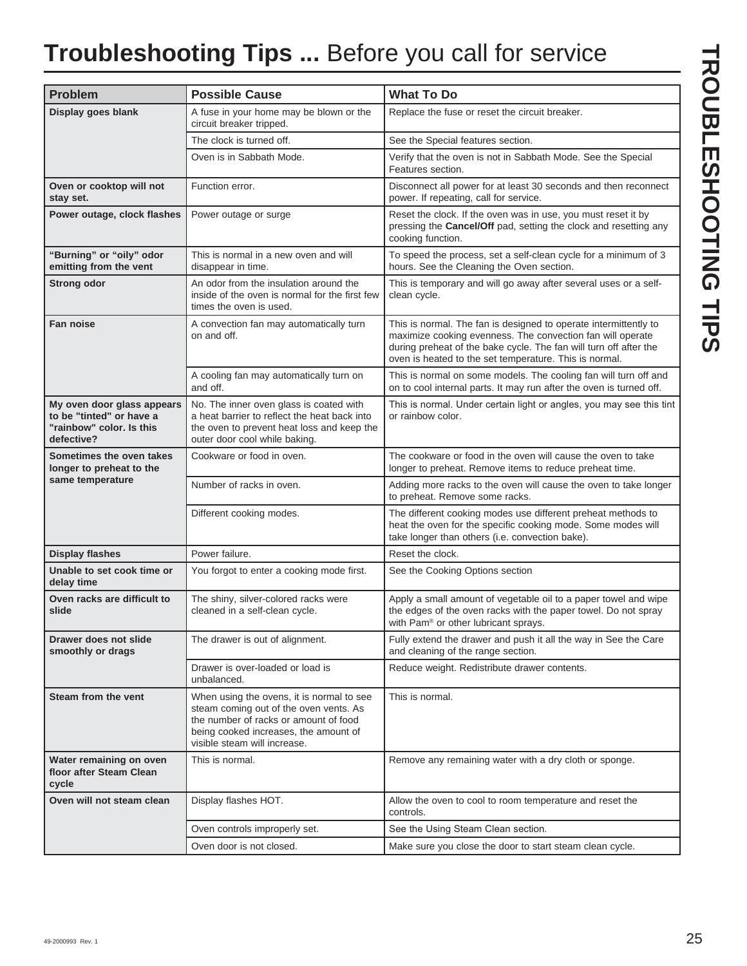# **Troubleshooting Tips ...** Before you call for service

| <b>Problem</b>                                                                                   | <b>Possible Cause</b>                                                                                                                                                                                 | <b>What To Do</b>                                                                                                                                                                                                                                             |
|--------------------------------------------------------------------------------------------------|-------------------------------------------------------------------------------------------------------------------------------------------------------------------------------------------------------|---------------------------------------------------------------------------------------------------------------------------------------------------------------------------------------------------------------------------------------------------------------|
| Display goes blank                                                                               | A fuse in your home may be blown or the<br>circuit breaker tripped.                                                                                                                                   | Replace the fuse or reset the circuit breaker.                                                                                                                                                                                                                |
|                                                                                                  | The clock is turned off.                                                                                                                                                                              | See the Special features section.                                                                                                                                                                                                                             |
|                                                                                                  | Oven is in Sabbath Mode.                                                                                                                                                                              | Verify that the oven is not in Sabbath Mode. See the Special<br>Features section.                                                                                                                                                                             |
| Oven or cooktop will not<br>stay set.                                                            | Function error.                                                                                                                                                                                       | Disconnect all power for at least 30 seconds and then reconnect<br>power. If repeating, call for service.                                                                                                                                                     |
| Power outage, clock flashes                                                                      | Power outage or surge                                                                                                                                                                                 | Reset the clock. If the oven was in use, you must reset it by<br>pressing the Cancel/Off pad, setting the clock and resetting any<br>cooking function.                                                                                                        |
| "Burning" or "oily" odor<br>emitting from the vent                                               | This is normal in a new oven and will<br>disappear in time.                                                                                                                                           | To speed the process, set a self-clean cycle for a minimum of 3<br>hours. See the Cleaning the Oven section.                                                                                                                                                  |
| <b>Strong odor</b>                                                                               | An odor from the insulation around the<br>inside of the oven is normal for the first few<br>times the oven is used.                                                                                   | This is temporary and will go away after several uses or a self-<br>clean cycle.                                                                                                                                                                              |
| <b>Fan noise</b>                                                                                 | A convection fan may automatically turn<br>on and off.                                                                                                                                                | This is normal. The fan is designed to operate intermittently to<br>maximize cooking evenness. The convection fan will operate<br>during preheat of the bake cycle. The fan will turn off after the<br>oven is heated to the set temperature. This is normal. |
|                                                                                                  | A cooling fan may automatically turn on<br>and off.                                                                                                                                                   | This is normal on some models. The cooling fan will turn off and<br>on to cool internal parts. It may run after the oven is turned off.                                                                                                                       |
| My oven door glass appears<br>to be "tinted" or have a<br>"rainbow" color. Is this<br>defective? | No. The inner oven glass is coated with<br>a heat barrier to reflect the heat back into<br>the oven to prevent heat loss and keep the<br>outer door cool while baking.                                | This is normal. Under certain light or angles, you may see this tint<br>or rainbow color.                                                                                                                                                                     |
| Sometimes the oven takes<br>longer to preheat to the<br>same temperature                         | Cookware or food in oven.                                                                                                                                                                             | The cookware or food in the oven will cause the oven to take<br>longer to preheat. Remove items to reduce preheat time.                                                                                                                                       |
|                                                                                                  | Number of racks in oven.                                                                                                                                                                              | Adding more racks to the oven will cause the oven to take longer<br>to preheat. Remove some racks.                                                                                                                                                            |
|                                                                                                  | Different cooking modes.                                                                                                                                                                              | The different cooking modes use different preheat methods to<br>heat the oven for the specific cooking mode. Some modes will<br>take longer than others (i.e. convection bake).                                                                               |
| <b>Display flashes</b>                                                                           | Power failure.                                                                                                                                                                                        | Reset the clock.                                                                                                                                                                                                                                              |
| Unable to set cook time or<br>delay time                                                         | You forgot to enter a cooking mode first.                                                                                                                                                             | See the Cooking Options section                                                                                                                                                                                                                               |
| Oven racks are difficult to<br>slide                                                             | The shiny, silver-colored racks were<br>cleaned in a self-clean cycle.                                                                                                                                | Apply a small amount of vegetable oil to a paper towel and wipe<br>the edges of the oven racks with the paper towel. Do not spray<br>with Pam® or other lubricant sprays.                                                                                     |
| Drawer does not slide<br>smoothly or drags                                                       | The drawer is out of alignment.                                                                                                                                                                       | Fully extend the drawer and push it all the way in See the Care<br>and cleaning of the range section.                                                                                                                                                         |
|                                                                                                  | Drawer is over-loaded or load is<br>unbalanced.                                                                                                                                                       | Reduce weight. Redistribute drawer contents.                                                                                                                                                                                                                  |
| Steam from the vent                                                                              | When using the ovens, it is normal to see<br>steam coming out of the oven vents. As<br>the number of racks or amount of food<br>being cooked increases, the amount of<br>visible steam will increase. | This is normal.                                                                                                                                                                                                                                               |
| Water remaining on oven<br>floor after Steam Clean<br>cycle                                      | This is normal.                                                                                                                                                                                       | Remove any remaining water with a dry cloth or sponge.                                                                                                                                                                                                        |
| Oven will not steam clean                                                                        | Display flashes HOT.                                                                                                                                                                                  | Allow the oven to cool to room temperature and reset the<br>controls.                                                                                                                                                                                         |
|                                                                                                  | Oven controls improperly set.                                                                                                                                                                         | See the Using Steam Clean section.                                                                                                                                                                                                                            |
|                                                                                                  | Oven door is not closed.                                                                                                                                                                              | Make sure you close the door to start steam clean cycle.                                                                                                                                                                                                      |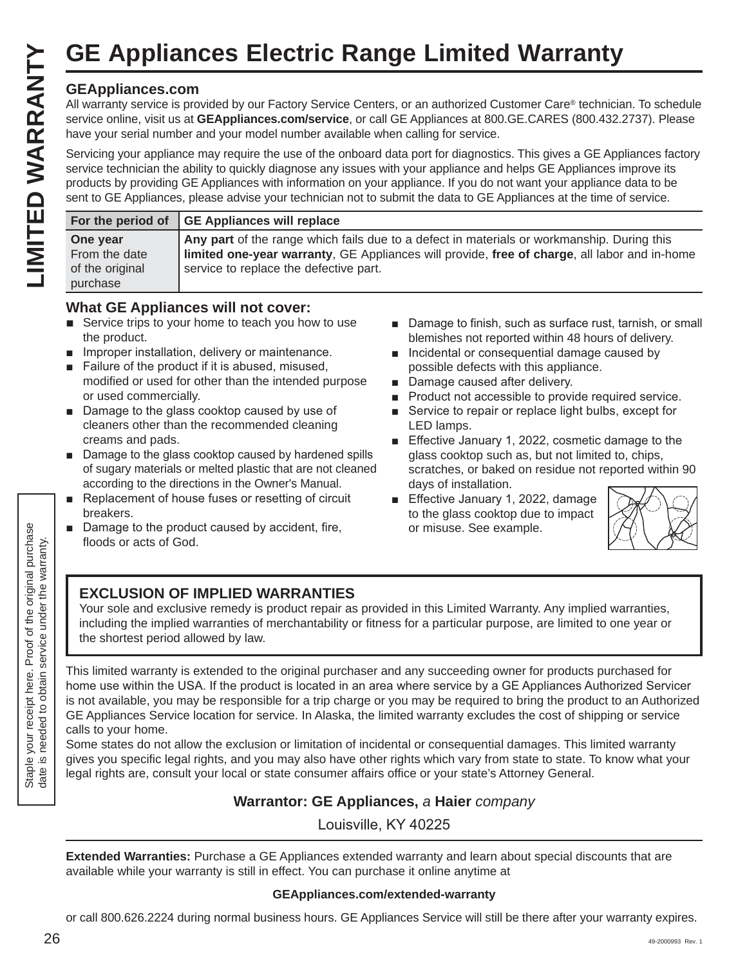### **GEAppliances.com**

|                                                          | <b>GE Appliances Electric Range Limited Warranty</b>                                                                                                                                                                                                                                                                                                                                                                                                                                               |
|----------------------------------------------------------|----------------------------------------------------------------------------------------------------------------------------------------------------------------------------------------------------------------------------------------------------------------------------------------------------------------------------------------------------------------------------------------------------------------------------------------------------------------------------------------------------|
| <b>GEAppliances.com</b>                                  | All warranty service is provided by our Factory Service Centers, or an authorized Customer Care® technician. To schedule<br>service online, visit us at GEAppliances.com/service, or call GE Appliances at 800.GE.CARES (800.432.2737). Please<br>have your serial number and your model number available when calling for service.                                                                                                                                                                |
|                                                          | Servicing your appliance may require the use of the onboard data port for diagnostics. This gives a GE Appliances factory<br>service technician the ability to quickly diagnose any issues with your appliance and helps GE Appliances improve its<br>products by providing GE Appliances with information on your appliance. If you do not want your appliance data to be<br>sent to GE Appliances, please advise your technician not to submit the data to GE Appliances at the time of service. |
| For the period of                                        | <b>GE Appliances will replace</b>                                                                                                                                                                                                                                                                                                                                                                                                                                                                  |
| One year<br>From the date<br>of the original<br>purchase | Any part of the range which fails due to a defect in materials or workmanship. During this<br>limited one-year warranty, GE Appliances will provide, free of charge, all labor and in-home<br>service to replace the defective part.                                                                                                                                                                                                                                                               |

### **What GE Appliances will not cover:**

- $\blacksquare$  Service trips to your home to teach you how to use the product.
- $\blacksquare$  Improper installation, delivery or maintenance.
- $\blacksquare$  Failure of the product if it is abused, misused, modified or used for other than the intended purpose or used commercially.
- $\blacksquare$  Damage to the glass cooktop caused by use of cleaners other than the recommended cleaning creams and pads.
- $\blacksquare$  Damage to the glass cooktop caused by hardened spills of sugary materials or melted plastic that are not cleaned according to the directions in the Owner's Manual.
- Replacement of house fuses or resetting of circuit breakers.
- Damage to the product caused by accident, fire, floods or acts of God.
- Damage to finish, such as surface rust, tarnish, or small blemishes not reported within 48 hours of delivery.
- Incidental or consequential damage caused by possible defects with this appliance.
- Damage caused after delivery.
- **Product not accessible to provide required service.**
- Service to repair or replace light bulbs, except for LED lamps.
- Effective January 1, 2022, cosmetic damage to the glass cooktop such as, but not limited to, chips, scratches, or baked on residue not reported within 90 days of installation.
- Effective January 1, 2022, damage to the glass cooktop due to impact or misuse. See example.



### **EXCLUSION OF IMPLIED WARRANTIES**

Your sole and exclusive remedy is product repair as provided in this Limited Warranty. Any implied warranties, including the implied warranties of merchantability or fitness for a particular purpose, are limited to one year or the shortest period allowed by law.

This limited warranty is extended to the original purchaser and any succeeding owner for products purchased for home use within the USA. If the product is located in an area where service by a GE Appliances Authorized Servicer is not available, you may be responsible for a trip charge or you may be required to bring the product to an Authorized GE Appliances Service location for service. In Alaska, the limited warranty excludes the cost of shipping or service calls to your home.

Some states do not allow the exclusion or limitation of incidental or consequential damages. This limited warranty gives you specific legal rights, and you may also have other rights which vary from state to state. To know what your legal rights are, consult your local or state consumer affairs office or your state's Attorney General.

### **Warrantor: GE Appliances,** *a* **Haier** *company*

Louisville, KY 40225

**Extended Warranties:** Purchase a GE Appliances extended warranty and learn about special discounts that are available while your warranty is still in effect. You can purchase it online anytime at

### **GEAppliances.com/extended-warranty**

or call 800.626.2224 during normal business hours. GE Appliances Service will still be there after your warranty expires.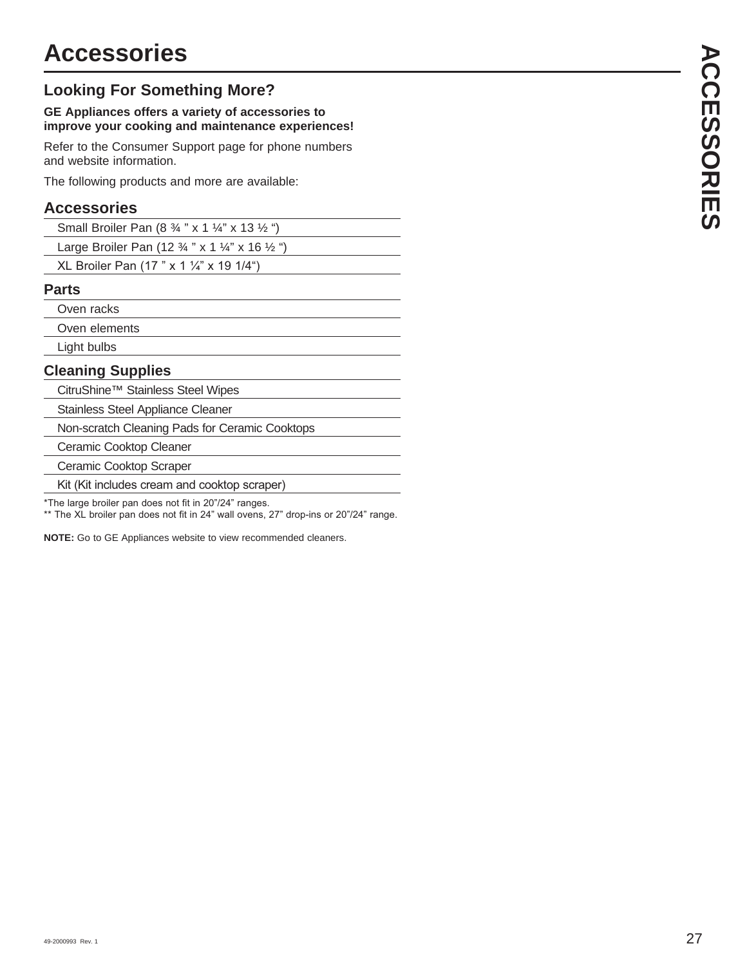### **Looking For Something More?**

### **GE Appliances offers a variety of accessories to improve your cooking and maintenance experiences!**

Refer to the Consumer Support page for phone numbers and website information.

The following products and more are available:

### **Accessories**

Large Broiler Pan (12 ¾ " x 1 ¼" x 16 ½ ")

XL Broiler Pan (17 " x 1  $\frac{1}{4}$ " x 19 1/4")

### **Parts**

Oven racks

Oven elements

Light bulbs

### **Cleaning Supplies**

CitruShine™ Stainless Steel Wipes

Stainless Steel Appliance Cleaner

Non-scratch Cleaning Pads for Ceramic Cooktops

Ceramic Cooktop Cleaner

Ceramic Cooktop Scraper

Kit (Kit includes cream and cooktop scraper)

\*The large broiler pan does not fit in 20"/24" ranges.

\*\* The XL broiler pan does not fit in 24" wall ovens, 27" drop-ins or 20"/24" range.

**NOTE:** Go to GE Appliances website to view recommended cleaners.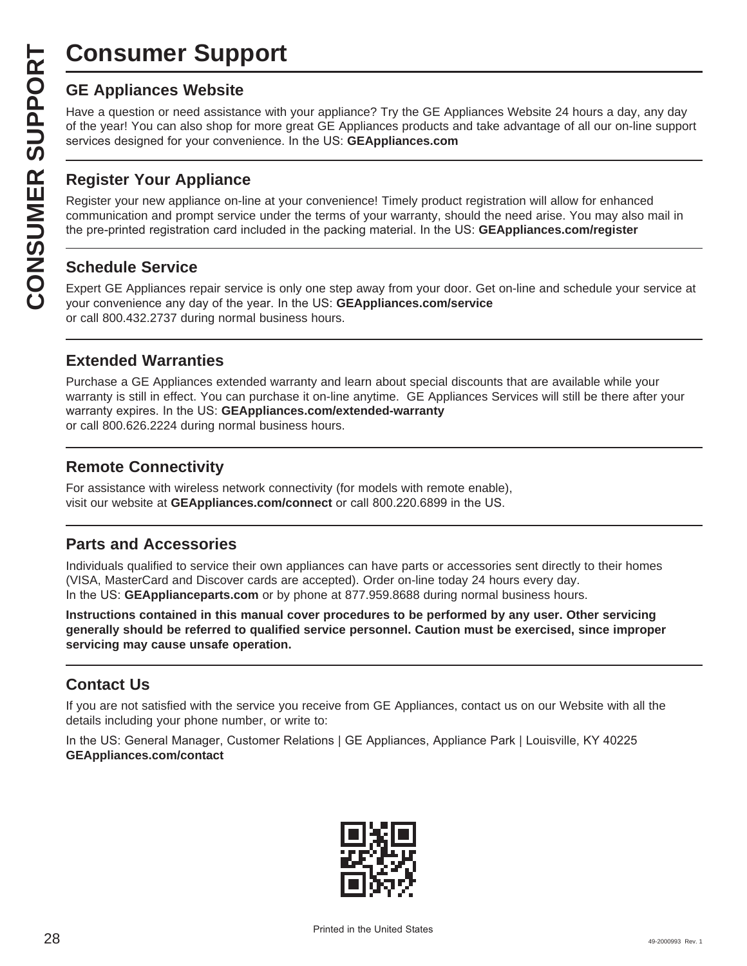# **Consumer Support**

**CONSUMER SUP**<br> **GE Appliances Website**<br>
Have a question or need assistar<br>
of the year! You can also shop for<br>
services designed for your conver<br> **CONSUMER Appliance OF APPLIANCE Register your new appliance on-1**<br> **CONSUME** Have a question or need assistance with your appliance? Try the GE Appliances Website 24 hours a day, any day of the year! You can also shop for more great GE Appliances products and take advantage of all our on-line support services designed for your convenience. In the US: GEAppliances.com

### **Register Your Appliance**

Register your new appliance on-line at your convenience! Timely product registration will allow for enhanced communication and prompt service under the terms of your warranty, should the need arise. You may also mail in the pre-printed registration card included in the packing material. In the US: **GEAppliances.com/register** 

### **Schedule Service**

Expert GE Appliances repair service is only one step away from your door. Get on-line and schedule your service at your convenience any day of the year. In the US: **GEAppliances.com/service** or call 800.432.2737 during normal business hours.

### **Extended Warranties**

Purchase a GE Appliances extended warranty and learn about special discounts that are available while your warranty is still in effect. You can purchase it on-line anytime. GE Appliances Services will still be there after your warranty expires. In the US: GEAppliances.com/extended-warranty or call 800.626.2224 during normal business hours.

### **Remote Connectivity**

For assistance with wireless network connectivity (for models with remote enable), visit our website at GEAppliances.com/connect or call 800.220.6899 in the US.

### **Parts and Accessories**

Individuals qualified to service their own appliances can have parts or accessories sent directly to their homes (VISA, MasterCard and Discover cards are accepted). Order on-line today 24 hours every day. In the US: **GEApplianceparts.com** or by phone at 877.959.8688 during normal business hours.

**Instructions contained in this manual cover procedures to be performed by any user. Other servicing generally should be referred to qualified service personnel. Caution must be exercised, since improper servicing may cause unsafe operation.**

### **Contact Us**

If you are not satisfied with the service you receive from GE Appliances, contact us on our Website with all the details including your phone number, or write to:

In the US: General Manager, Customer Relations | GE Appliances, Appliance Park | Louisville, KY 40225 **GEAppliances.com/contact**

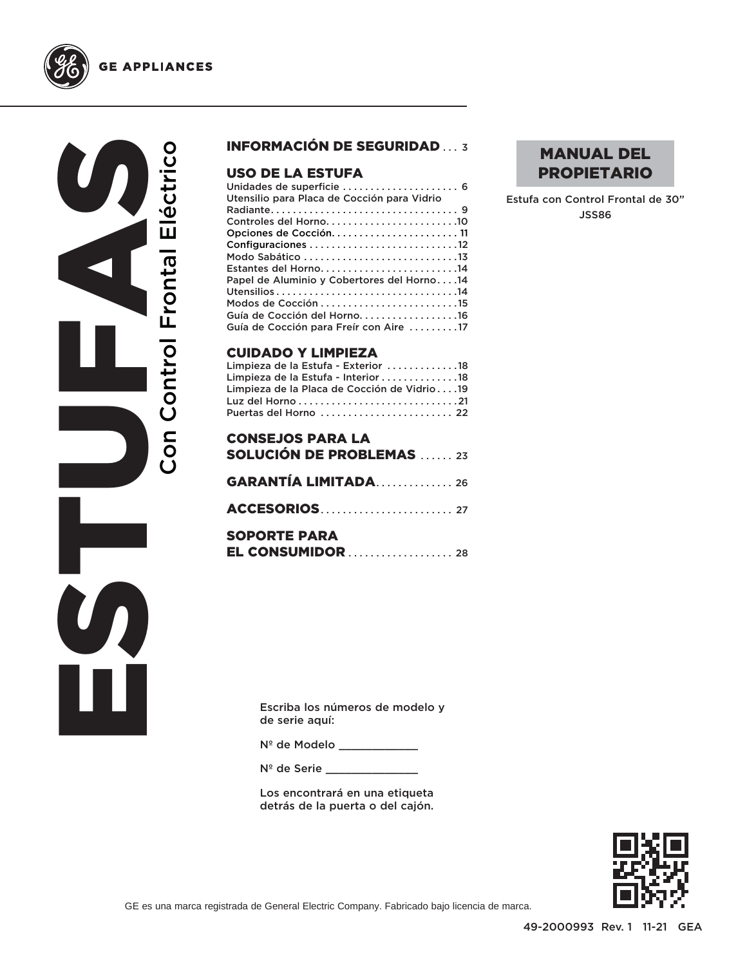



# ESTUS EST Con Control Frontal Eléctrico Con Control Frontal Eléctrico

### INFORMACIÓN DE SEGURIDAD ... 3

### USO DE LA ESTUFA

| Estantes del Horno14                       |
|--------------------------------------------|
| Papel de Aluminio y Cobertores del Horno14 |
|                                            |
|                                            |
| Guía de Cocción del Horno. 16              |
| Guía de Cocción para Freír con Aire 17     |
|                                            |

### CUIDADO Y LIMPIEZA

| Limpieza de la Estufa - Exterior 18         |  |
|---------------------------------------------|--|
| Limpieza de la Estufa - Interior 18         |  |
| Limpieza de la Placa de Cocción de Vidrio19 |  |
|                                             |  |
| Puertas del Horno  22                       |  |

### CONSEJOS PARA LA SOLUCIÓN DE PROBLEMAS ...... 23

| <b>GARANTÍA LIMITADA26</b> |  |  |
|----------------------------|--|--|
|                            |  |  |
| <b>SOPORTE PARA</b>        |  |  |
| <b>EL CONSUMIDOR</b> 28    |  |  |

### MANUAL DEL PROPIETARIO

Estufa con Control Frontal de 30" JSS86

Escriba los números de modelo y de serie aquí:

Nº de Modelo \_\_\_\_\_\_\_\_\_\_\_\_

Nº de Serie \_\_\_\_\_\_\_\_

Los encontrará en una etiqueta detrás de la puerta o del cajón.

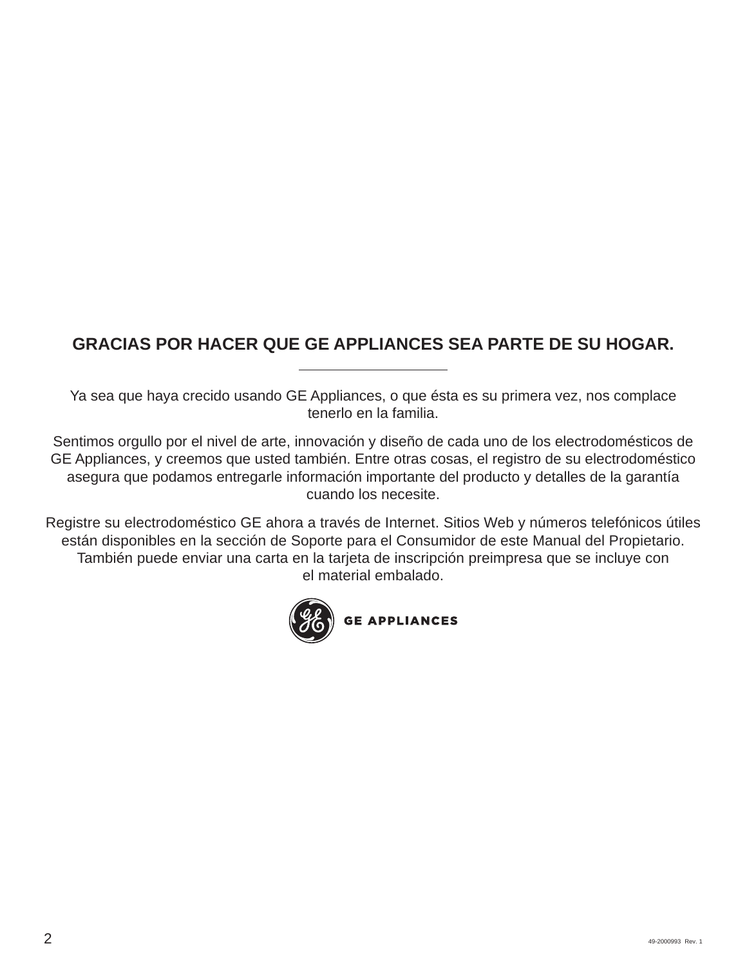### **GRACIAS POR HACER QUE GE APPLIANCES SEA PARTE DE SU HOGAR.**

Ya sea que haya crecido usando GE Appliances, o que ésta es su primera vez, nos complace tenerlo en la familia.

Sentimos orgullo por el nivel de arte, innovación y diseño de cada uno de los electrodomésticos de GE Appliances, y creemos que usted también. Entre otras cosas, el registro de su electrodoméstico asegura que podamos entregarle información importante del producto y detalles de la garantía cuando los necesite.

Registre su electrodoméstico GE ahora a través de Internet. Sitios Web y números telefónicos útiles están disponibles en la sección de Soporte para el Consumidor de este Manual del Propietario. También puede enviar una carta en la tarjeta de inscripción preimpresa que se incluye con el material embalado.

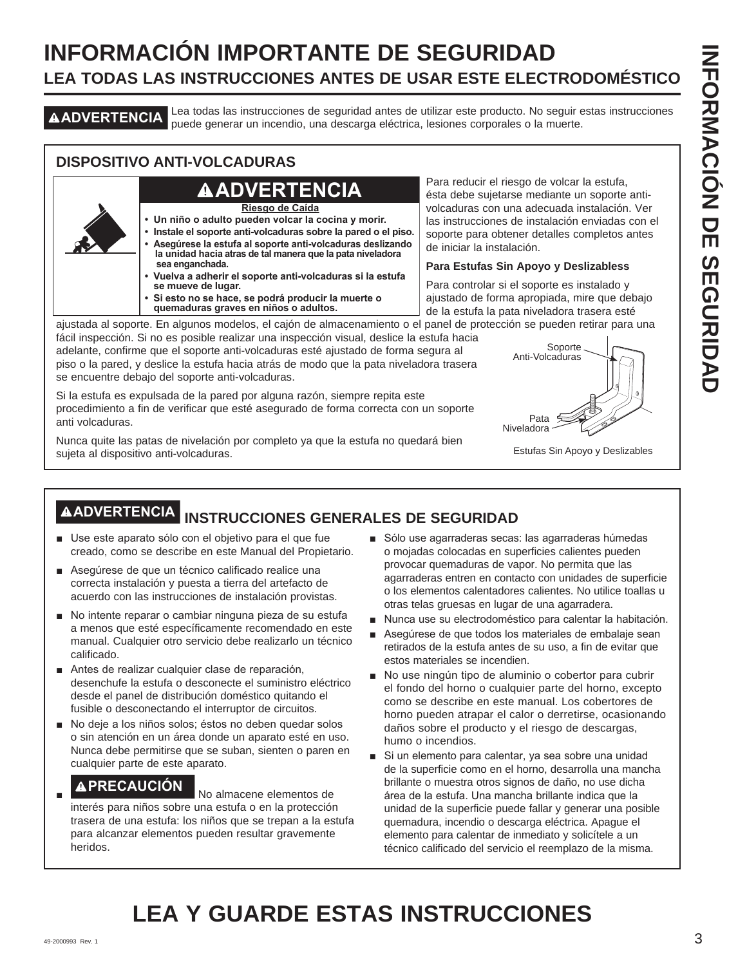# **INFORMACIÓN IMPORTANTE DE SEGURIDAD LEA TODAS LAS INSTRUCCIONES ANTES DE USAR ESTE ELECTRODOMÉSTICO**

**ADVERTENCIA** Lea todas las instrucciones de seguridad antes de utilizar este producto. No seguir estas instrucciones puede generar un incendio, una descarga eléctrica, lesiones corporales o la muerte.

### **DISPOSITIVO ANTI-VOLCADURAS**

### **ADVERTENCIA**

**Riesgo de Caída**

- **Un niño o adulto pueden volcar la cocina y morir.**
- **Instale el soporte anti-volcaduras sobre la pared o el piso. • Asegúrese la estufa al soporte anti-volcaduras deslizando la unidad hacia atras de tal manera que la pata niveladora sea enganchada.**
- **Vuelva a adherir el soporte anti-volcaduras si la estufa se mueve de lugar.**
- **Si esto no se hace, se podrá producir la muerte o quemaduras graves en niños o adultos.**

Para reducir el riesgo de volcar la estufa, ésta debe sujetarse mediante un soporte antivolcaduras con una adecuada instalación. Ver las instrucciones de instalación enviadas con el soporte para obtener detalles completos antes de iniciar la instalación.

### **Para Estufas Sin Apoyo y Deslizabless**

Para controlar si el soporte es instalado y ajustado de forma apropiada, mire que debajo de la estufa la pata niveladora trasera esté

ajustada al soporte. En algunos modelos, el cajón de almacenamiento o el panel de protección se pueden retirar para una fácil inspección. Si no es posible realizar una inspección visual, deslice la estufa hacia

adelante, confirme que el soporte anti-volcaduras esté ajustado de forma segura al piso o la pared, y deslice la estufa hacia atrás de modo que la pata niveladora trasera se encuentre debajo del soporte anti-volcaduras.

Si la estufa es expulsada de la pared por alguna razón, siempre repita este procedimiento a fin de verificar que esté asegurado de forma correcta con un soporte anti volcaduras.

Nunca quite las patas de nivelación por completo ya que la estufa no quedará bien sujeta al dispositivo anti-volcaduras.



Estufas Sin Apoyo y Deslizables

# **ADVERTENCIA INSTRUCCIONES GENERALES DE SEGURIDAD**

- Use este aparato sólo con el objetivo para el que fue creado, como se describe en este Manual del Propietario.
- Asequrese de que un técnico calificado realice una correcta instalación y puesta a tierra del artefacto de acuerdo con las instrucciones de instalación provistas.
- No intente reparar o cambiar ninguna pieza de su estufa a menos que esté específicamente recomendado en este manual. Cualquier otro servicio debe realizarlo un técnico calificado.
- Antes de realizar cualquier clase de reparación, desenchufe la estufa o desconecte el suministro eléctrico desde el panel de distribución doméstico quitando el fusible o desconectando el interruptor de circuitos.
- No deje a los niños solos; éstos no deben quedar solos o sin atención en un área donde un aparato esté en uso. Nunca debe permitirse que se suban, sienten o paren en cualquier parte de este aparato.

### **APRECAUCIÓN** No almacene elementos de

interés para niños sobre una estufa o en la protección trasera de una estufa: los niños que se trepan a la estufa para alcanzar elementos pueden resultar gravemente heridos.

- Sólo use agarraderas secas: las agarraderas húmedas o mojadas colocadas en superficies calientes pueden provocar quemaduras de vapor. No permita que las agarraderas entren en contacto con unidades de superficie o los elementos calentadores calientes. No utilice toallas u otras telas gruesas en lugar de una agarradera.
- Nunca use su electrodoméstico para calentar la habitación.
- Asegúrese de que todos los materiales de embalaje sean retirados de la estufa antes de su uso, a fin de evitar que estos materiales se incendien.
- No use ningún tipo de aluminio o cobertor para cubrir el fondo del horno o cualquier parte del horno, excepto como se describe en este manual. Los cobertores de horno pueden atrapar el calor o derretirse, ocasionando daños sobre el producto y el riesgo de descargas, humo o incendios.
- Si un elemento para calentar, ya sea sobre una unidad de la superficie como en el horno, desarrolla una mancha brillante o muestra otros signos de daño, no use dicha área de la estufa. Una mancha brillante indica que la unidad de la superficie puede fallar y generar una posible quemadura, incendio o descarga eléctrica. Apague el elemento para calentar de inmediato y solicítele a un técnico calificado del servicio el reemplazo de la misma.

# **LEA Y GUARDE ESTAS INSTRUCCIONES**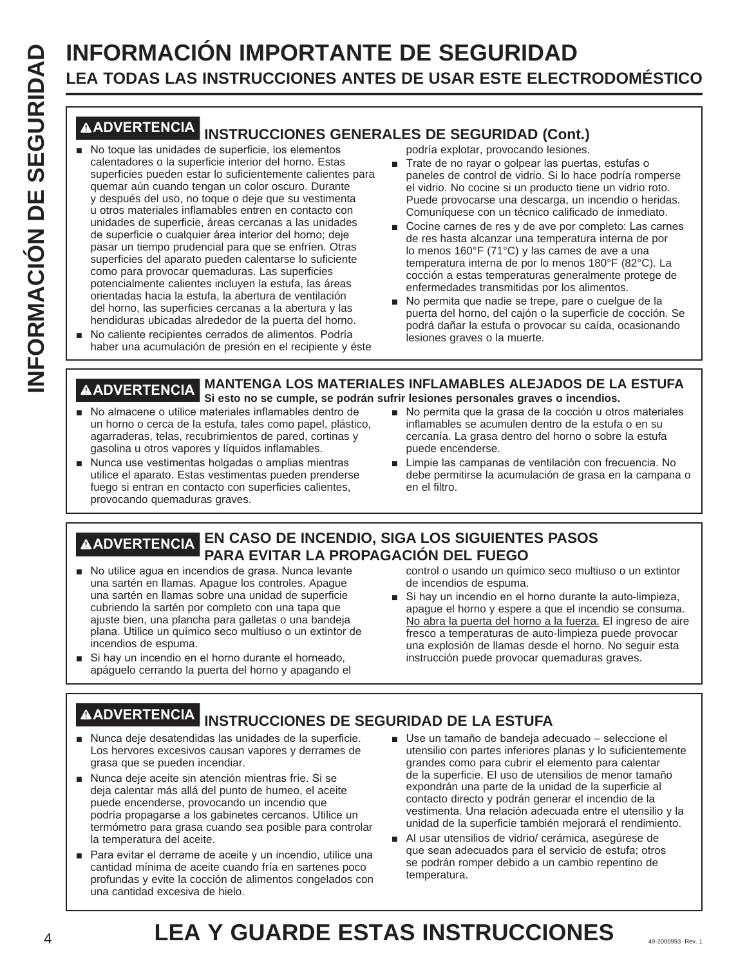# **LEA TODAS LAS INSTRUCCIONES ANTES DE USAR ESTE ELECTRODOMÉSTICO**

- **LEA THOMACIÓN IMPORTANTE DE SEGURIDAD**<br> **LEA TONNACIÓN ES INSTRUCCIONES ARMES DE USAR ESTE ELECTRODOMÉSTICO<br>
<b>LEA Y GUARDEMENTE DE USAS INSTRUCCIONES** 69-2000 PRODUIDAD COM ENTERED ESTAS INSTRUCCIONES ARMES DE SEGURIDAD C **ADVERTENCIA INSTRUCCIONES GENERALES DE SEGURIDAD (Cont.)** No toque las unidades de superficie, los elementos calentadores o la superficie interior del horno. Estas superficies pueden estar lo suficientemente calientes para quemar aún cuando tengan un color oscuro. Durante y después del uso, no toque o deje que su vestimenta u otros materiales inflamables entren en contacto con unidades de superficie, áreas cercanas a las unidades de superficie o cualquier área interior del horno; deje pasar un tiempo prudencial para que se enfríen. Otras superficies del aparato pueden calentarse lo suficiente como para provocar quemaduras. Las superficies potencialmente calientes incluyen la estufa, las áreas orientadas hacia la estufa, la abertura de ventilación del horno, las superficies cercanas a la abertura y las hendiduras ubicadas alrededor de la puerta del horno.
	- No caliente recipientes cerrados de alimentos. Podría haber una acumulación de presión en el recipiente y éste

podría explotar, provocando lesiones.

- Trate de no rayar o golpear las puertas, estufas o paneles de control de vidrio. Si lo hace podría romperse el vidrio. No cocine si un producto tiene un vidrio roto. Puede provocarse una descarga, un incendio o heridas. Comuníquese con un técnico calificado de inmediato.
- Cocine carnes de res y de ave por completo: Las carnes de res hasta alcanzar una temperatura interna de por lo menos 160°F (71°C) y las carnes de ave a una temperatura interna de por lo menos 180°F (82°C). La cocción a estas temperaturas generalmente protege de enfermedades transmitidas por los alimentos.
- No permita que nadie se trepe, pare o cuelgue de la puerta del horno, del cajón o la superficie de cocción. Se podrá dañar la estufa o provocar su caída, ocasionando lesiones graves o la muerte.

### **ADVERTENCIA MANTENGA LOS MATERIALES INFLAMABLES ALEJADOS DE LA ESTUFA Si esto no se cumple, se podrán sufrir lesiones personales graves o incendios.**

- No almacene o utilice materiales inflamables dentro de un horno o cerca de la estufa, tales como papel, plástico, agarraderas, telas, recubrimientos de pared, cortinas y gasolina u otros vapores y líquidos inflamables.
- Nunca use vestimentas holgadas o amplias mientras utilice el aparato. Estas vestimentas pueden prenderse fuego si entran en contacto con superficies calientes, provocando quemaduras graves.
- No permita que la grasa de la cocción u otros materiales inflamables se acumulen dentro de la estufa o en su cercanía. La grasa dentro del horno o sobre la estufa puede encenderse.
- Limpie las campanas de ventilación con frecuencia. No debe permitirse la acumulación de grasa en la campana o en el filtro.

### **ADVERTENCIA EN CASO DE INCENDIO, SIGA LOS SIGUIENTES PASOS PARA EVITAR LA PROPAGACIÓN DEL FUEGO**

- No utilice agua en incendios de grasa. Nunca levante una sartén en llamas. Apague los controles. Apague una sartén en llamas sobre una unidad de superficie cubriendo la sartén por completo con una tapa que ajuste bien, una plancha para galletas o una bandeja plana. Utilice un químico seco multiuso o un extintor de incendios de espuma.
- Si hay un incendio en el horno durante el horneado, apáguelo cerrando la puerta del horno y apagando el

control o usando un químico seco multiuso o un extintor de incendios de espuma.

Si hay un incendio en el horno durante la auto-limpieza, apague el horno y espere a que el incendio se consuma. No abra la puerta del horno a la fuerza. El ingreso de aire fresco a temperaturas de auto-limpieza puede provocar una explosión de llamas desde el horno. No seguir esta instrucción puede provocar quemaduras graves.

- **ADVERTENCIA INSTRUCCIONES DE SEGURIDAD DE LA ESTUFA**
- Nunca deje desatendidas las unidades de la superficie. Los hervores excesivos causan vapores y derrames de grasa que se pueden incendiar.
- Nunca deje aceite sin atención mientras fríe. Si se deja calentar más allá del punto de humeo, el aceite puede encenderse, provocando un incendio que podría propagarse a los gabinetes cercanos. Utilice un termómetro para grasa cuando sea posible para controlar la temperatura del aceite.
- Para evitar el derrame de aceite y un incendio, utilice una cantidad mínima de aceite cuando fría en sartenes poco profundas y evite la cocción de alimentos congelados con una cantidad excesiva de hielo.
- Use un tamaño de bandeja adecuado seleccione el utensilio con partes inferiores planas y lo suficientemente grandes como para cubrir el elemento para calentar de la superficie. El uso de utensilios de menor tamaño expondrán una parte de la unidad de la superficie al contacto directo y podrán generar el incendio de la vestimenta. Una relación adecuada entre el utensilio y la unidad de la superficie también mejorará el rendimiento.
- Al usar utensilios de vidrio/ cerámica, asegúrese de que sean adecuados para el servicio de estufa; otros se podrán romper debido a un cambio repentino de temperatura.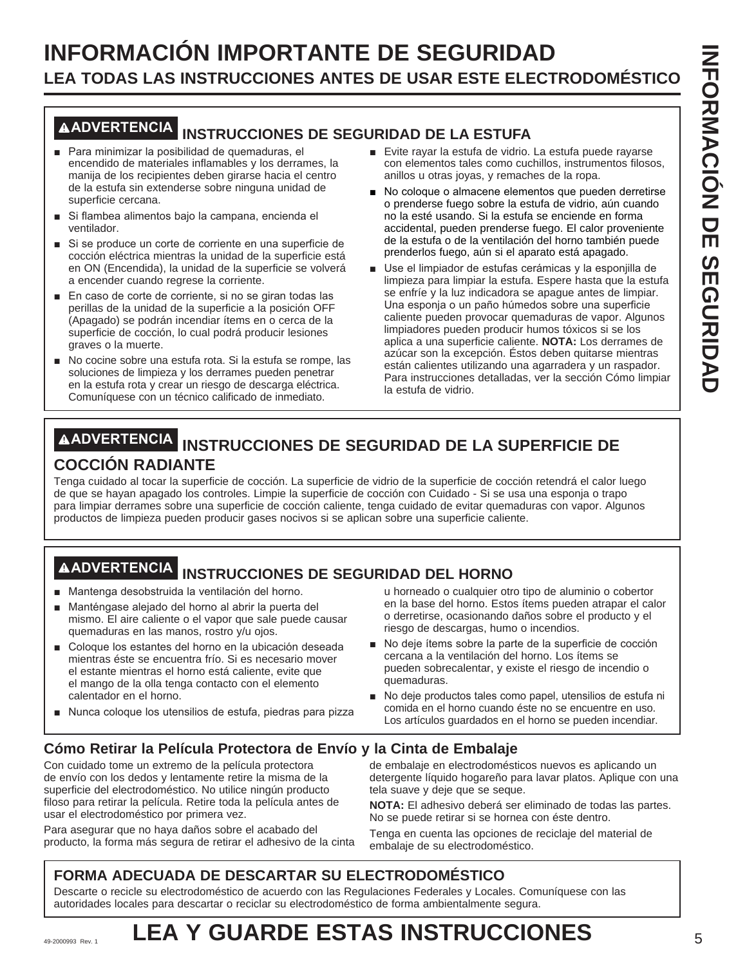# **INFORMACIÓN IMPORTANTE DE SEGURIDAD LEA TODAS LAS INSTRUCCIONES ANTES DE USAR ESTE ELECTRODOMÉSTICO**

### **ADVERTENCIA INSTRUCCIONES DE SEGURIDAD DE LA ESTUFA**

- Para minimizar la posibilidad de quemaduras, el encendido de materiales inflamables y los derrames, la manija de los recipientes deben girarse hacia el centro de la estufa sin extenderse sobre ninguna unidad de superficie cercana.
- Si flambea alimentos bajo la campana, encienda el ventilador.
- Si se produce un corte de corriente en una superficie de cocción eléctrica mientras la unidad de la superficie está en ON (Encendida), la unidad de la superficie se volverá a encender cuando regrese la corriente.
- En caso de corte de corriente, si no se giran todas las perillas de la unidad de la superficie a la posición OFF (Apagado) se podrán incendiar ítems en o cerca de la superficie de cocción, lo cual podrá producir lesiones graves o la muerte.
- No cocine sobre una estufa rota. Si la estufa se rompe, las soluciones de limpieza y los derrames pueden penetrar en la estufa rota y crear un riesgo de descarga eléctrica. Comuníquese con un técnico calificado de inmediato.
- Evite rayar la estufa de vidrio. La estufa puede rayarse con elementos tales como cuchillos, instrumentos filosos, anillos u otras joyas, y remaches de la ropa.
- No coloque o almacene elementos que pueden derretirse o prenderse fuego sobre la estufa de vidrio, aún cuando no la esté usando. Si la estufa se enciende en forma accidental, pueden prenderse fuego. El calor proveniente de la estufa o de la ventilación del horno también puede prenderlos fuego, aún si el aparato está apagado.
- Use el limpiador de estufas cerámicas y la esponiilla de limpieza para limpiar la estufa. Espere hasta que la estufa se enfríe y la luz indicadora se apague antes de limpiar. Una esponja o un paño húmedos sobre una superficie caliente pueden provocar quemaduras de vapor. Algunos limpiadores pueden producir humos tóxicos si se los aplica a una superficie caliente. **NOTA:** Los derrames de azúcar son la excepción. Éstos deben quitarse mientras están calientes utilizando una agarradera y un raspador. Para instrucciones detalladas, ver la sección Cómo limpiar la estufa de vidrio.

### **ADVERTENCIA INSTRUCCIONES DE SEGURIDAD DE LA SUPERFICIE DE COCCIÓN RADIANTE**

Tenga cuidado al tocar la superficie de cocción. La superficie de vidrio de la superficie de cocción retendrá el calor luego de que se hayan apagado los controles. Limpie la superficie de cocción con Cuidado - Si se usa una esponja o trapo para limpiar derrames sobre una superficie de cocción caliente, tenga cuidado de evitar quemaduras con vapor. Algunos productos de limpieza pueden producir gases nocivos si se aplican sobre una superficie caliente.

# **ADVERTENCIA INSTRUCCIONES DE SEGURIDAD DEL HORNO**

- Mantenga desobstruida la ventilación del horno.
- Manténgase alejado del horno al abrir la puerta del mismo. El aire caliente o el vapor que sale puede causar quemaduras en las manos, rostro y/u ojos.
- Coloque los estantes del horno en la ubicación deseada mientras éste se encuentra frío. Si es necesario mover el estante mientras el horno está caliente, evite que el mango de la olla tenga contacto con el elemento calentador en el horno.
- Nunca coloque los utensilios de estufa, piedras para pizza

u horneado o cualquier otro tipo de aluminio o cobertor en la base del horno. Estos ítems pueden atrapar el calor o derretirse, ocasionando daños sobre el producto y el riesgo de descargas, humo o incendios.

- No deje ítems sobre la parte de la superficie de cocción cercana a la ventilación del horno. Los ítems se pueden sobrecalentar, y existe el riesgo de incendio o quemaduras.
- No deje productos tales como papel, utensilios de estufa ni comida en el horno cuando éste no se encuentre en uso. Los artículos guardados en el horno se pueden incendiar.

### **Cómo Retirar la Película Protectora de Envío y la Cinta de Embalaje**

Con cuidado tome un extremo de la película protectora de envío con los dedos y lentamente retire la misma de la superficie del electrodoméstico. No utilice ningún producto filoso para retirar la película. Retire toda la película antes de usar el electrodoméstico por primera vez.

Para asegurar que no haya daños sobre el acabado del producto, la forma más segura de retirar el adhesivo de la cinta de embalaje en electrodomésticos nuevos es aplicando un detergente líquido hogareño para lavar platos. Aplique con una tela suave y deje que se seque.

**NOTA:** El adhesivo deberá ser eliminado de todas las partes. No se puede retirar si se hornea con éste dentro.

Tenga en cuenta las opciones de reciclaje del material de embalaje de su electrodoméstico.

### **FORMA ADECUADA DE DESCARTAR SU ELECTRODOMÉSTICO**

Descarte o recicle su electrodoméstico de acuerdo con las Regulaciones Federales y Locales. Comuníquese con las autoridades locales para descartar o reciclar su electrodoméstico de forma ambientalmente segura.

# 49-2000993 Rev. 1 **LEA Y GUARDE ESTAS INSTRUCCIONES**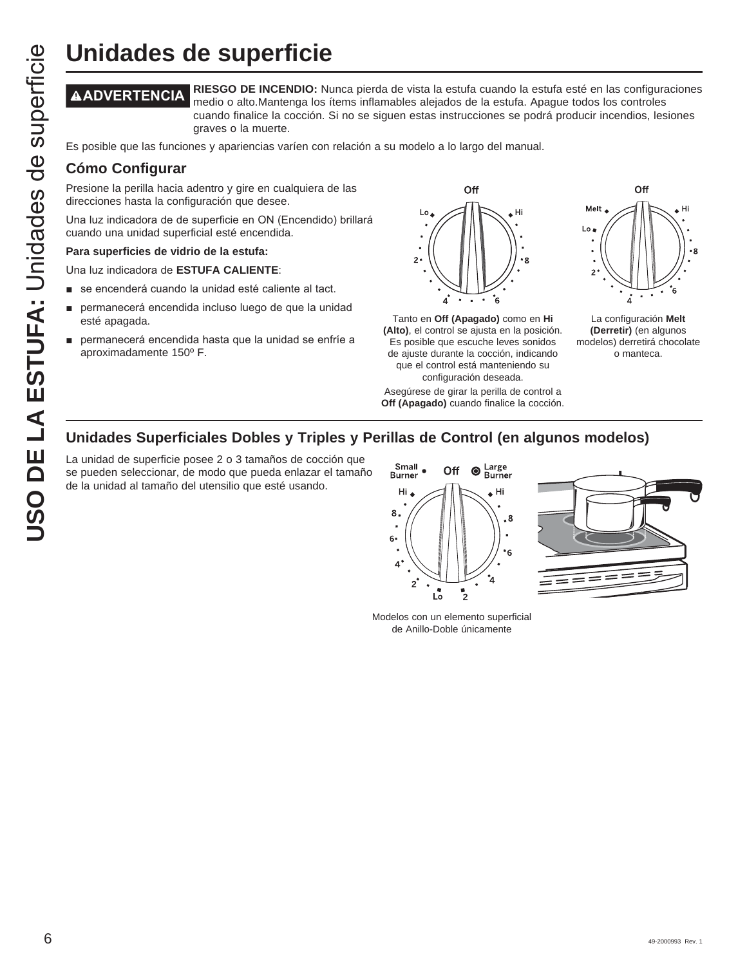**ADVERTENCIA RIESGO DE INCENDIO:** Nunca pierda de vista la estufa cuando la estufa esté en las configuraciones medio o alto.Mantenga los ítems inflamables alejados de la estufa. Apague todos los controles cuando finalice la cocción. Si no se siguen estas instrucciones se podrá producir incendios, lesiones graves o la muerte.

Es posible que las funciones y apariencias varíen con relación a su modelo a lo largo del manual.

### **Cómo Configurar**

Presione la perilla hacia adentro y gire en cualquiera de las direcciones hasta la configuración que desee.

Una luz indicadora de de superficie en ON (Encendido) brillará cuando una unidad superficial esté encendida.

### **Para superficies de vidrio de la estufa:**

Una luz indicadora de **ESTUFA CALIENTE:** 

- se encenderá cuando la unidad esté caliente al tact.
- permanecerá encendida incluso luego de que la unidad esté apagada.
- permanecerá encendida hasta que la unidad se enfríe a aproximadamente 150º F.



Tanto en **Off (Apagado)** como en **Hi (Alto)**, el control se ajusta en la posición. Es posible que escuche leves sonidos de ajuste durante la cocción, indicando que el control está manteniendo su configuración deseada.

Asegúrese de girar la perilla de control a **Off (Apagado)** cuando finalice la cocción.



La configuración **Melt (Derretir)** (en algunos modelos) derretirá chocolate o manteca.

### **Unidades Superficiales Dobles y Triples y Perillas de Control (en algunos modelos)**

La unidad de superficie posee 2 o 3 tamaños de cocción que se pueden seleccionar, de modo que pueda enlazar el tamaño de la unidad al tamaño del utensilio que esté usando.





Modelos con un elemento superficial de Anillo-Doble únicamente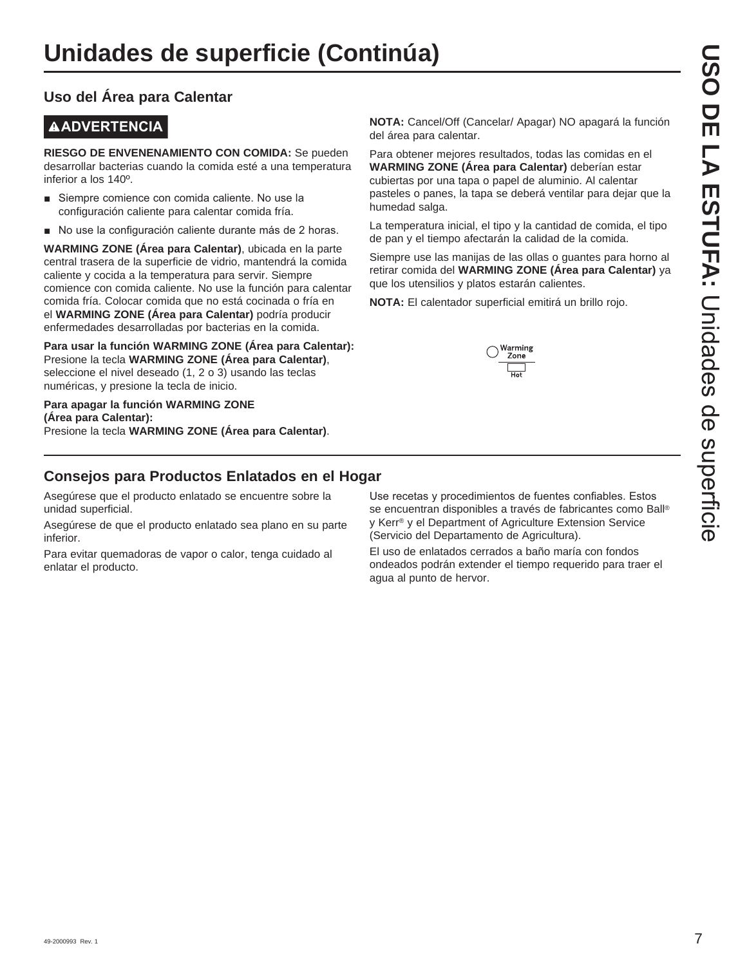### **Uso del Área para Calentar**

### **ADVERTENCIA**

**RIESGO DE ENVENENAMIENTO CON COMIDA:** Se pueden desarrollar bacterias cuando la comida esté a una temperatura inferior a los 140º.

- Siempre comience con comida caliente. No use la configuración caliente para calentar comida fría.
- No use la configuración caliente durante más de 2 horas.

**WARMING ZONE (Área para Calentar)**, ubicada en la parte central trasera de la superficie de vidrio, mantendrá la comida caliente y cocida a la temperatura para servir. Siempre comience con comida caliente. No use la función para calentar comida fría. Colocar comida que no está cocinada o fría en el **WARMING ZONE (Área para Calentar)** podría producir enfermedades desarrolladas por bacterias en la comida.

**Para usar la función WARMING ZONE (Área para Calentar):** Presione la tecla **WARMING ZONE (Área para Calentar)**, seleccione el nivel deseado (1, 2 o 3) usando las teclas numéricas, y presione la tecla de inicio.

### **Para apagar la función WARMING ZONE (Área para Calentar):** Presione la tecla **WARMING ZONE (Área para Calentar)**.

**NOTA:** Cancel/Off (Cancelar/ Apagar) NO apagará la función del área para calentar.

Para obtener mejores resultados, todas las comidas en el **WARMING ZONE (Área para Calentar)** deberían estar cubiertas por una tapa o papel de aluminio. Al calentar pasteles o panes, la tapa se deberá ventilar para dejar que la humedad salga.

La temperatura inicial, el tipo y la cantidad de comida, el tipo de pan y el tiempo afectarán la calidad de la comida.

Siempre use las manijas de las ollas o guantes para horno al retirar comida del **WARMING ZONE (Área para Calentar)** ya que los utensilios y platos estarán calientes.

**NOTA:** El calentador superficial emitirá un brillo rojo.



### **Consejos para Productos Enlatados en el Hogar**

Asegúrese que el producto enlatado se encuentre sobre la unidad superficial.

Asegúrese de que el producto enlatado sea plano en su parte inferior.

Para evitar quemadoras de vapor o calor, tenga cuidado al enlatar el producto.

Use recetas y procedimientos de fuentes confiables. Estos se encuentran disponibles a través de fabricantes como Ball® y Kerr® y el Department of Agriculture Extension Service (Servicio del Departamento de Agricultura).

El uso de enlatados cerrados a baño maría con fondos ondeados podrán extender el tiempo requerido para traer el agua al punto de hervor.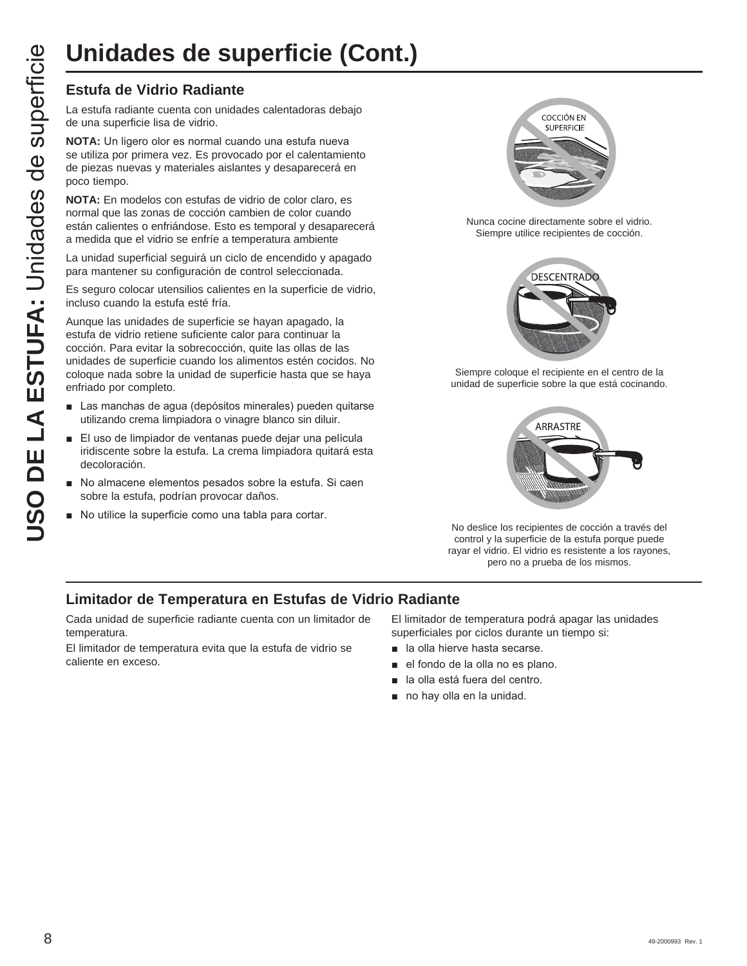### **Estufa de Vidrio Radiante**

La estufa radiante cuenta con unidades calentadoras debajo de una superficie lisa de vidrio.

**NOTA:** Un ligero olor es normal cuando una estufa nueva se utiliza por primera vez. Es provocado por el calentamiento de piezas nuevas y materiales aislantes y desaparecerá en poco tiempo.

**NOTA:** En modelos con estufas de vidrio de color claro, es normal que las zonas de cocción cambien de color cuando están calientes o enfriándose. Esto es temporal y desaparecerá a medida que el vidrio se enfríe a temperatura ambiente

La unidad superficial seguirá un ciclo de encendido y apagado para mantener su configuración de control seleccionada.

Es seguro colocar utensilios calientes en la superficie de vidrio, incluso cuando la estufa esté fría.

Aunque las unidades de superficie se hayan apagado, la estufa de vidrio retiene suficiente calor para continuar la cocción. Para evitar la sobrecocción, quite las ollas de las unidades de superficie cuando los alimentos estén cocidos. No coloque nada sobre la unidad de superficie hasta que se haya enfriado por completo.

- Las manchas de agua (depósitos minerales) pueden quitarse utilizando crema limpiadora o vinagre blanco sin diluir.
- El uso de limpiador de ventanas puede dejar una película iridiscente sobre la estufa. La crema limpiadora quitará esta decoloración.
- No almacene elementos pesados sobre la estufa. Si caen sobre la estufa, podrían provocar daños.
- No utilice la superficie como una tabla para cortar.



Nunca cocine directamente sobre el vidrio. Siempre utilice recipientes de cocción.



Siempre coloque el recipiente en el centro de la unidad de superficie sobre la que está cocinando.



No deslice los recipientes de cocción a través del control y la superficie de la estufa porque puede rayar el vidrio. El vidrio es resistente a los rayones, pero no a prueba de los mismos.

### **Limitador de Temperatura en Estufas de Vidrio Radiante**

Cada unidad de superficie radiante cuenta con un limitador de temperatura.

El limitador de temperatura evita que la estufa de vidrio se caliente en exceso.

El limitador de temperatura podrá apagar las unidades superficiales por ciclos durante un tiempo si:

- **a** la olla hierve hasta secarse.
- el fondo de la olla no es plano.
- a la olla está fuera del centro.
- $\blacksquare$  no hay olla en la unidad.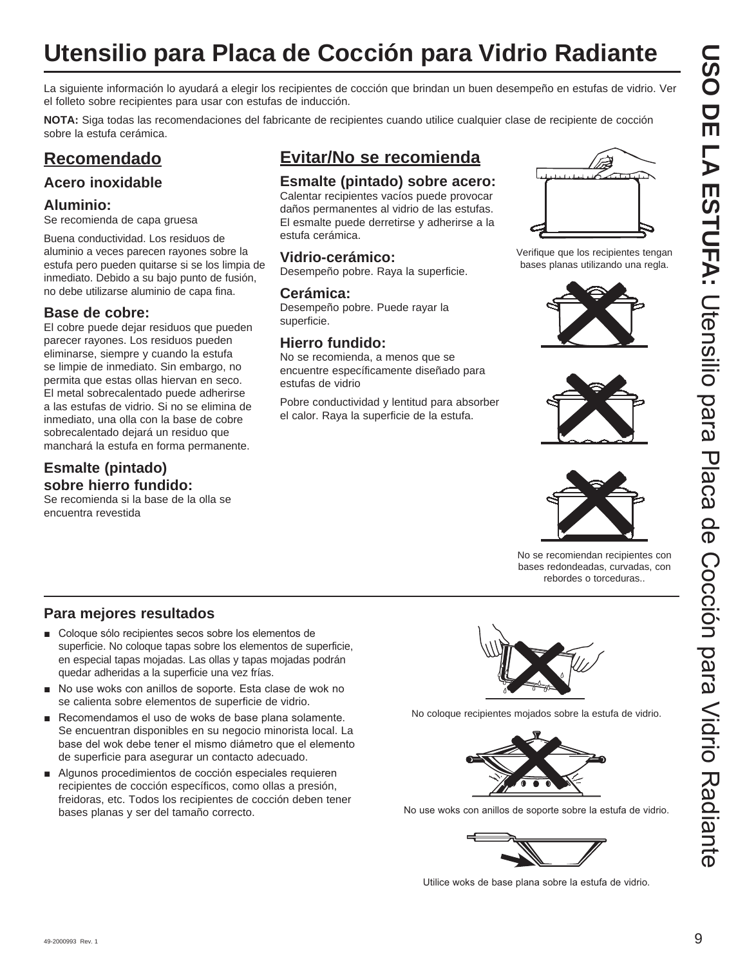# **Utensilio para Placa de Cocción para Vidrio Radiante**

La siguiente información lo ayudará a elegir los recipientes de cocción que brindan un buen desempeño en estufas de vidrio. Ver el folleto sobre recipientes para usar con estufas de inducción.

**NOTA:** Siga todas las recomendaciones del fabricante de recipientes cuando utilice cualquier clase de recipiente de cocción sobre la estufa cerámica.

### **Recomendado**

### **Acero inoxidable**

### **Aluminio:**

Se recomienda de capa gruesa

Buena conductividad. Los residuos de aluminio a veces parecen rayones sobre la estufa pero pueden quitarse si se los limpia de inmediato. Debido a su bajo punto de fusión, no debe utilizarse aluminio de capa fina.

### **Base de cobre:**

El cobre puede dejar residuos que pueden parecer rayones. Los residuos pueden eliminarse, siempre y cuando la estufa se limpie de inmediato. Sin embargo, no permita que estas ollas hiervan en seco. El metal sobrecalentado puede adherirse a las estufas de vidrio. Si no se elimina de inmediato, una olla con la base de cobre sobrecalentado dejará un residuo que manchará la estufa en forma permanente.

### **Esmalte (pintado) sobre hierro fundido:**

Se recomienda si la base de la olla se encuentra revestida

### **Evitar/No se recomienda**

### **Esmalte (pintado) sobre acero:**

Calentar recipientes vacíos puede provocar daños permanentes al vidrio de las estufas. El esmalte puede derretirse y adherirse a la estufa cerámica.

### **Vidrio-cerámico:**

Desempeño pobre. Raya la superficie.

### **Cerámica:**

Desempeño pobre. Puede rayar la superficie.

### **Hierro fundido:**

No se recomienda, a menos que se encuentre específicamente diseñado para estufas de vidrio

Pobre conductividad y lentitud para absorber el calor. Raya la superficie de la estufa.



Verifique que los recipientes tengan bases planas utilizando una regla.







No se recomiendan recipientes con bases redondeadas, curvadas, con rebordes o torceduras..

### **Para mejores resultados**

- Coloque sólo recipientes secos sobre los elementos de superficie. No coloque tapas sobre los elementos de superficie, en especial tapas mojadas. Las ollas y tapas mojadas podrán quedar adheridas a la superficie una vez frías.
- No use woks con anillos de soporte. Esta clase de wok no se calienta sobre elementos de superficie de vidrio.
- Recomendamos el uso de woks de base plana solamente. Se encuentran disponibles en su negocio minorista local. La base del wok debe tener el mismo diámetro que el elemento de superficie para asegurar un contacto adecuado.
- Algunos procedimientos de cocción especiales requieren recipientes de cocción específicos, como ollas a presión, freidoras, etc. Todos los recipientes de cocción deben tener bases planas y ser del tamaño correcto.



No coloque recipientes mojados sobre la estufa de vidrio.



No use woks con anillos de soporte sobre la estufa de vidrio.



Utilice woks de base plana sobre la estufa de vidrio.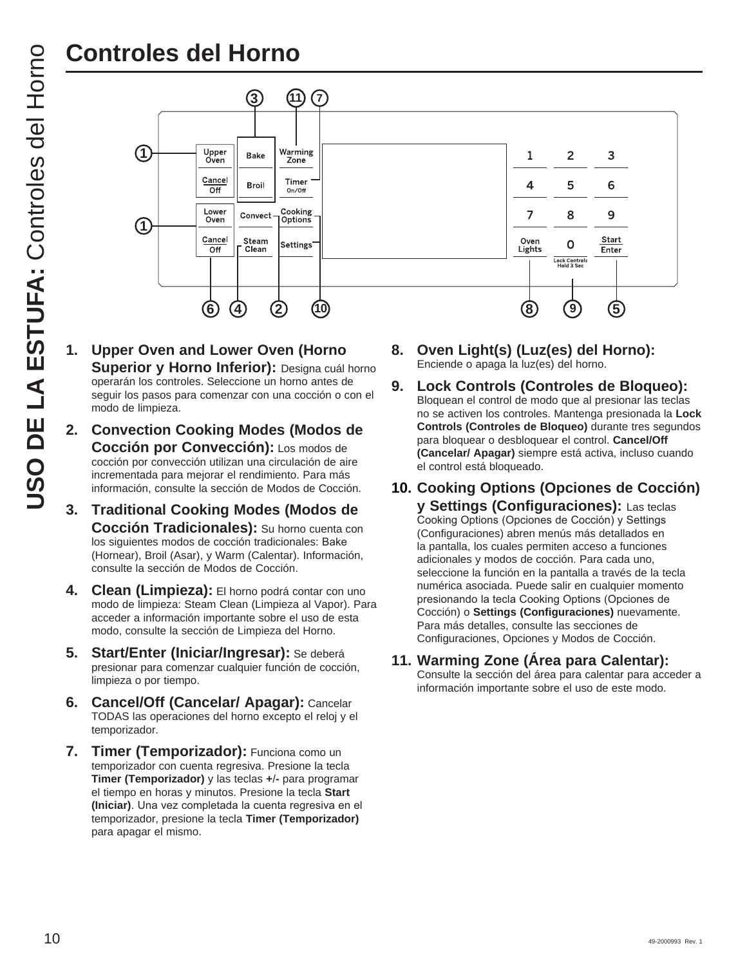

- **1. Upper Oven and Lower Oven (Horno Superior y Horno Inferior):** Designa cuál horno operarán los controles. Seleccione un horno antes de seguir los pasos para comenzar con una cocción o con el modo de limpieza.
- **2. Convection Cooking Modes (Modos de Cocción por Convección):** Los modos de cocción por convección utilizan una circulación de aire incrementada para mejorar el rendimiento. Para más información, consulte la sección de Modos de Cocción.
- **3. Traditional Cooking Modes (Modos de Cocción Tradicionales):** Su horno cuenta con los siguientes modos de cocción tradicionales: Bake (Hornear), Broil (Asar), y Warm (Calentar). Información, consulte la sección de Modos de Cocción.
- 4. Clean (Limpieza): El horno podrá contar con uno modo de limpieza: Steam Clean (Limpieza al Vapor). Para acceder a información importante sobre el uso de esta modo, consulte la sección de Limpieza del Horno.
- **5. Start/Enter (Iniciar/Ingresar):** Se deberá presionar para comenzar cualquier función de cocción, limpieza o por tiempo.
- **6. Cancel/Off (Cancelar/ Apagar):** Cancelar TODAS las operaciones del horno excepto el reloj y el temporizador.
- **7. Timer (Temporizador):** Funciona como un temporizador con cuenta regresiva. Presione la tecla **Timer (Temporizador)** y las teclas **+**/**-** para programar el tiempo en horas y minutos. Presione la tecla **Start**  (Iniciar). Una vez completada la cuenta regresiva en el temporizador, presione la tecla **Timer (Temporizador)**  para apagar el mismo.
- **8. Oven Light(s) (Luz(es) del Horno):** Enciende o apaga la luz(es) del horno.
- **9. Lock Controls (Controles de Bloqueo):** Bloquean el control de modo que al presionar las teclas no se activen los controles. Mantenga presionada la **Lock Controls (Controles de Bloqueo)** durante tres segundos para bloquear o desbloquear el control. **Cancel/Off (Cancelar/ Apagar)** siempre está activa, incluso cuando el control está bloqueado.
- **10. Cooking Options (Opciones de Cocción) y Settings (Configuraciones):** Las teclas

Cooking Options (Opciones de Cocción) y Settings (Configuraciones) abren menús más detallados en la pantalla, los cuales permiten acceso a funciones adicionales y modos de cocción. Para cada uno, seleccione la función en la pantalla a través de la tecla numérica asociada. Puede salir en cualquier momento presionando la tecla Cooking Options (Opciones de Cocción) o **Settings (Configuraciones)** nuevamente. Para más detalles, consulte las secciones de Configuraciones, Opciones y Modos de Cocción.

**11. Warming Zone (Área para Calentar):** 

Consulte la sección del área para calentar para acceder a información importante sobre el uso de este modo.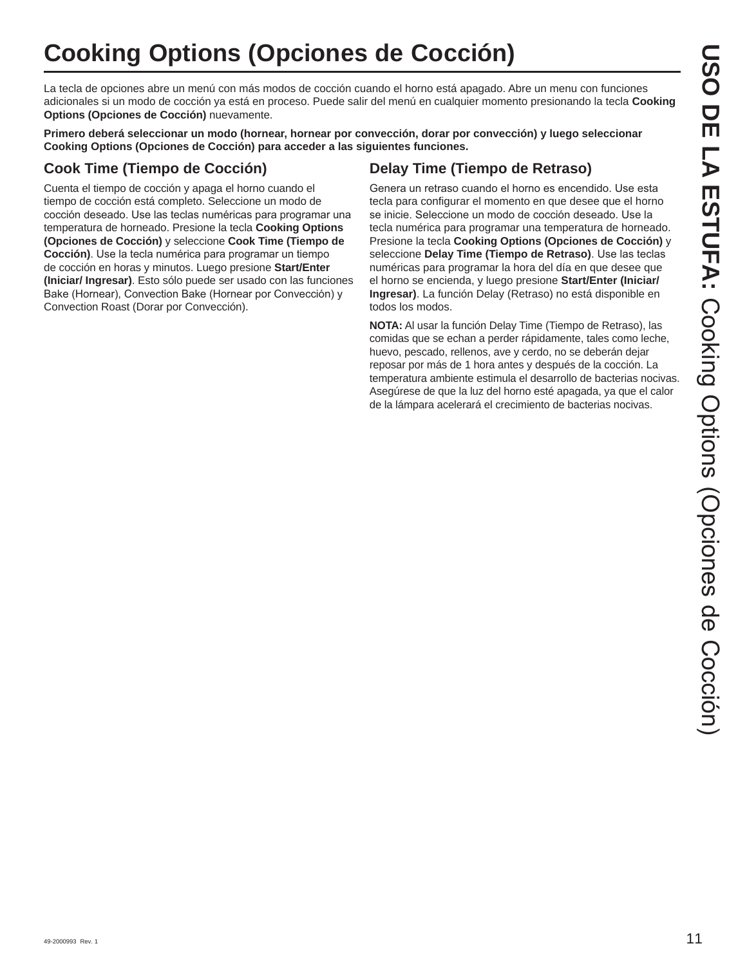# **Cooking Options (Opciones de Cocción)**

La tecla de opciones abre un menú con más modos de cocción cuando el horno está apagado. Abre un menu con funciones adicionales si un modo de cocción ya está en proceso. Puede salir del menú en cualquier momento presionando la tecla **Cooking Options (Opciones de Cocción)** nuevamente.

**Primero deberá seleccionar un modo (hornear, hornear por convección, dorar por convección) y luego seleccionar Cooking Options (Opciones de Cocción) para acceder a las siguientes funciones.**

### **Cook Time (Tiempo de Cocción)**

Cuenta el tiempo de cocción y apaga el horno cuando el tiempo de cocción está completo. Seleccione un modo de cocción deseado. Use las teclas numéricas para programar una temperatura de horneado. Presione la tecla **Cooking Options (Opciones de Cocción)** y seleccione **Cook Time (Tiempo de Cocción)**. Use la tecla numérica para programar un tiempo de cocción en horas y minutos. Luego presione **Start/Enter (Iniciar/ Ingresar)**. Esto sólo puede ser usado con las funciones Bake (Hornear), Convection Bake (Hornear por Convección) y Convection Roast (Dorar por Convección).

### **Delay Time (Tiempo de Retraso)**

Genera un retraso cuando el horno es encendido. Use esta tecla para configurar el momento en que desee que el horno se inicie. Seleccione un modo de cocción deseado. Use la tecla numérica para programar una temperatura de horneado. Presione la tecla **Cooking Options (Opciones de Cocción)** y seleccione **Delay Time (Tiempo de Retraso)**. Use las teclas numéricas para programar la hora del día en que desee que el horno se encienda, y luego presione **Start/Enter (Iniciar/ Ingresar)**. La función Delay (Retraso) no está disponible en todos los modos.

**NOTA:** Al usar la función Delay Time (Tiempo de Retraso), las comidas que se echan a perder rápidamente, tales como leche, huevo, pescado, rellenos, ave y cerdo, no se deberán dejar reposar por más de 1 hora antes y después de la cocción. La temperatura ambiente estimula el desarrollo de bacterias nocivas. Asegúrese de que la luz del horno esté apagada, ya que el calor de la lámpara acelerará el crecimiento de bacterias nocivas.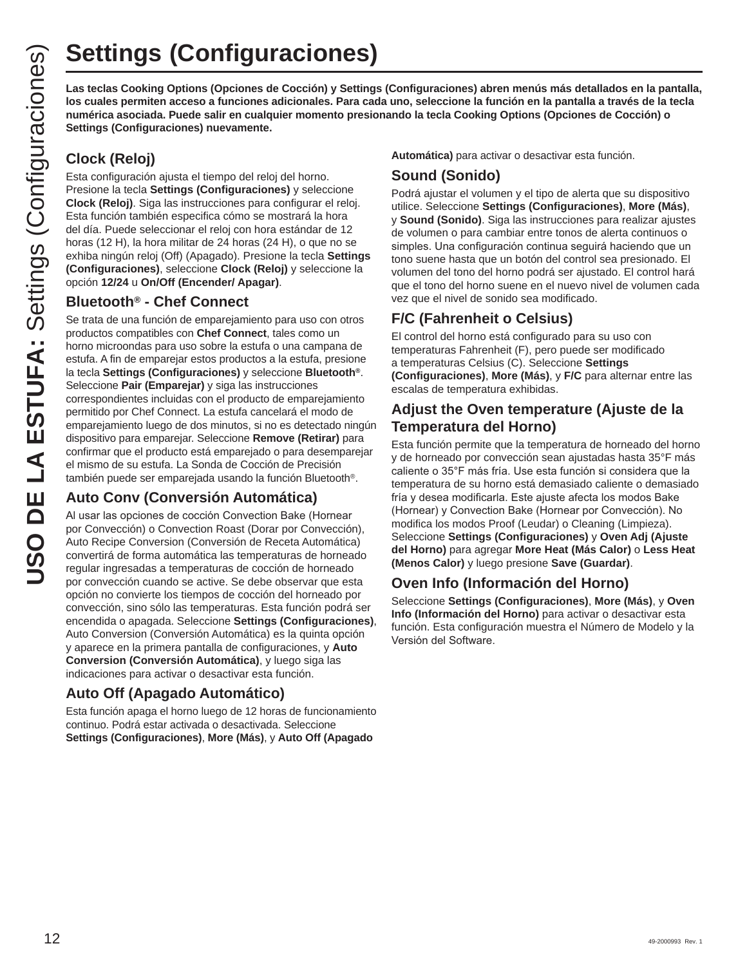**los cuales permiten acceso a funciones adicionales. Para cada uno, seleccione la función en la pantalla a través de la tecla numérica asociada. Puede salir en cualquier momento presionando la tecla Cooking Options (Opciones de Cocción) o Settings (Configuraciones) nuevamente.**

### **Clock (Reloj)**

Esta configuración ajusta el tiempo del reloj del horno. Presione la tecla **Settings (Configuraciones)** y seleccione **Clock (Reloj)**. Siga las instrucciones para configurar el reloj. Esta función también especifica cómo se mostrará la hora del día. Puede seleccionar el reloj con hora estándar de 12 horas (12 H), la hora militar de 24 horas (24 H), o que no se exhiba ningún reloj (Off) (Apagado). Presione la tecla **Settings (Configuraciones)**, seleccione **Clock (Reloj)** y seleccione la opción **12/24** u **On/Off (Encender/ Apagar)**.

### **Bluetooth® - Chef Connect**

**USO Settings (Configuraciones)**<br>
Us teclas focelas Cooking Options (cooking Cooking Configuraciones) abren menús más detallados en la pantalla<br>
US Los cuales permiten asociada Puede ali en cualquer momento presionando la Se trata de una función de emparejamiento para uso con otros productos compatibles con **Chef Connect**, tales como un horno microondas para uso sobre la estufa o una campana de estufa. A fin de emparejar estos productos a la estufa, presione la tecla **Settings (Configuraciones)** y seleccione **Bluetooth®**. Seleccione **Pair (Emparejar)** y siga las instrucciones correspondientes incluidas con el producto de emparejamiento permitido por Chef Connect. La estufa cancelará el modo de emparejamiento luego de dos minutos, si no es detectado ningún dispositivo para emparejar. Seleccione **Remove (Retirar)** para confirmar que el producto está emparejado o para desemparejar el mismo de su estufa. La Sonda de Cocción de Precisión también puede ser emparejada usando la función Bluetooth®.

### **Auto Conv (Conversión Automática)**

Al usar las opciones de cocción Convection Bake (Hornear por Convección) o Convection Roast (Dorar por Convección), Auto Recipe Conversion (Conversión de Receta Automática) convertirá de forma automática las temperaturas de horneado regular ingresadas a temperaturas de cocción de horneado por convección cuando se active. Se debe observar que esta opción no convierte los tiempos de cocción del horneado por convección, sino sólo las temperaturas. Esta función podrá ser encendida o apagada. Seleccione **Settings (Configuraciones)**, Auto Conversion (Conversión Automática) es la quinta opción y aparece en la primera pantalla de configuraciones, y **Auto Conversion (Conversión Automática)**, y luego siga las indicaciones para activar o desactivar esta función.

### **Auto Off (Apagado Automático)**

Esta función apaga el horno luego de 12 horas de funcionamiento continuo. Podrá estar activada o desactivada. Seleccione **Settings (Configuraciones)**, **More (Más)**, y **Auto Off (Apagado** 

**Automática)** para activar o desactivar esta función.

### **Sound (Sonido)**

Podrá ajustar el volumen y el tipo de alerta que su dispositivo utilice. Seleccione **Settings (Configuraciones)**, **More (Más)**, y **Sound (Sonido)**. Siga las instrucciones para realizar ajustes de volumen o para cambiar entre tonos de alerta continuos o simples. Una configuración continua seguirá haciendo que un tono suene hasta que un botón del control sea presionado. El volumen del tono del horno podrá ser ajustado. El control hará que el tono del horno suene en el nuevo nivel de volumen cada vez que el nivel de sonido sea modificado.

### **F/C (Fahrenheit o Celsius)**

El control del horno está configurado para su uso con temperaturas Fahrenheit (F), pero puede ser modificado a temperaturas Celsius (C). Seleccione **Settings (Configuraciones)**, **More (Más)**, y **F/C** para alternar entre las escalas de temperatura exhibidas.

### **Adjust the Oven temperature (Ajuste de la Temperatura del Horno)**

Esta función permite que la temperatura de horneado del horno y de horneado por convección sean ajustadas hasta 35°F más caliente o 35°F más fría. Use esta función si considera que la temperatura de su horno está demasiado caliente o demasiado fría y desea modificarla. Este ajuste afecta los modos Bake (Hornear) y Convection Bake (Hornear por Convección). No modifica los modos Proof (Leudar) o Cleaning (Limpieza). Seleccione **Settings (Configuraciones)** y **Oven Adj (Ajuste del Horno)** para agregar **More Heat (Más Calor)** o **Less Heat (Menos Calor)** y luego presione **Save (Guardar)**.

### **Oven Info (Información del Horno)**

Seleccione **Settings (Configuraciones)**, **More (Más)**, y **Oven Info (Información del Horno)** para activar o desactivar esta función. Esta configuración muestra el Número de Modelo y la Versión del Software.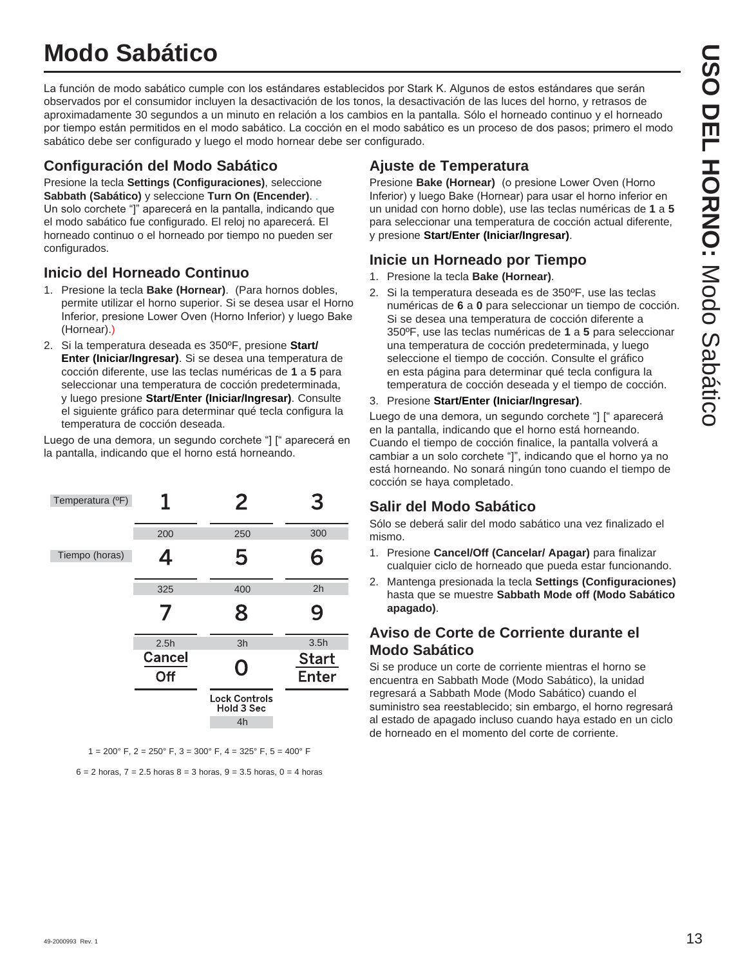# **Modo Sabático**

La función de modo sabático cumple con los estándares establecidos por Stark K. Algunos de estos estándares que serán observados por el consumidor incluyen la desactivación de los tonos, la desactivación de las luces del horno, y retrasos de aproximadamente 30 segundos a un minuto en relación a los cambios en la pantalla. Sólo el horneado continuo y el horneado por tiempo están permitidos en el modo sabático. La cocción en el modo sabático es un proceso de dos pasos; primero el modo sabático debe ser configurado y luego el modo hornear debe ser configurado.

### **Configuración del Modo Sabático**

Presione la tecla **Settings (Configuraciones)**, seleccione **Sabbath (Sabático)** y seleccione **Turn On (Encender)**. . Un solo corchete "]" aparecerá en la pantalla, indicando que el modo sabático fue configurado. El reloj no aparecerá. El horneado continuo o el horneado por tiempo no pueden ser configurados.

### **Inicio del Horneado Continuo**

- 1. Presione la tecla **Bake (Hornear)**. (Para hornos dobles, permite utilizar el horno superior. Si se desea usar el Horno Inferior, presione Lower Oven (Horno Inferior) y luego Bake (Hornear).)
- 2. Si la temperatura deseada es 350ºF, presione **Start/ Enter (Iniciar/Ingresar)**. Si se desea una temperatura de cocción diferente, use las teclas numéricas de **1** a **5** para seleccionar una temperatura de cocción predeterminada, y luego presione **Start/Enter (Iniciar/Ingresar)**. Consulte el siguiente gráfico para determinar qué tecla configura la temperatura de cocción deseada.

Luego de una demora, un segundo corchete "] [" aparecerá en la pantalla, indicando que el horno está horneando.

| Temperatura (°F) |               | 2                                        | З                            |
|------------------|---------------|------------------------------------------|------------------------------|
|                  | 200           | 250                                      | 300                          |
| Tiempo (horas)   | 4             | 5                                        | 6                            |
|                  | 325           | 400                                      | 2h                           |
|                  |               | 8                                        | 9                            |
|                  | 2.5h          | 3h                                       | 3.5h                         |
|                  | Cancel<br>Off | O                                        | <b>Start</b><br><b>Enter</b> |
|                  |               | <b>Lock Controls</b><br>Hold 3 Sec<br>4h |                              |

 $1 = 200^{\circ}$  F,  $2 = 250^{\circ}$  F,  $3 = 300^{\circ}$  F,  $4 = 325^{\circ}$  F,  $5 = 400^{\circ}$  F

 $6 = 2$  horas,  $7 = 2.5$  horas  $8 = 3$  horas,  $9 = 3.5$  horas,  $0 = 4$  horas

### **Ajuste de Temperatura**

Presione **Bake (Hornear)** (o presione Lower Oven (Horno Inferior) y luego Bake (Hornear) para usar el horno inferior en un unidad con horno doble), use las teclas numéricas de **1** a **5** para seleccionar una temperatura de cocción actual diferente, y presione **Start/Enter (Iniciar/Ingresar)**.

### **Inicie un Horneado por Tiempo**

- 1. Presione la tecla **Bake (Hornear)**.
- 2. Si la temperatura deseada es de 350ºF, use las teclas numéricas de **6** a **0** para seleccionar un tiempo de cocción. Si se desea una temperatura de cocción diferente a 350ºF, use las teclas numéricas de **1** a **5** para seleccionar una temperatura de cocción predeterminada, y luego seleccione el tiempo de cocción. Consulte el gráfico en esta página para determinar qué tecla configura la temperatura de cocción deseada y el tiempo de cocción.
- 3. Presione **Start/Enter (Iniciar/Ingresar)**.

Luego de una demora, un segundo corchete "] [" aparecerá en la pantalla, indicando que el horno está horneando. Cuando el tiempo de cocción finalice, la pantalla volverá a cambiar a un solo corchete "]", indicando que el horno ya no está horneando. No sonará ningún tono cuando el tiempo de cocción se haya completado.

### **Salir del Modo Sabático**

Sólo se deberá salir del modo sabático una vez finalizado el mismo.

- 1. Presione **Cancel/Off (Cancelar/ Apagar)** para finalizar cualquier ciclo de horneado que pueda estar funcionando.
- 2. Mantenga presionada la tecla **Settings (Configuraciones)** hasta que se muestre **Sabbath Mode off (Modo Sabático apagado)**.

### **Aviso de Corte de Corriente durante el Modo Sabático**

Si se produce un corte de corriente mientras el horno se encuentra en Sabbath Mode (Modo Sabático), la unidad regresará a Sabbath Mode (Modo Sabático) cuando el suministro sea reestablecido; sin embargo, el horno regresará al estado de apagado incluso cuando haya estado en un ciclo de horneado en el momento del corte de corriente.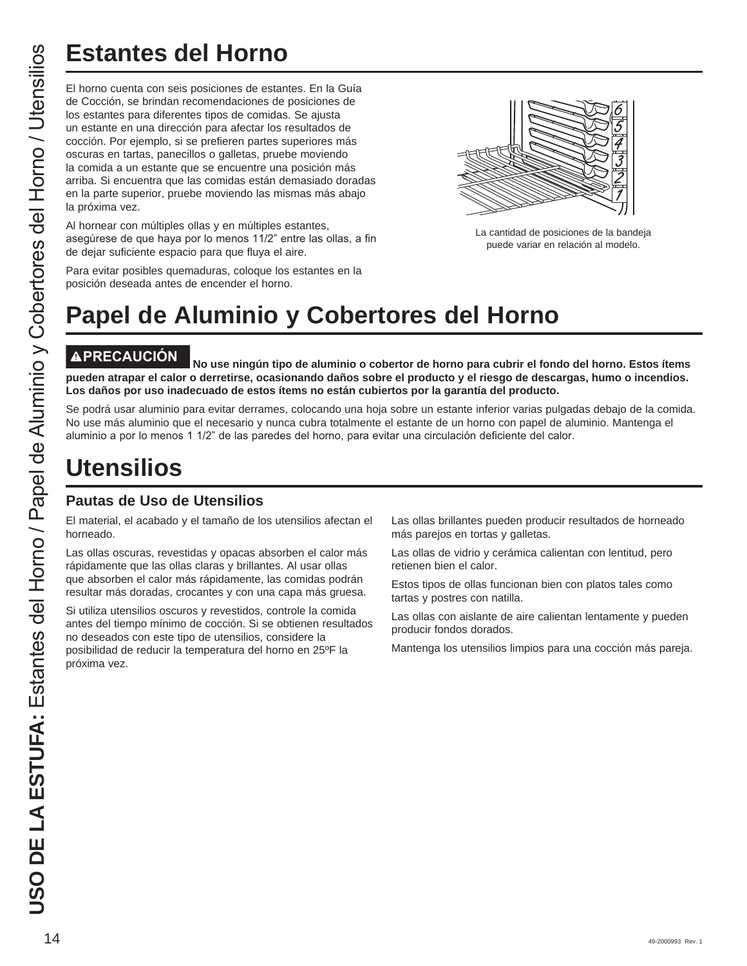# **Estantes del Horno**

El horno cuenta con seis posiciones de estantes. En la Guía de Cocción, se brindan recomendaciones de posiciones de los estantes para diferentes tipos de comidas. Se ajusta un estante en una dirección para afectar los resultados de cocción. Por ejemplo, si se prefieren partes superiores más oscuras en tartas, panecillos o galletas, pruebe moviendo la comida a un estante que se encuentre una posición más arriba. Si encuentra que las comidas están demasiado doradas en la parte superior, pruebe moviendo las mismas más abajo la próxima vez.

Al hornear con múltiples ollas y en múltiples estantes, asegúrese de que haya por lo menos 11/2" entre las ollas, a fin de dejar suficiente espacio para que fluya el aire.



La cantidad de posiciones de la bandeja puede variar en relación al modelo.

Para evitar posibles quemaduras, coloque los estantes en la posición deseada antes de encender el horno.

# **Papel de Aluminio y Cobertores del Horno**

**PRECAUCIÓN No use ningún tipo de aluminio o cobertor de horno para cubrir el fondo del horno. Estos ítems pueden atrapar el calor o derretirse, ocasionando daños sobre el producto y el riesgo de descargas, humo o incendios. Los daños por uso inadecuado de estos ítems no están cubiertos por la garantía del producto.**

Se podrá usar aluminio para evitar derrames, colocando una hoja sobre un estante inferior varias pulgadas debajo de la comida. No use más aluminio que el necesario y nunca cubra totalmente el estante de un horno con papel de aluminio. Mantenga el aluminio a por lo menos 1 1/2" de las paredes del horno, para evitar una circulación deficiente del calor.

# **Utensilios**

### **Pautas de Uso de Utensilios**

El material, el acabado y el tamaño de los utensilios afectan el horneado.

Las ollas oscuras, revestidas y opacas absorben el calor más rápidamente que las ollas claras y brillantes. Al usar ollas que absorben el calor más rápidamente, las comidas podrán resultar más doradas, crocantes y con una capa más gruesa.

Si utiliza utensilios oscuros y revestidos, controle la comida antes del tiempo mínimo de cocción. Si se obtienen resultados no deseados con este tipo de utensilios, considere la posibilidad de reducir la temperatura del horno en 25ºF la próxima vez.

Las ollas brillantes pueden producir resultados de horneado más parejos en tortas y galletas.

Las ollas de vidrio y cerámica calientan con lentitud, pero retienen bien el calor.

Estos tipos de ollas funcionan bien con platos tales como tartas y postres con natilla.

Las ollas con aislante de aire calientan lentamente y pueden producir fondos dorados.

Mantenga los utensilios limpios para una cocción más pareja.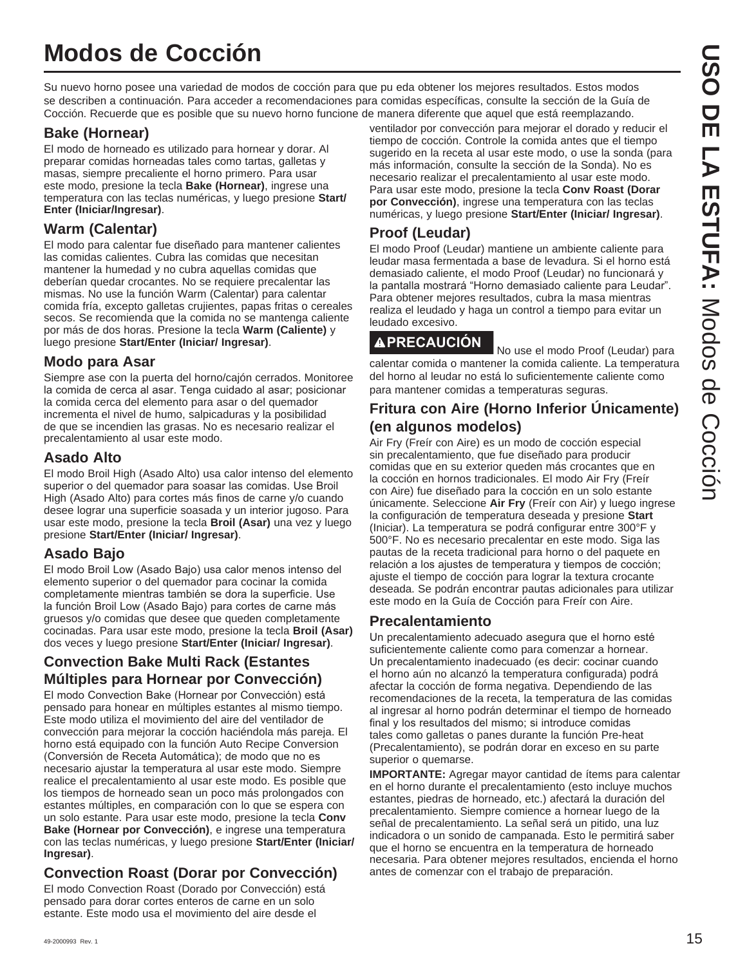Su nuevo horno posee una variedad de modos de cocción para que pu eda obtener los mejores resultados. Estos modos se describen a continuación. Para acceder a recomendaciones para comidas específicas, consulte la sección de la Guía de Cocción. Recuerde que es posible que su nuevo horno funcione de manera diferente que aquel que está reemplazando.

### **Bake (Hornear)**

El modo de horneado es utilizado para hornear y dorar. Al preparar comidas horneadas tales como tartas, galletas y masas, siempre precaliente el horno primero. Para usar este modo, presione la tecla **Bake (Hornear)**, ingrese una temperatura con las teclas numéricas, y luego presione **Start/ Enter (Iniciar/Ingresar)**.

### **Warm (Calentar)**

El modo para calentar fue diseñado para mantener calientes las comidas calientes. Cubra las comidas que necesitan mantener la humedad y no cubra aquellas comidas que deberían quedar crocantes. No se requiere precalentar las mismas. No use la función Warm (Calentar) para calentar comida fría, excepto galletas crujientes, papas fritas o cereales secos. Se recomienda que la comida no se mantenga caliente por más de dos horas. Presione la tecla **Warm (Caliente)** y luego presione **Start/Enter (Iniciar/ Ingresar)**.

### **Modo para Asar**

Siempre ase con la puerta del horno/cajón cerrados. Monitoree la comida de cerca al asar. Tenga cuidado al asar; posicionar la comida cerca del elemento para asar o del quemador incrementa el nivel de humo, salpicaduras y la posibilidad de que se incendien las grasas. No es necesario realizar el precalentamiento al usar este modo.

### **Asado Alto**

El modo Broil High (Asado Alto) usa calor intenso del elemento superior o del quemador para soasar las comidas. Use Broil High (Asado Alto) para cortes más finos de carne y/o cuando desee lograr una superficie soasada y un interior jugoso. Para usar este modo, presione la tecla **Broil (Asar)** una vez y luego presione **Start/Enter (Iniciar/ Ingresar)**.

### **Asado Bajo**

El modo Broil Low (Asado Bajo) usa calor menos intenso del elemento superior o del quemador para cocinar la comida completamente mientras también se dora la superficie. Use la función Broil Low (Asado Bajo) para cortes de carne más gruesos y/o comidas que desee que queden completamente cocinadas. Para usar este modo, presione la tecla **Broil (Asar)** dos veces y luego presione **Start/Enter (Iniciar/ Ingresar)**.

### **Convection Bake Multi Rack (Estantes Múltiples para Hornear por Convección)**

El modo Convection Bake (Hornear por Convección) está pensado para honear en múltiples estantes al mismo tiempo. Este modo utiliza el movimiento del aire del ventilador de convección para mejorar la cocción haciéndola más pareja. El horno está equipado con la función Auto Recipe Conversion (Conversión de Receta Automática); de modo que no es necesario ajustar la temperatura al usar este modo. Siempre realice el precalentamiento al usar este modo. Es posible que los tiempos de horneado sean un poco más prolongados con estantes múltiples, en comparación con lo que se espera con un solo estante. Para usar este modo, presione la tecla **Conv Bake (Hornear por Convección)**, e ingrese una temperatura con las teclas numéricas, y luego presione **Start/Enter (Iniciar/ Ingresar)**.

### **Convection Roast (Dorar por Convección)**

El modo Convection Roast (Dorado por Convección) está pensado para dorar cortes enteros de carne en un solo estante. Este modo usa el movimiento del aire desde el

ventilador por convección para mejorar el dorado y reducir el tiempo de cocción. Controle la comida antes que el tiempo sugerido en la receta al usar este modo, o use la sonda (para más información, consulte la sección de la Sonda). No es necesario realizar el precalentamiento al usar este modo. Para usar este modo, presione la tecla **Conv Roast (Dorar por Convección)**, ingrese una temperatura con las teclas numéricas, y luego presione **Start/Enter (Iniciar/ Ingresar)**.

### **Proof (Leudar)**

El modo Proof (Leudar) mantiene un ambiente caliente para leudar masa fermentada a base de levadura. Si el horno está demasiado caliente, el modo Proof (Leudar) no funcionará y la pantalla mostrará "Horno demasiado caliente para Leudar". Para obtener mejores resultados, cubra la masa mientras realiza el leudado y haga un control a tiempo para evitar un leudado excesivo.

**APRECAUCIÓN** No use el modo Proof (Leudar) para calentar comida o mantener la comida caliente. La temperatura del horno al leudar no está lo suficientemente caliente como para mantener comidas a temperaturas seguras.

### **Fritura con Aire (Horno Inferior Únicamente) (en algunos modelos)**

Air Fry (Freír con Aire) es un modo de cocción especial sin precalentamiento, que fue diseñado para producir comidas que en su exterior queden más crocantes que en la cocción en hornos tradicionales. El modo Air Fry (Freír con Aire) fue diseñado para la cocción en un solo estante únicamente. Seleccione **Air Fry** (Freír con Air) y luego ingrese la configuración de temperatura deseada y presione **Start** (Iniciar). La temperatura se podrá configurar entre 300°F y 500°F. No es necesario precalentar en este modo. Siga las pautas de la receta tradicional para horno o del paquete en relación a los ajustes de temperatura y tiempos de cocción; ajuste el tiempo de cocción para lograr la textura crocante deseada. Se podrán encontrar pautas adicionales para utilizar este modo en la Guía de Cocción para Freír con Aire.

### **Precalentamiento**

Un precalentamiento adecuado asegura que el horno esté suficientemente caliente como para comenzar a hornear. Un precalentamiento inadecuado (es decir: cocinar cuando el horno aún no alcanzó la temperatura configurada) podrá afectar la cocción de forma negativa. Dependiendo de las recomendaciones de la receta, la temperatura de las comidas al ingresar al horno podrán determinar el tiempo de horneado final y los resultados del mismo; si introduce comidas tales como galletas o panes durante la función Pre-heat (Precalentamiento), se podrán dorar en exceso en su parte superior o quemarse.

**IMPORTANTE:** Agregar mayor cantidad de ítems para calentar en el horno durante el precalentamiento (esto incluye muchos estantes, piedras de horneado, etc.) afectará la duración del precalentamiento. Siempre comience a hornear luego de la señal de precalentamiento. La señal será un pitido, una luz indicadora o un sonido de campanada. Esto le permitirá saber que el horno se encuentra en la temperatura de horneado necesaria. Para obtener mejores resultados, encienda el horno antes de comenzar con el trabajo de preparación.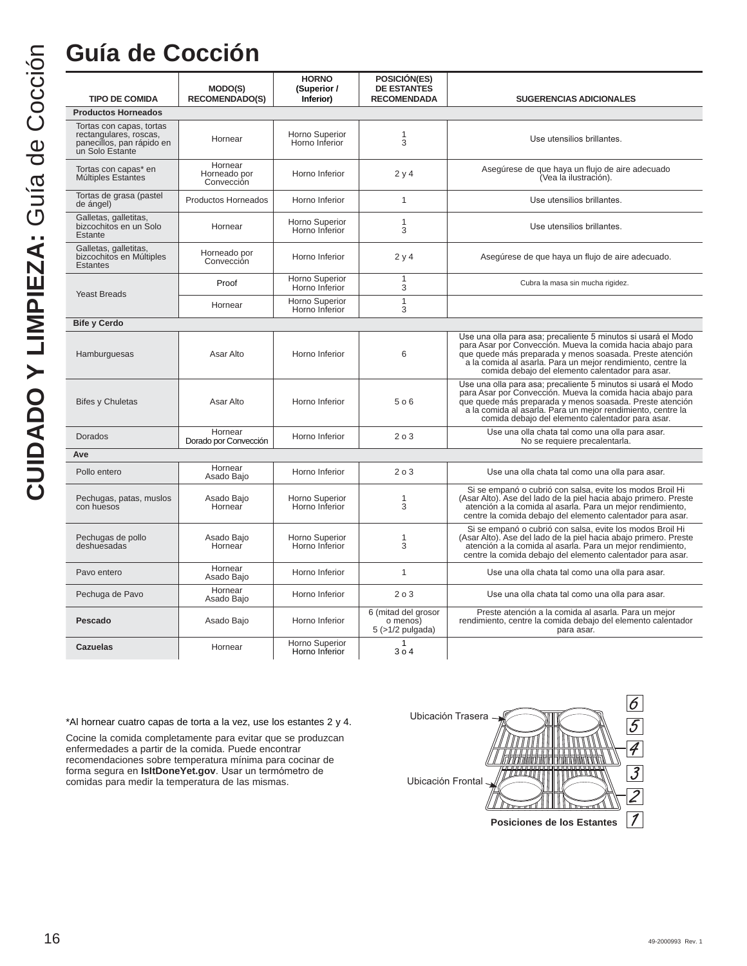|                                                                                                    | MODO(S)                               | <b>HORNO</b><br>(Superior /      | POSICIÓN(ES)<br><b>DE ESTANTES</b>                       |                                                                                                                                                                                                                                                                                                            |
|----------------------------------------------------------------------------------------------------|---------------------------------------|----------------------------------|----------------------------------------------------------|------------------------------------------------------------------------------------------------------------------------------------------------------------------------------------------------------------------------------------------------------------------------------------------------------------|
| <b>TIPO DE COMIDA</b>                                                                              | <b>RECOMENDADO(S)</b>                 | Inferior)                        | <b>RECOMENDADA</b>                                       | <b>SUGERENCIAS ADICIONALES</b>                                                                                                                                                                                                                                                                             |
| <b>Productos Horneados</b>                                                                         |                                       |                                  |                                                          |                                                                                                                                                                                                                                                                                                            |
| Tortas con capas, tortas<br>rectangulares, roscas,<br>panecillos, pan rápido en<br>un Solo Estante | Hornear                               | Horno Superior<br>Horno Inferior | 1<br>3                                                   | Use utensilios brillantes.                                                                                                                                                                                                                                                                                 |
| Tortas con capas* en<br>Múltiples Estantes                                                         | Hornear<br>Horneado por<br>Convección | Horno Inferior                   | 2y4                                                      | Asegúrese de que haya un flujo de aire adecuado<br>(Vea la ilustración).                                                                                                                                                                                                                                   |
| Tortas de grasa (pastel<br>de ángel)                                                               | Productos Horneados                   | Horno Inferior                   | $\mathbf{1}$                                             | Use utensilios brillantes.                                                                                                                                                                                                                                                                                 |
| Galletas, galletitas,<br>bizcochitos en un Solo<br>Estante                                         | Hornear                               | Horno Superior<br>Horno Inferior | $\mathbf{1}$<br>3                                        | Use utensilios brillantes.                                                                                                                                                                                                                                                                                 |
| Galletas, galletitas,<br>bizcochitos en Múltiples<br><b>Estantes</b>                               | Horneado por<br>Convección            | Horno Inferior                   | 2y4                                                      | Asegúrese de que haya un flujo de aire adecuado.                                                                                                                                                                                                                                                           |
| <b>Yeast Breads</b>                                                                                | Proof                                 | Horno Superior<br>Horno Inferior | $\mathbf{1}$<br>3                                        | Cubra la masa sin mucha rigidez.                                                                                                                                                                                                                                                                           |
|                                                                                                    | Hornear                               | Horno Superior<br>Horno Inferior | $\mathbf{1}$<br>3                                        |                                                                                                                                                                                                                                                                                                            |
| <b>Bife y Cerdo</b>                                                                                |                                       |                                  |                                                          |                                                                                                                                                                                                                                                                                                            |
| Hamburguesas                                                                                       | Asar Alto                             | Horno Inferior                   | 6                                                        | Use una olla para asa; precaliente 5 minutos si usará el Modo<br>para Asar por Convección. Mueva la comida hacia abajo para<br>que quede más preparada y menos soasada. Preste atención<br>a la comida al asarla. Para un mejor rendimiento, centre la<br>comida debajo del elemento calentador para asar. |
| <b>Bifes y Chuletas</b>                                                                            | Asar Alto                             | Horno Inferior                   | 506                                                      | Use una olla para asa; precaliente 5 minutos si usará el Modo<br>para Asar por Convección. Mueva la comida hacia abajo para<br>que quede más preparada y menos soasada. Preste atención<br>a la comida al asarla. Para un mejor rendimiento, centre la<br>comida debajo del elemento calentador para asar. |
| Dorados                                                                                            | Hornear<br>Dorado por Convección      | Horno Inferior                   | 203                                                      | Use una olla chata tal como una olla para asar.<br>No se requiere precalentarla.                                                                                                                                                                                                                           |
| Ave                                                                                                |                                       |                                  |                                                          |                                                                                                                                                                                                                                                                                                            |
| Pollo entero                                                                                       | Hornear<br>Asado Bajo                 | Horno Inferior                   | 203                                                      | Use una olla chata tal como una olla para asar.                                                                                                                                                                                                                                                            |
| Pechugas, patas, muslos<br>con huesos                                                              | Asado Bajo<br>Hornear                 | Horno Superior<br>Horno Inferior | 1<br>3                                                   | Si se empanó o cubrió con salsa, evite los modos Broil Hi<br>(Asar Alto). Ase del lado de la piel hacia abajo primero. Preste<br>atención a la comida al asarla. Para un mejor rendimiento,<br>centre la comida debajo del elemento calentador para asar.                                                  |
| Pechugas de pollo<br>deshuesadas                                                                   | Asado Bajo<br>Hornear                 | Horno Superior<br>Horno Inferior | 1<br>3                                                   | Si se empanó o cubrió con salsa, evite los modos Broil Hi<br>(Asar Alto). Ase del lado de la piel hacia abajo primero. Preste<br>atención a la comida al asarla. Para un mejor rendimiento,<br>centre la comida debajo del elemento calentador para asar.                                                  |
| Pavo entero                                                                                        | Hornear<br>Asado Bajo                 | Horno Inferior                   | $\mathbf{1}$                                             | Use una olla chata tal como una olla para asar.                                                                                                                                                                                                                                                            |
| Pechuga de Pavo                                                                                    | Hornear<br>Asado Bajo                 | Horno Inferior                   | 203                                                      | Use una olla chata tal como una olla para asar.                                                                                                                                                                                                                                                            |
| Pescado                                                                                            | Asado Bajo                            | Horno Inferior                   | 6 (mitad del grosor<br>o menos)<br>$5$ ( $>1/2$ pulgada) | Preste atención a la comida al asarla. Para un mejor<br>rendimiento, centre la comida debajo del elemento calentador<br>para asar.                                                                                                                                                                         |
| Cazuelas                                                                                           | Hornear                               | Horno Superior<br>Horno Inferior | $\mathbf{1}$<br>304                                      |                                                                                                                                                                                                                                                                                                            |

\*Al hornear cuatro capas de torta a la vez, use los estantes 2 y 4.

Cocine la comida completamente para evitar que se produzcan enfermedades a partir de la comida. Puede encontrar recomendaciones sobre temperatura mínima para cocinar de forma segura en **IsItDoneYet.gov**. Usar un termómetro de comidas para medir la temperatura de las mismas.

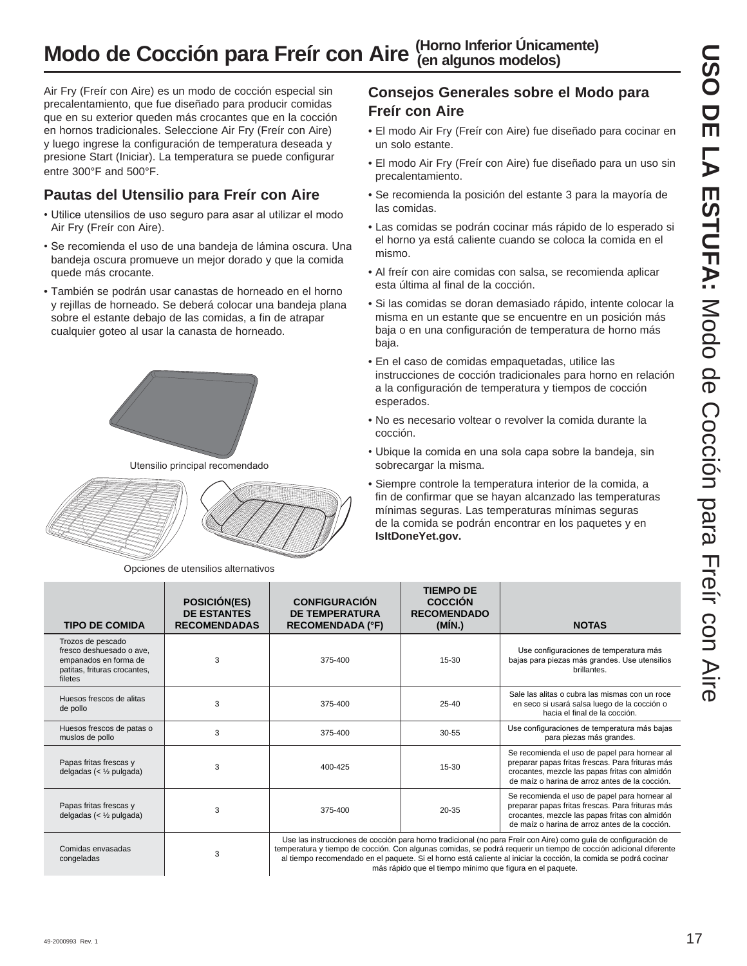# **Modo de Cocción para Freír con Aire (Horno Inferior Únicamente)**

Air Fry (Freír con Aire) es un modo de cocción especial sin precalentamiento, que fue diseñado para producir comidas que en su exterior queden más crocantes que en la cocción en hornos tradicionales. Seleccione Air Fry (Freír con Aire) y luego ingrese la configuración de temperatura deseada y presione Start (Iniciar). La temperatura se puede configurar entre 300°F and 500°F.

### **Pautas del Utensilio para Freír con Aire**

- Utilice utensilios de uso seguro para asar al utilizar el modo Air Fry (Freír con Aire).
- Se recomienda el uso de una bandeja de lámina oscura. Una bandeja oscura promueve un mejor dorado y que la comida quede más crocante.
- También se podrán usar canastas de horneado en el horno y rejillas de horneado. Se deberá colocar una bandeja plana sobre el estante debajo de las comidas, a fin de atrapar cualquier goteo al usar la canasta de horneado.



Utensilio principal recomendado



Opciones de utensilios alternativos

### **Consejos Generales sobre el Modo para Freír con Aire**

- El modo Air Fry (Freír con Aire) fue diseñado para cocinar en un solo estante.
- El modo Air Fry (Freír con Aire) fue diseñado para un uso sin precalentamiento.
- Se recomienda la posición del estante 3 para la mayoría de las comidas.
- Las comidas se podrán cocinar más rápido de lo esperado si el horno ya está caliente cuando se coloca la comida en el mismo.
- Al freír con aire comidas con salsa, se recomienda aplicar esta última al final de la cocción.
- Si las comidas se doran demasiado rápido, intente colocar la misma en un estante que se encuentre en un posición más baja o en una configuración de temperatura de horno más baja.
- En el caso de comidas empaquetadas, utilice las instrucciones de cocción tradicionales para horno en relación a la configuración de temperatura y tiempos de cocción esperados.
- No es necesario voltear o revolver la comida durante la cocción.
- Ubique la comida en una sola capa sobre la bandeja, sin sobrecargar la misma.
- Siempre controle la temperatura interior de la comida, a fin de confirmar que se hayan alcanzado las temperaturas mínimas seguras. Las temperaturas mínimas seguras de la comida se podrán encontrar en los paquetes y en **IsItDoneYet.gov.**

más rápido que el tiempo mínimo que figura en el paquete.

| <b>TIPO DE COMIDA</b>                                                                                             | <b>POSICIÓN(ES)</b><br><b>DE ESTANTES</b><br><b>RECOMENDADAS</b> | <b>CONFIGURACIÓN</b><br><b>DE TEMPERATURA</b><br><b>RECOMENDADA (°F)</b> | <b>TIEMPO DE</b><br><b>COCCIÓN</b><br><b>RECOMENDADO</b><br>(MIN.) | <b>NOTAS</b>                                                                                                                                                                                                                                                                                                                                           |
|-------------------------------------------------------------------------------------------------------------------|------------------------------------------------------------------|--------------------------------------------------------------------------|--------------------------------------------------------------------|--------------------------------------------------------------------------------------------------------------------------------------------------------------------------------------------------------------------------------------------------------------------------------------------------------------------------------------------------------|
| Trozos de pescado<br>fresco deshuesado o ave.<br>empanados en forma de<br>patitas, frituras crocantes,<br>filetes | 3                                                                | 375-400                                                                  | $15 - 30$                                                          | Use configuraciones de temperatura más<br>bajas para piezas más grandes. Use utensilios<br>brillantes.                                                                                                                                                                                                                                                 |
| Huesos frescos de alitas<br>de pollo                                                                              | 3                                                                | 375-400                                                                  | $25 - 40$                                                          | Sale las alitas o cubra las mismas con un roce<br>en seco si usará salsa luego de la cocción o<br>hacia el final de la cocción.                                                                                                                                                                                                                        |
| Huesos frescos de patas o<br>muslos de pollo                                                                      | 3                                                                | 375-400                                                                  | 30-55                                                              | Use configuraciones de temperatura más bajas<br>para piezas más grandes.                                                                                                                                                                                                                                                                               |
| Papas fritas frescas y<br>delgadas (< $\frac{1}{2}$ pulgada)                                                      | 3                                                                | 400-425                                                                  | 15-30                                                              | Se recomienda el uso de papel para hornear al<br>preparar papas fritas frescas. Para frituras más<br>crocantes, mezcle las papas fritas con almidón<br>de maíz o harina de arroz antes de la cocción.                                                                                                                                                  |
| Papas fritas frescas y<br>delgadas (< $\frac{1}{2}$ pulgada)                                                      | 3                                                                | 375-400                                                                  | $20 - 35$                                                          | Se recomienda el uso de papel para hornear al<br>preparar papas fritas frescas. Para frituras más<br>crocantes, mezcle las papas fritas con almidón<br>de maíz o harina de arroz antes de la cocción.                                                                                                                                                  |
| Comidas envasadas<br>congeladas                                                                                   | 3                                                                |                                                                          |                                                                    | Use las instrucciones de cocción para horno tradicional (no para Freír con Aire) como guía de configuración de<br>temperatura y tiempo de cocción. Con algunas comidas, se podrá requerir un tiempo de cocción adicional diferente<br>al tiempo recomendado en el paquete. Si el horno está caliente al iniciar la cocción, la comida se podrá cocinar |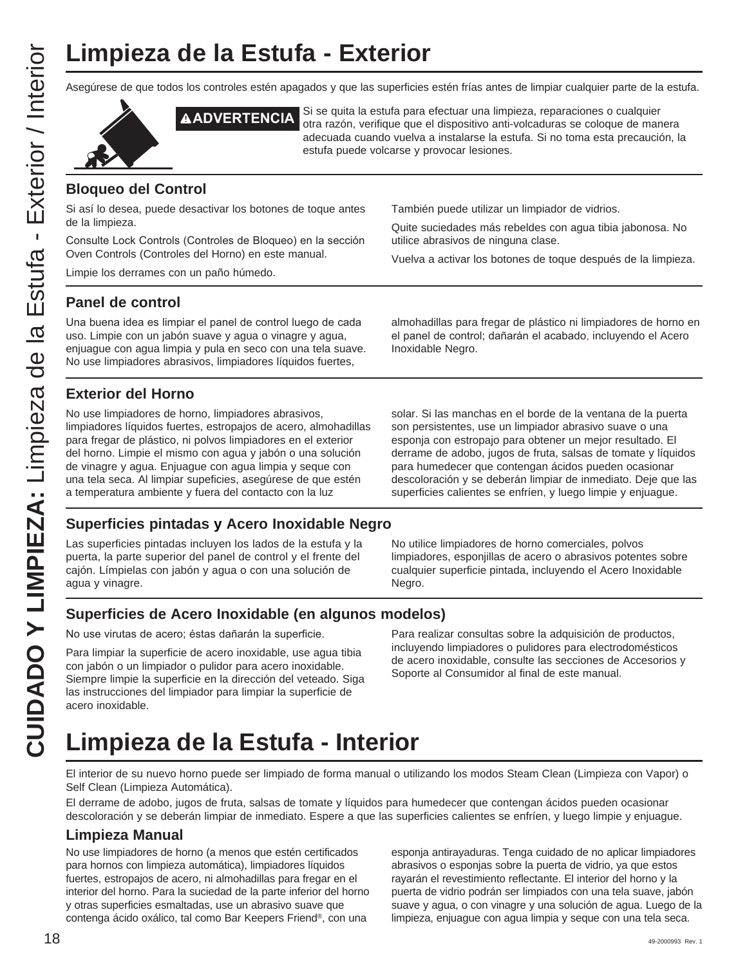# **Limpieza de la Estufa - Exterior**

Asegúrese de que todos los controles estén apagados y que las superficies estén frías antes de limpiar cualquier parte de la estufa.





**ADVERTENCIA** Si se quita la estufa para efectuar una limpieza, reparaciones o cualquier otra razón, verifique que el dispositivo anti-volcaduras se coloque de manera adecuada cuando vuelva a instalarse la estufa. Si no toma esta precaución, la estufa puede volcarse y provocar lesiones.

### **Bloqueo del Control**

Si así lo desea, puede desactivar los botones de toque antes de la limpieza.

Consulte Lock Controls (Controles de Bloqueo) en la sección Oven Controls (Controles del Horno) en este manual.

Limpie los derrames con un paño húmedo.

También puede utilizar un limpiador de vidrios.

Quite suciedades más rebeldes con agua tibia jabonosa. No utilice abrasivos de ninguna clase.

Vuelva a activar los botones de toque después de la limpieza.

### **Panel de control**

Una buena idea es limpiar el panel de control luego de cada uso. Limpie con un jabón suave y agua o vinagre y agua, enjuague con agua limpia y pula en seco con una tela suave. No use limpiadores abrasivos, limpiadores líquidos fuertes,

almohadillas para fregar de plástico ni limpiadores de horno en el panel de control; dañarán el acabado, incluyendo el Acero Inoxidable Negro.

### **Exterior del Horno**

No use limpiadores de horno, limpiadores abrasivos, limpiadores líquidos fuertes, estropajos de acero, almohadillas para fregar de plástico, ni polvos limpiadores en el exterior del horno. Limpie el mismo con agua y jabón o una solución de vinagre y agua. Enjuague con agua limpia y seque con una tela seca. Al limpiar supeficies, asegúrese de que estén a temperatura ambiente y fuera del contacto con la luz

solar. Si las manchas en el borde de la ventana de la puerta son persistentes, use un limpiador abrasivo suave o una esponja con estropajo para obtener un mejor resultado. El derrame de adobo, jugos de fruta, salsas de tomate y líquidos para humedecer que contengan ácidos pueden ocasionar descoloración y se deberán limpiar de inmediato. Deje que las superficies calientes se enfríen, y luego limpie y enjuague.

### **Superficies pintadas y Acero Inoxidable Negro**

Las superficies pintadas incluyen los lados de la estufa y la puerta, la parte superior del panel de control y el frente del cajón. Límpielas con jabón y agua o con una solución de agua y vinagre.

No utilice limpiadores de horno comerciales, polvos limpiadores, esponjillas de acero o abrasivos potentes sobre cualquier superficie pintada, incluyendo el Acero Inoxidable Negro.

### **Superficies de Acero Inoxidable (en algunos modelos)**

No use virutas de acero; éstas dañarán la superficie.

Para limpiar la superficie de acero inoxidable, use agua tibia con jabón o un limpiador o pulidor para acero inoxidable. Siempre limpie la superficie en la dirección del veteado. Siga las instrucciones del limpiador para limpiar la superficie de acero inoxidable.

Para realizar consultas sobre la adquisición de productos, incluyendo limpiadores o pulidores para electrodomésticos de acero inoxidable, consulte las secciones de Accesorios y Soporte al Consumidor al final de este manual.

# **Limpieza de la Estufa - Interior**

El interior de su nuevo horno puede ser limpiado de forma manual o utilizando los modos Steam Clean (Limpieza con Vapor) o Self Clean (Limpieza Automática).

El derrame de adobo, jugos de fruta, salsas de tomate y líquidos para humedecer que contengan ácidos pueden ocasionar descoloración y se deberán limpiar de inmediato. Espere a que las superficies calientes se enfríen, y luego limpie y enjuague.

### **Limpieza Manual**

No use limpiadores de horno (a menos que estén certificados para hornos con limpieza automática), limpiadores líquidos fuertes, estropajos de acero, ni almohadillas para fregar en el interior del horno. Para la suciedad de la parte inferior del horno y otras superficies esmaltadas, use un abrasivo suave que contenga ácido oxálico, tal como Bar Keepers Friend®, con una

esponja antirayaduras. Tenga cuidado de no aplicar limpiadores abrasivos o esponjas sobre la puerta de vidrio, ya que estos rayarán el revestimiento reflectante. El interior del horno y la puerta de vidrio podrán ser limpiados con una tela suave, jabón suave y agua, o con vinagre y una solución de agua. Luego de la limpieza, enjuague con agua limpia y seque con una tela seca.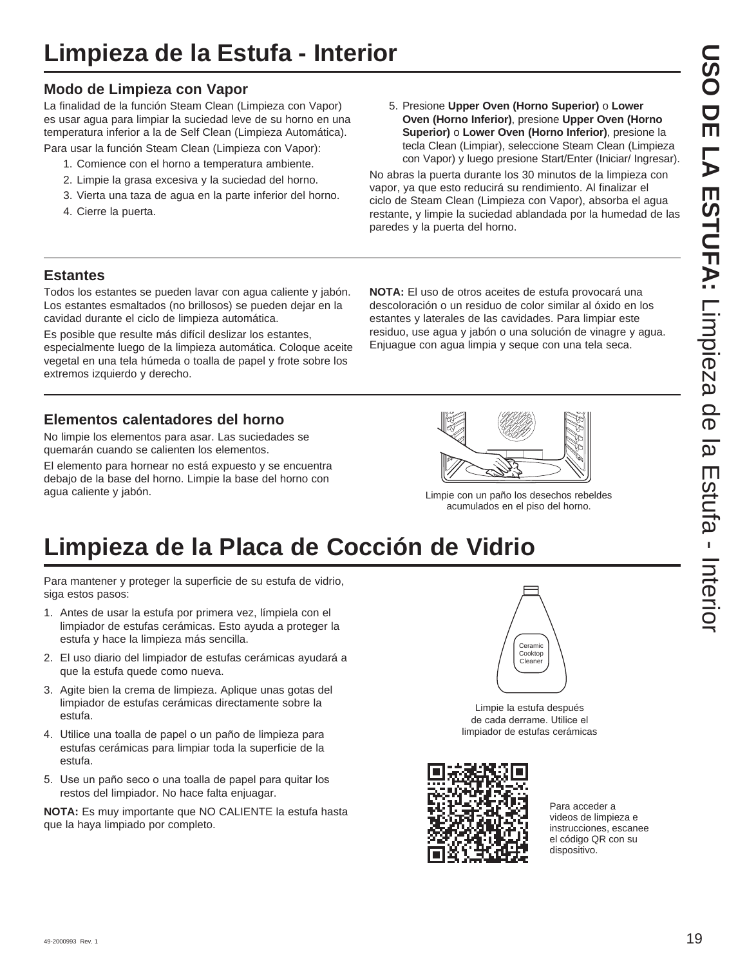### **Modo de Limpieza con Vapor**

La finalidad de la función Steam Clean (Limpieza con Vapor) es usar agua para limpiar la suciedad leve de su horno en una temperatura inferior a la de Self Clean (Limpieza Automática).

Para usar la función Steam Clean (Limpieza con Vapor):

- 1. Comience con el horno a temperatura ambiente.
- 2. Limpie la grasa excesiva y la suciedad del horno.
- 3. Vierta una taza de agua en la parte inferior del horno.
- 4. Cierre la puerta.

5. Presione **Upper Oven (Horno Superior)** o **Lower Oven (Horno Inferior)**, presione **Upper Oven (Horno Superior)** o **Lower Oven (Horno Inferior)**, presione la tecla Clean (Limpiar), seleccione Steam Clean (Limpieza con Vapor) y luego presione Start/Enter (Iniciar/ Ingresar).

No abras la puerta durante los 30 minutos de la limpieza con vapor, ya que esto reducirá su rendimiento. Al finalizar el ciclo de Steam Clean (Limpieza con Vapor), absorba el agua restante, y limpie la suciedad ablandada por la humedad de las paredes y la puerta del horno.

**NOTA:** El uso de otros aceites de estufa provocará una descoloración o un residuo de color similar al óxido en los estantes y laterales de las cavidades. Para limpiar este residuo, use agua y jabón o una solución de vinagre y agua. Enjuague con agua limpia y seque con una tela seca.

### **Estantes**

Todos los estantes se pueden lavar con agua caliente y jabón. Los estantes esmaltados (no brillosos) se pueden dejar en la cavidad durante el ciclo de limpieza automática.

Es posible que resulte más difícil deslizar los estantes, especialmente luego de la limpieza automática. Coloque aceite vegetal en una tela húmeda o toalla de papel y frote sobre los extremos izquierdo y derecho.

**Elementos calentadores del horno**

No limpie los elementos para asar. Las suciedades se quemarán cuando se calienten los elementos.

El elemento para hornear no está expuesto y se encuentra debajo de la base del horno. Limpie la base del horno con agua caliente y jabón. Limpie con un paño los desechos rebeldes



acumulados en el piso del horno.

# **Limpieza de la Placa de Cocción de Vidrio**

Para mantener y proteger la superficie de su estufa de vidrio, siga estos pasos:

- 1. Antes de usar la estufa por primera vez, límpiela con el limpiador de estufas cerámicas. Esto ayuda a proteger la estufa y hace la limpieza más sencilla.
- 2. El uso diario del limpiador de estufas cerámicas ayudará a que la estufa quede como nueva.
- 3. Agite bien la crema de limpieza. Aplique unas gotas del limpiador de estufas cerámicas directamente sobre la estufa.
- 4. Utilice una toalla de papel o un paño de limpieza para estufas cerámicas para limpiar toda la superficie de la estufa.
- 5. Use un paño seco o una toalla de papel para quitar los restos del limpiador. No hace falta enjuagar.

**NOTA:** Es muy importante que NO CALIENTE la estufa hasta que la haya limpiado por completo.



Limpie la estufa después de cada derrame. Utilice el limpiador de estufas cerámicas



Para acceder a videos de limpieza e instrucciones, escanee el código QR con su dispositivo.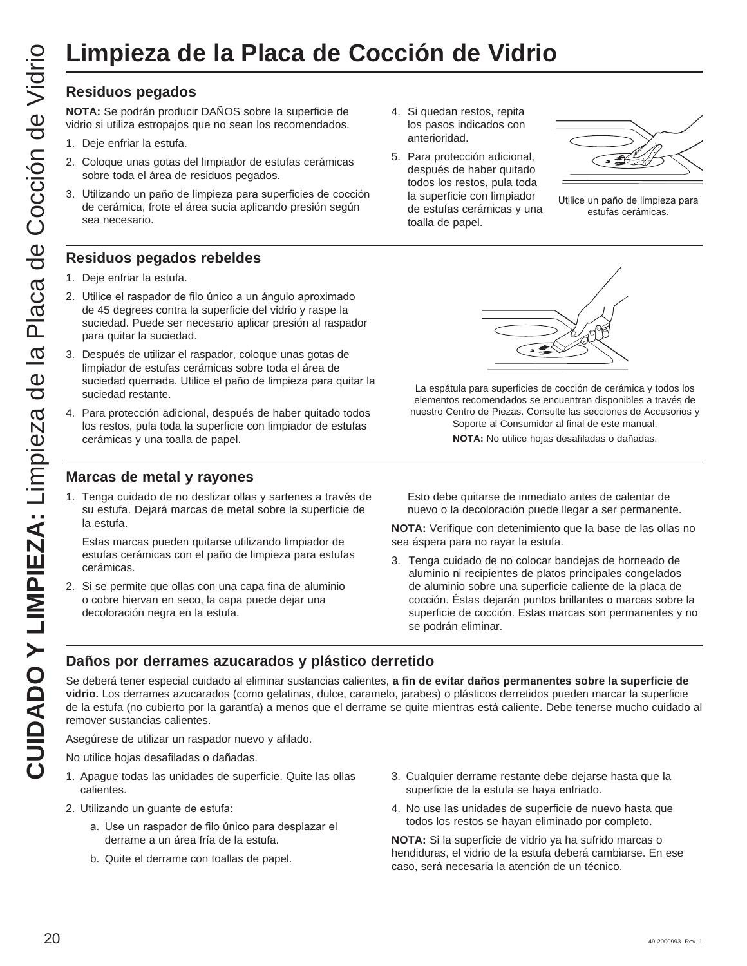### **Residuos pegados**

**NOTA:** Se podrán producir DAÑOS sobre la superficie de vidrio si utiliza estropajos que no sean los recomendados.

- 1. Deje enfriar la estufa.
- 2. Coloque unas gotas del limpiador de estufas cerámicas sobre toda el área de residuos pegados.
- 3. Utilizando un paño de limpieza para superficies de cocción de cerámica, frote el área sucia aplicando presión según sea necesario.

### **Residuos pegados rebeldes**

- 1. Deje enfriar la estufa.
- 2. Utilice el raspador de filo único a un ángulo aproximado de 45 degrees contra la superficie del vidrio y raspe la suciedad. Puede ser necesario aplicar presión al raspador para quitar la suciedad.
- 3. Después de utilizar el raspador, coloque unas gotas de limpiador de estufas cerámicas sobre toda el área de suciedad quemada. Utilice el paño de limpieza para quitar la suciedad restante.
- 4. Para protección adicional, después de haber quitado todos los restos, pula toda la superficie con limpiador de estufas cerámicas y una toalla de papel.

### **Marcas de metal y rayones**

1. Tenga cuidado de no deslizar ollas y sartenes a través de su estufa. Dejará marcas de metal sobre la superficie de la estufa.

 Estas marcas pueden quitarse utilizando limpiador de estufas cerámicas con el paño de limpieza para estufas cerámicas.

2. Si se permite que ollas con una capa fina de aluminio o cobre hiervan en seco, la capa puede dejar una decoloración negra en la estufa.

- 4. Si quedan restos, repita los pasos indicados con anterioridad.
- 5. Para protección adicional, después de haber quitado todos los restos, pula toda la superficie con limpiador de estufas cerámicas y una toalla de papel.



Utilice un paño de limpieza para estufas cerámicas.



La espátula para superficies de cocción de cerámica y todos los elementos recomendados se encuentran disponibles a través de nuestro Centro de Piezas. Consulte las secciones de Accesorios y Soporte al Consumidor al final de este manual.

**NOTA:** No utilice hojas desafiladas o dañadas.

 Esto debe quitarse de inmediato antes de calentar de nuevo o la decoloración puede llegar a ser permanente.

**NOTA:** Verifique con detenimiento que la base de las ollas no sea áspera para no rayar la estufa.

3. Tenga cuidado de no colocar bandejas de horneado de aluminio ni recipientes de platos principales congelados de aluminio sobre una superficie caliente de la placa de cocción. Éstas dejarán puntos brillantes o marcas sobre la superficie de cocción. Estas marcas son permanentes y no se podrán eliminar.

### **Daños por derrames azucarados y plástico derretido**

Se deberá tener especial cuidado al eliminar sustancias calientes, **a fin de evitar daños permanentes sobre la superficie de vidrio.** Los derrames azucarados (como gelatinas, dulce, caramelo, jarabes) o plásticos derretidos pueden marcar la superficie de la estufa (no cubierto por la garantía) a menos que el derrame se quite mientras está caliente. Debe tenerse mucho cuidado al remover sustancias calientes. CUIDADO **EXERCISAT DE CUIDADO EN CUIDADO COCCIÓN DE VIDRICA COCCIÓN DE VIDEO EN COLLECTION CONTROLS CONTROLS CONTROLS CONTROLS CONTROLS CONTROLS CONTROLS CONTROLS CONTROLS CONTROLS CONTROLS CONTROLS CONTROLS CONTROLS CONT** 

Asegúrese de utilizar un raspador nuevo y afilado.

No utilice hojas desafiladas o dañadas.

- 1. Apague todas las unidades de superficie. Quite las ollas calientes.
- 2. Utilizando un guante de estufa:
	- a. Use un raspador de filo único para desplazar el derrame a un área fría de la estufa.
	- b. Quite el derrame con toallas de papel.
- 3. Cualquier derrame restante debe dejarse hasta que la superficie de la estufa se haya enfriado.
- 4. No use las unidades de superficie de nuevo hasta que todos los restos se hayan eliminado por completo.

**NOTA:** Si la superficie de vidrio ya ha sufrido marcas o hendiduras, el vidrio de la estufa deberá cambiarse. En ese caso, será necesaria la atención de un técnico.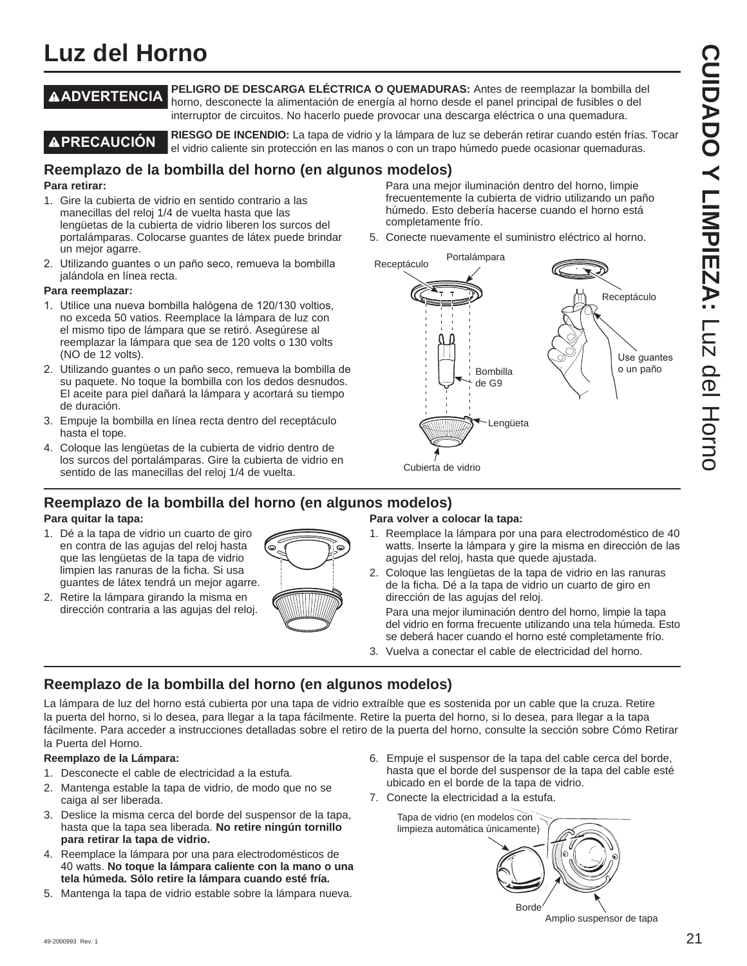# **Luz del Horno**

**ADVERTENCIA PELIGRO DE DESCARGA ELÉCTRICA O QUEMADURAS:** Antes de reemplazar la bombilla del horno, desconecte la alimentación de energía al horno desde el panel principal de fusibles o del interruptor de circuitos. No hacerlo puede provocar una descarga eléctrica o una quemadura.

**PRECAUCIÓN RIESGO DE INCENDIO:** La tapa de vidrio y la lámpara de luz se deberán retirar cuando estén frías. Tocar el vidrio caliente sin protección en las manos o con un trapo húmedo puede ocasionar quemaduras.

completamente frío.

### **Reemplazo de la bombilla del horno (en algunos modelos)** Para una mejor iluminación dentro del horno, limpie

### **Para retirar:**

- 1. Gire la cubierta de vidrio en sentido contrario a las manecillas del reloj 1/4 de vuelta hasta que las lengüetas de la cubierta de vidrio liberen los surcos del portalámparas. Colocarse guantes de látex puede brindar un mejor agarre.
- 2. Utilizando quantes o un paño seco, remueva la bombilla jalándola en línea recta.

### **Para reemplazar:**

- 1. Utilice una nueva bombilla halógena de 120/130 voltios, no exceda 50 vatios. Reemplace la lámpara de luz con el mismo tipo de lámpara que se retiró. Asegúrese al reemplazar la lámpara que sea de 120 volts o 130 volts (NO de 12 volts).
- 2. Utilizando guantes o un paño seco, remueva la bombilla de su paquete. No toque la bombilla con los dedos desnudos. El aceite para piel dañará la lámpara y acortará su tiempo de duración.
- 3. Empuje la bombilla en línea recta dentro del receptáculo hasta el tope.
- 4. Coloque las lengüetas de la cubierta de vidrio dentro de los surcos del portalámparas. Gire la cubierta de vidrio en sentido de las manecillas del reloj 1/4 de vuelta.

### **Reemplazo de la bombilla del horno (en algunos modelos)**

### **Para quitar la tapa:**

- 1. Dé a la tapa de vidrio un cuarto de giro en contra de las agujas del reloj hasta que las lengüetas de la tapa de vidrio limpien las ranuras de la ficha. Si usa guantes de látex tendrá un mejor agarre.
- 2. Retire la lámpara girando la misma en dirección contraria a las agujas del reloj.



### 5. Conecte nuevamente el suministro eléctrico al horno. Portalámpara Receptáculo

frecuentemente la cubierta de vidrio utilizando un paño húmedo. Esto debería hacerse cuando el horno está



### **Para volver a colocar la tapa:**

- 1. Reemplace la lámpara por una para electrodoméstico de 40 watts. Inserte la lámpara y gire la misma en dirección de las agujas del reloj, hasta que quede ajustada.
- 2. Coloque las lengüetas de la tapa de vidrio en las ranuras de la ficha. Dé a la tapa de vidrio un cuarto de giro en dirección de las agujas del reloj.

 Para una mejor iluminación dentro del horno, limpie la tapa del vidrio en forma frecuente utilizando una tela húmeda. Esto se deberá hacer cuando el horno esté completamente frío.

3. Vuelva a conectar el cable de electricidad del horno.

### **Reemplazo de la bombilla del horno (en algunos modelos)**

La lámpara de luz del horno está cubierta por una tapa de vidrio extraíble que es sostenida por un cable que la cruza. Retire la puerta del horno, si lo desea, para llegar a la tapa fácilmente. Retire la puerta del horno, si lo desea, para llegar a la tapa fácilmente. Para acceder a instrucciones detalladas sobre el retiro de la puerta del horno, consulte la sección sobre Cómo Retirar la Puerta del Horno.

### **Reemplazo de la Lámpara:**

- 1. Desconecte el cable de electricidad a la estufa.
- 2. Mantenga estable la tapa de vidrio, de modo que no se caiga al ser liberada.
- 3. Deslice la misma cerca del borde del suspensor de la tapa, hasta que la tapa sea liberada. **No retire ningún tornillo para retirar la tapa de vidrio.**
- 4. Reemplace la lámpara por una para electrodomésticos de 40 watts. No toque la lámpara caliente con la mano o una **tela húmeda. Sólo retire la lámpara cuando esté fría.**
- 5. Mantenga la tapa de vidrio estable sobre la lámpara nueva.
- 6. Empuje el suspensor de la tapa del cable cerca del borde, hasta que el borde del suspensor de la tapa del cable esté ubicado en el borde de la tapa de vidrio.
- 7. Conecte la electricidad a la estufa.

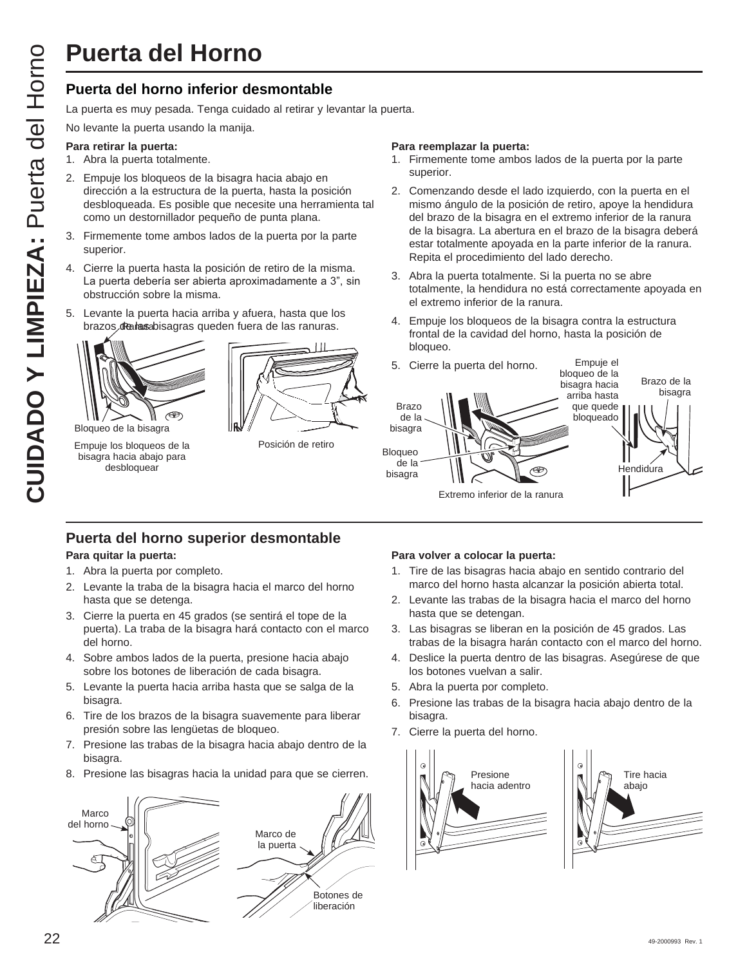### **Puerta del horno inferior desmontable**

La puerta es muy pesada. Tenga cuidado al retirar y levantar la puerta.

No levante la puerta usando la manija.

### **Para retirar la puerta:**

- 1. Abra la puerta totalmente.
- 2. Empuje los bloqueos de la bisagra hacia abajo en dirección a la estructura de la puerta, hasta la posición desbloqueada. Es posible que necesite una herramienta tal como un destornillador pequeño de punta plana.
- 3. Firmemente tome ambos lados de la puerta por la parte superior.
- 4. Cierre la puerta hasta la posición de retiro de la misma. La puerta debería ser abierta aproximadamente a 3", sin obstrucción sobre la misma.
- 5. Levante la puerta hacia arriba y afuera, hasta que los brazos *de las abisagras* queden fuera de las ranuras.



Bloqueo de la bisagra

Empuje los bloqueos de la bisagra hacia abajo para desbloquear



Posición de retiro

### **Para reemplazar la puerta:**

- 1. Firmemente tome ambos lados de la puerta por la parte superior.
- 2. Comenzando desde el lado izquierdo, con la puerta en el mismo ángulo de la posición de retiro, apoye la hendidura del brazo de la bisagra en el extremo inferior de la ranura de la bisagra. La abertura en el brazo de la bisagra deberá estar totalmente apoyada en la parte inferior de la ranura. Repita el procedimiento del lado derecho.
- 3. Abra la puerta totalmente. Si la puerta no se abre totalmente, la hendidura no está correctamente apoyada en el extremo inferior de la ranura.
- 4. Empuje los bloqueos de la bisagra contra la estructura frontal de la cavidad del horno, hasta la posición de bloqueo.



### **Puerta del horno superior desmontable**

### **Para quitar la puerta:**

- 1. Abra la puerta por completo.
- 2. Levante la traba de la bisagra hacia el marco del horno hasta que se detenga.
- 3. Cierre la puerta en 45 grados (se sentirá el tope de la puerta). La traba de la bisagra hará contacto con el marco del horno.
- 4. Sobre ambos lados de la puerta, presione hacia abajo sobre los botones de liberación de cada bisagra.
- 5. Levante la puerta hacia arriba hasta que se salga de la bisagra.
- 6. Tire de los brazos de la bisagra suavemente para liberar presión sobre las lengüetas de bloqueo.
- 7. Presione las trabas de la bisagra hacia abajo dentro de la bisagra.
- 8. Presione las bisagras hacia la unidad para que se cierren.



### **Para volver a colocar la puerta:**

- 1. Tire de las bisagras hacia abajo en sentido contrario del marco del horno hasta alcanzar la posición abierta total.
- 2. Levante las trabas de la bisagra hacia el marco del horno hasta que se detengan.
- 3. Las bisagras se liberan en la posición de 45 grados. Las trabas de la bisagra harán contacto con el marco del horno.
- 4. Deslice la puerta dentro de las bisagras. Asegúrese de que los botones vuelvan a salir.
- 5. Abra la puerta por completo.
- 6. Presione las trabas de la bisagra hacia abajo dentro de la bisagra.
- 7. Cierre la puerta del horno.



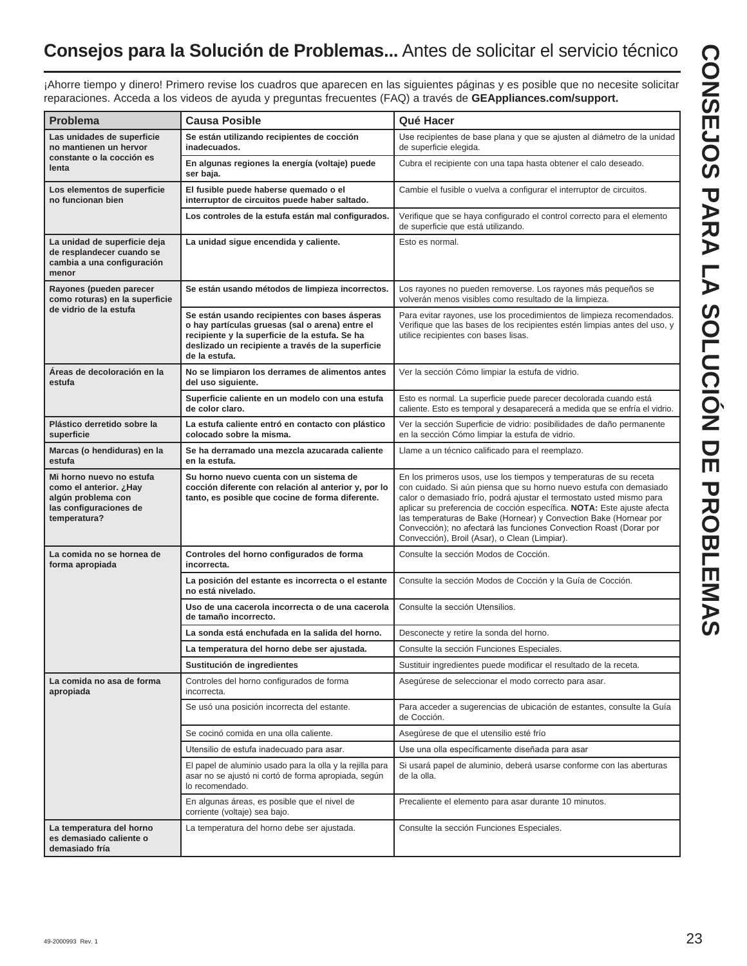### **Consejos para la Solución de Problemas...** Antes de solicitar el servicio técnico

¡Ahorre tiempo y dinero! Primero revise los cuadros que aparecen en las siguientes páginas y es posible que no necesite solicitar reparaciones. Acceda a los videos de ayuda y preguntas frecuentes (FAQ) a través de **GEAppliances.com/support.**

| Problema                                                                                                           | <b>Causa Posible</b>                                                                                                                                                                                                     | Qué Hacer                                                                                                                                                                                                                                                                                                                                                                                                                                                                             |
|--------------------------------------------------------------------------------------------------------------------|--------------------------------------------------------------------------------------------------------------------------------------------------------------------------------------------------------------------------|---------------------------------------------------------------------------------------------------------------------------------------------------------------------------------------------------------------------------------------------------------------------------------------------------------------------------------------------------------------------------------------------------------------------------------------------------------------------------------------|
| Las unidades de superficie<br>no mantienen un hervor                                                               | Se están utilizando recipientes de cocción<br>inadecuados.                                                                                                                                                               | Use recipientes de base plana y que se ajusten al diámetro de la unidad<br>de superficie elegida.                                                                                                                                                                                                                                                                                                                                                                                     |
| constante o la cocción es<br>lenta                                                                                 | En algunas regiones la energía (voltaje) puede<br>ser baja.                                                                                                                                                              | Cubra el recipiente con una tapa hasta obtener el calo deseado.                                                                                                                                                                                                                                                                                                                                                                                                                       |
| Los elementos de superficie<br>no funcionan bien                                                                   | El fusible puede haberse quemado o el<br>interruptor de circuitos puede haber saltado.                                                                                                                                   | Cambie el fusible o vuelva a configurar el interruptor de circuitos.                                                                                                                                                                                                                                                                                                                                                                                                                  |
|                                                                                                                    | Los controles de la estufa están mal configurados.                                                                                                                                                                       | Verifique que se haya configurado el control correcto para el elemento<br>de superficie que está utilizando.                                                                                                                                                                                                                                                                                                                                                                          |
| La unidad de superficie deja<br>de resplandecer cuando se<br>cambia a una configuración<br>menor                   | La unidad sigue encendida y caliente.                                                                                                                                                                                    | Esto es normal.                                                                                                                                                                                                                                                                                                                                                                                                                                                                       |
| Rayones (pueden parecer<br>como roturas) en la superficie                                                          | Se están usando métodos de limpieza incorrectos.                                                                                                                                                                         | Los rayones no pueden removerse. Los rayones más pequeños se<br>volverán menos visibles como resultado de la limpieza.                                                                                                                                                                                                                                                                                                                                                                |
| de vidrio de la estufa                                                                                             | Se están usando recipientes con bases ásperas<br>o hay partículas gruesas (sal o arena) entre el<br>recipiente y la superficie de la estufa. Se ha<br>deslizado un recipiente a través de la superficie<br>de la estufa. | Para evitar rayones, use los procedimientos de limpieza recomendados.<br>Verifique que las bases de los recipientes estén limpias antes del uso, y<br>utilice recipientes con bases lisas.                                                                                                                                                                                                                                                                                            |
| Áreas de decoloración en la<br>estufa                                                                              | No se limpiaron los derrames de alimentos antes<br>del uso siguiente.                                                                                                                                                    | Ver la sección Cómo limpiar la estufa de vidrio.                                                                                                                                                                                                                                                                                                                                                                                                                                      |
|                                                                                                                    | Superficie caliente en un modelo con una estufa<br>de color claro.                                                                                                                                                       | Esto es normal. La superficie puede parecer decolorada cuando está<br>caliente. Esto es temporal y desaparecerá a medida que se enfría el vidrio.                                                                                                                                                                                                                                                                                                                                     |
| Plástico derretido sobre la<br>superficie                                                                          | La estufa caliente entró en contacto con plástico<br>colocado sobre la misma.                                                                                                                                            | Ver la sección Superficie de vidrio: posibilidades de daño permanente<br>en la sección Cómo limpiar la estufa de vidrio.                                                                                                                                                                                                                                                                                                                                                              |
| Marcas (o hendiduras) en la<br>estufa                                                                              | Se ha derramado una mezcla azucarada caliente<br>en la estufa.                                                                                                                                                           | Llame a un técnico calificado para el reemplazo.                                                                                                                                                                                                                                                                                                                                                                                                                                      |
| Mi horno nuevo no estufa<br>Hayز como el anterior.<br>algún problema con<br>las configuraciones de<br>temperatura? | Su horno nuevo cuenta con un sistema de<br>cocción diferente con relación al anterior y, por lo<br>tanto, es posible que cocine de forma diferente.                                                                      | En los primeros usos, use los tiempos y temperaturas de su receta<br>con cuidado. Si aún piensa que su horno nuevo estufa con demasiado<br>calor o demasiado frío, podrá ajustar el termostato usted mismo para<br>aplicar su preferencia de cocción específica. NOTA: Este ajuste afecta<br>las temperaturas de Bake (Hornear) y Convection Bake (Hornear por<br>Convección); no afectará las funciones Convection Roast (Dorar por<br>Convección), Broil (Asar), o Clean (Limpiar). |
| La comida no se hornea de<br>forma apropiada                                                                       | Controles del horno configurados de forma<br>incorrecta.                                                                                                                                                                 | Consulte la sección Modos de Cocción.                                                                                                                                                                                                                                                                                                                                                                                                                                                 |
|                                                                                                                    | La posición del estante es incorrecta o el estante<br>no está nivelado.                                                                                                                                                  | Consulte la sección Modos de Cocción y la Guía de Cocción.                                                                                                                                                                                                                                                                                                                                                                                                                            |
|                                                                                                                    | Uso de una cacerola incorrecta o de una cacerola<br>de tamaño incorrecto.                                                                                                                                                | Consulte la sección Utensilios.                                                                                                                                                                                                                                                                                                                                                                                                                                                       |
|                                                                                                                    | La sonda está enchufada en la salida del horno.                                                                                                                                                                          | Desconecte y retire la sonda del horno.                                                                                                                                                                                                                                                                                                                                                                                                                                               |
|                                                                                                                    | La temperatura del horno debe ser ajustada.                                                                                                                                                                              | Consulte la sección Funciones Especiales.                                                                                                                                                                                                                                                                                                                                                                                                                                             |
|                                                                                                                    | Sustitución de ingredientes                                                                                                                                                                                              | Sustituir ingredientes puede modificar el resultado de la receta.                                                                                                                                                                                                                                                                                                                                                                                                                     |
| La comida no asa de forma<br>apropiada                                                                             | Controles del horno configurados de forma<br>incorrecta.                                                                                                                                                                 | Asegúrese de seleccionar el modo correcto para asar.                                                                                                                                                                                                                                                                                                                                                                                                                                  |
|                                                                                                                    | Se usó una posición incorrecta del estante.                                                                                                                                                                              | Para acceder a sugerencias de ubicación de estantes, consulte la Guía<br>de Cocción.                                                                                                                                                                                                                                                                                                                                                                                                  |
|                                                                                                                    | Se cocinó comida en una olla caliente.                                                                                                                                                                                   | Asegúrese de que el utensilio esté frío                                                                                                                                                                                                                                                                                                                                                                                                                                               |
|                                                                                                                    | Utensilio de estufa inadecuado para asar.                                                                                                                                                                                | Use una olla específicamente diseñada para asar                                                                                                                                                                                                                                                                                                                                                                                                                                       |
|                                                                                                                    | El papel de aluminio usado para la olla y la rejilla para<br>asar no se ajustó ni cortó de forma apropiada, según<br>lo recomendado.                                                                                     | Si usará papel de aluminio, deberá usarse conforme con las aberturas<br>de la olla.                                                                                                                                                                                                                                                                                                                                                                                                   |
|                                                                                                                    | En algunas áreas, es posible que el nivel de<br>corriente (voltaje) sea bajo.                                                                                                                                            | Precaliente el elemento para asar durante 10 minutos.                                                                                                                                                                                                                                                                                                                                                                                                                                 |
| La temperatura del horno<br>es demasiado caliente o<br>demasiado fría                                              | La temperatura del horno debe ser ajustada.                                                                                                                                                                              | Consulte la sección Funciones Especiales.                                                                                                                                                                                                                                                                                                                                                                                                                                             |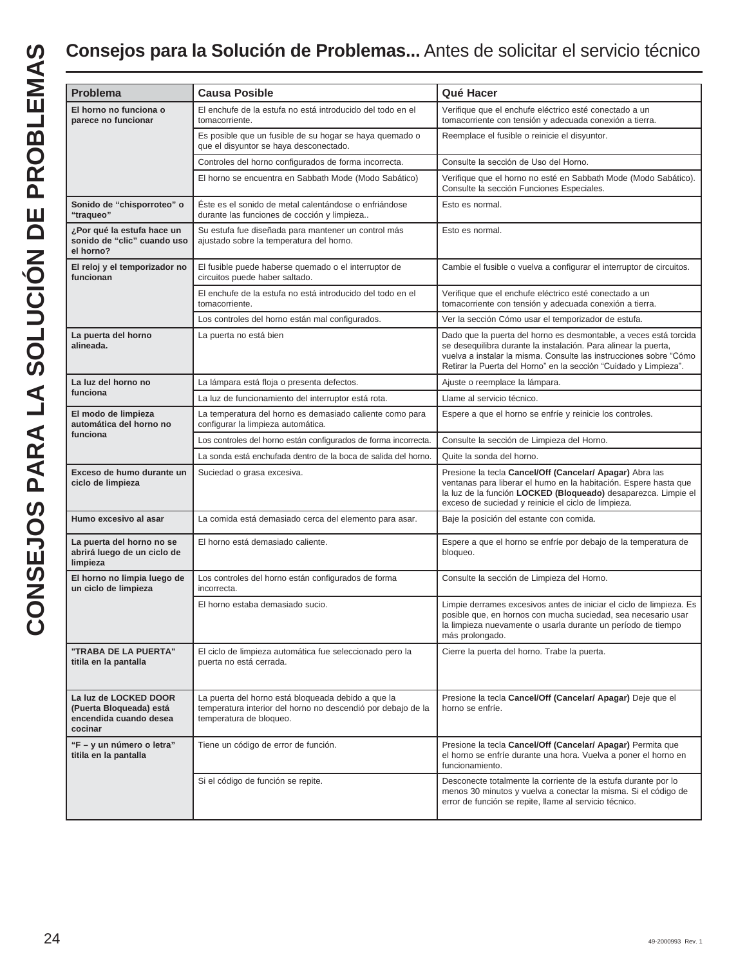### **Consejos para la Solución de Problemas...** Antes de solicitar el servicio técnico

| Problema                                                                              | <b>Causa Posible</b>                                                                                                                          | Qué Hacer                                                                                                                                                                                                                                                                      |
|---------------------------------------------------------------------------------------|-----------------------------------------------------------------------------------------------------------------------------------------------|--------------------------------------------------------------------------------------------------------------------------------------------------------------------------------------------------------------------------------------------------------------------------------|
|                                                                                       |                                                                                                                                               |                                                                                                                                                                                                                                                                                |
| El horno no funciona o<br>parece no funcionar                                         | El enchufe de la estufa no está introducido del todo en el<br>tomacorriente.                                                                  | Verifique que el enchufe eléctrico esté conectado a un<br>tomacorriente con tensión y adecuada conexión a tierra.                                                                                                                                                              |
|                                                                                       | Es posible que un fusible de su hogar se haya quemado o<br>que el disyuntor se haya desconectado.                                             | Reemplace el fusible o reinicie el disyuntor.                                                                                                                                                                                                                                  |
|                                                                                       | Controles del horno configurados de forma incorrecta.                                                                                         | Consulte la sección de Uso del Horno.                                                                                                                                                                                                                                          |
|                                                                                       | El horno se encuentra en Sabbath Mode (Modo Sabático)                                                                                         | Verifique que el horno no esté en Sabbath Mode (Modo Sabático).<br>Consulte la sección Funciones Especiales.                                                                                                                                                                   |
| Sonido de "chisporroteo" o<br>"traqueo"                                               | Este es el sonido de metal calentándose o enfriándose<br>durante las funciones de cocción y limpieza                                          | Esto es normal.                                                                                                                                                                                                                                                                |
| ¿Por qué la estufa hace un<br>sonido de "clic" cuando uso<br>el horno?                | Su estufa fue diseñada para mantener un control más<br>ajustado sobre la temperatura del horno.                                               | Esto es normal.                                                                                                                                                                                                                                                                |
| El reloj y el temporizador no<br>funcionan                                            | El fusible puede haberse quemado o el interruptor de<br>circuitos puede haber saltado.                                                        | Cambie el fusible o vuelva a configurar el interruptor de circuitos.                                                                                                                                                                                                           |
|                                                                                       | El enchufe de la estufa no está introducido del todo en el<br>tomacorriente.                                                                  | Verifique que el enchufe eléctrico esté conectado a un<br>tomacorriente con tensión y adecuada conexión a tierra.                                                                                                                                                              |
|                                                                                       | Los controles del horno están mal configurados.                                                                                               | Ver la sección Cómo usar el temporizador de estufa.                                                                                                                                                                                                                            |
| La puerta del horno<br>alineada.                                                      | La puerta no está bien                                                                                                                        | Dado que la puerta del horno es desmontable, a veces está torcida<br>se desequilibra durante la instalación. Para alinear la puerta,<br>vuelva a instalar la misma. Consulte las instrucciones sobre "Cómo<br>Retirar la Puerta del Horno" en la sección "Cuidado y Limpieza". |
| La luz del horno no                                                                   | La lámpara está floja o presenta defectos.                                                                                                    | Ajuste o reemplace la lámpara.                                                                                                                                                                                                                                                 |
| funciona                                                                              | La luz de funcionamiento del interruptor está rota.                                                                                           | Llame al servicio técnico.                                                                                                                                                                                                                                                     |
| El modo de limpieza<br>automática del horno no                                        | La temperatura del horno es demasiado caliente como para<br>configurar la limpieza automática.                                                | Espere a que el horno se enfríe y reinicie los controles.                                                                                                                                                                                                                      |
| funciona                                                                              | Los controles del horno están configurados de forma incorrecta.                                                                               | Consulte la sección de Limpieza del Horno.                                                                                                                                                                                                                                     |
|                                                                                       | La sonda está enchufada dentro de la boca de salida del horno.                                                                                | Quite la sonda del horno.                                                                                                                                                                                                                                                      |
| Exceso de humo durante un<br>ciclo de limpieza                                        | Suciedad o grasa excesiva.                                                                                                                    | Presione la tecla Cancel/Off (Cancelar/ Apagar) Abra las<br>ventanas para liberar el humo en la habitación. Espere hasta que<br>la luz de la función LOCKED (Bloqueado) desaparezca. Limpie el<br>exceso de suciedad y reinicie el ciclo de limpieza.                          |
| Humo excesivo al asar                                                                 | La comida está demasiado cerca del elemento para asar.                                                                                        | Baje la posición del estante con comida.                                                                                                                                                                                                                                       |
| La puerta del horno no se<br>abrirá luego de un ciclo de<br>limpieza                  | El horno está demasiado caliente.                                                                                                             | Espere a que el horno se enfríe por debajo de la temperatura de<br>bloqueo.                                                                                                                                                                                                    |
| El horno no limpia luego de<br>un ciclo de limpieza                                   | Los controles del horno están configurados de forma<br>incorrecta.                                                                            | Consulte la sección de Limpieza del Horno.                                                                                                                                                                                                                                     |
|                                                                                       | El horno estaba demasiado sucio.                                                                                                              | Limpie derrames excesivos antes de iniciar el ciclo de limpieza. Es<br>posible que, en hornos con mucha suciedad, sea necesario usar<br>la limpieza nuevamente o usarla durante un período de tiempo<br>más prolongado.                                                        |
| "TRABA DE LA PUERTA"<br>titila en la pantalla                                         | El ciclo de limpieza automática fue seleccionado pero la<br>puerta no está cerrada.                                                           | Cierre la puerta del horno. Trabe la puerta.                                                                                                                                                                                                                                   |
| La luz de LOCKED DOOR<br>(Puerta Bloqueada) está<br>encendida cuando desea<br>cocinar | La puerta del horno está bloqueada debido a que la<br>temperatura interior del horno no descendió por debajo de la<br>temperatura de bloqueo. | Presione la tecla Cancel/Off (Cancelar/ Apagar) Deje que el<br>horno se enfríe.                                                                                                                                                                                                |
| "F - y un número o letra"<br>titila en la pantalla                                    | Tiene un código de error de función.                                                                                                          | Presione la tecla Cancel/Off (Cancelar/ Apagar) Permita que<br>el horno se enfríe durante una hora. Vuelva a poner el horno en<br>funcionamiento.                                                                                                                              |
|                                                                                       | Si el código de función se repite.                                                                                                            | Desconecte totalmente la corriente de la estufa durante por lo<br>menos 30 minutos y vuelva a conectar la misma. Si el código de<br>error de función se repite, llame al servicio técnico.                                                                                     |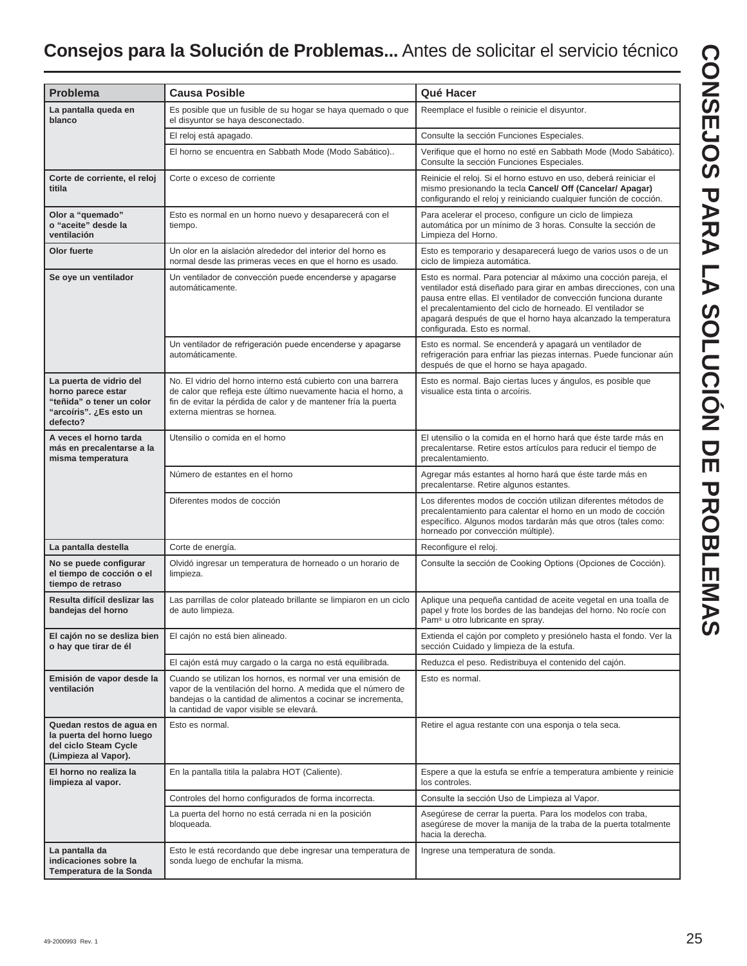### **Consejos para la Solución de Problemas...** Antes de solicitar el servicio técnico

| <b>Problema</b>                                                                                                   | <b>Causa Posible</b>                                                                                                                                                                                                                    | Qué Hacer                                                                                                                                                                                                                                                                                                                                                               |
|-------------------------------------------------------------------------------------------------------------------|-----------------------------------------------------------------------------------------------------------------------------------------------------------------------------------------------------------------------------------------|-------------------------------------------------------------------------------------------------------------------------------------------------------------------------------------------------------------------------------------------------------------------------------------------------------------------------------------------------------------------------|
| La pantalla queda en<br>blanco                                                                                    | Es posible que un fusible de su hogar se haya quemado o que<br>el disyuntor se haya desconectado.                                                                                                                                       | Reemplace el fusible o reinicie el disyuntor.                                                                                                                                                                                                                                                                                                                           |
|                                                                                                                   | El reloj está apagado.                                                                                                                                                                                                                  | Consulte la sección Funciones Especiales.                                                                                                                                                                                                                                                                                                                               |
|                                                                                                                   | El horno se encuentra en Sabbath Mode (Modo Sabático)                                                                                                                                                                                   | Verifique que el horno no esté en Sabbath Mode (Modo Sabático).<br>Consulte la sección Funciones Especiales.                                                                                                                                                                                                                                                            |
| Corte de corriente, el reloj<br>titila                                                                            | Corte o exceso de corriente                                                                                                                                                                                                             | Reinicie el reloj. Si el horno estuvo en uso, deberá reiniciar el<br>mismo presionando la tecla Cancel/ Off (Cancelar/ Apagar)<br>configurando el reloj y reiniciando cualquier función de cocción.                                                                                                                                                                     |
| Olor a "quemado"<br>o "aceite" desde la<br>ventilación                                                            | Esto es normal en un horno nuevo y desaparecerá con el<br>tiempo.                                                                                                                                                                       | Para acelerar el proceso, configure un ciclo de limpieza<br>automática por un mínimo de 3 horas. Consulte la sección de<br>Limpieza del Horno.                                                                                                                                                                                                                          |
| Olor fuerte                                                                                                       | Un olor en la aislación alrededor del interior del horno es<br>normal desde las primeras veces en que el horno es usado.                                                                                                                | Esto es temporario y desaparecerá luego de varios usos o de un<br>ciclo de limpieza automática.                                                                                                                                                                                                                                                                         |
| Se oye un ventilador                                                                                              | Un ventilador de convección puede encenderse y apagarse<br>automáticamente.                                                                                                                                                             | Esto es normal. Para potenciar al máximo una cocción pareja, el<br>ventilador está diseñado para girar en ambas direcciones, con una<br>pausa entre ellas. El ventilador de convección funciona durante<br>el precalentamiento del ciclo de horneado. El ventilador se<br>apagará después de que el horno haya alcanzado la temperatura<br>configurada. Esto es normal. |
|                                                                                                                   | Un ventilador de refrigeración puede encenderse y apagarse<br>automáticamente.                                                                                                                                                          | Esto es normal. Se encenderá y apagará un ventilador de<br>refrigeración para enfriar las piezas internas. Puede funcionar aún<br>después de que el horno se haya apagado.                                                                                                                                                                                              |
| La puerta de vidrio del<br>horno parece estar<br>"teñida" o tener un color<br>"arcoíris". ¿Es esto un<br>defecto? | No. El vidrio del horno interno está cubierto con una barrera<br>de calor que refleja este último nuevamente hacia el horno, a<br>fin de evitar la pérdida de calor y de mantener fría la puerta<br>externa mientras se hornea.         | Esto es normal. Bajo ciertas luces y ángulos, es posible que<br>visualice esta tinta o arcoíris.                                                                                                                                                                                                                                                                        |
| A veces el horno tarda<br>más en precalentarse a la<br>misma temperatura                                          | Utensilio o comida en el horno                                                                                                                                                                                                          | El utensilio o la comida en el horno hará que éste tarde más en<br>precalentarse. Retire estos artículos para reducir el tiempo de<br>precalentamiento.                                                                                                                                                                                                                 |
|                                                                                                                   | Número de estantes en el horno                                                                                                                                                                                                          | Agregar más estantes al horno hará que éste tarde más en<br>precalentarse. Retire algunos estantes.                                                                                                                                                                                                                                                                     |
|                                                                                                                   | Diferentes modos de cocción                                                                                                                                                                                                             | Los diferentes modos de cocción utilizan diferentes métodos de<br>precalentamiento para calentar el horno en un modo de cocción<br>específico. Algunos modos tardarán más que otros (tales como:<br>horneado por convección múltiple).                                                                                                                                  |
| La pantalla destella                                                                                              | Corte de energía.                                                                                                                                                                                                                       | Reconfigure el reloj.                                                                                                                                                                                                                                                                                                                                                   |
| No se puede configurar<br>el tiempo de cocción o el<br>tiempo de retraso                                          | Olvidó ingresar un temperatura de horneado o un horario de<br>limpieza.                                                                                                                                                                 | Consulte la sección de Cooking Options (Opciones de Cocción).                                                                                                                                                                                                                                                                                                           |
| Resulta difícil deslizar las<br>bandejas del horno                                                                | Las parrillas de color plateado brillante se limpiaron en un ciclo<br>de auto limpieza.                                                                                                                                                 | Aplique una pequeña cantidad de aceite vegetal en una toalla de<br>papel y frote los bordes de las bandejas del horno. No rocíe con<br>Pam® u otro lubricante en spray.                                                                                                                                                                                                 |
| El cajón no se desliza bien<br>o hay que tirar de él                                                              | El cajón no está bien alineado.                                                                                                                                                                                                         | Extienda el cajón por completo y presiónelo hasta el fondo. Ver la<br>sección Cuidado y limpieza de la estufa.                                                                                                                                                                                                                                                          |
|                                                                                                                   | El cajón está muy cargado o la carga no está equilibrada.                                                                                                                                                                               | Reduzca el peso. Redistribuya el contenido del cajón.                                                                                                                                                                                                                                                                                                                   |
| Emisión de vapor desde la<br>ventilación                                                                          | Cuando se utilizan los hornos, es normal ver una emisión de<br>vapor de la ventilación del horno. A medida que el número de<br>bandejas o la cantidad de alimentos a cocinar se incrementa,<br>la cantidad de vapor visible se elevará. | Esto es normal.                                                                                                                                                                                                                                                                                                                                                         |
| Quedan restos de agua en<br>la puerta del horno luego<br>del ciclo Steam Cycle<br>(Limpieza al Vapor).            | Esto es normal.                                                                                                                                                                                                                         | Retire el agua restante con una esponja o tela seca.                                                                                                                                                                                                                                                                                                                    |
| El horno no realiza la<br>limpieza al vapor.                                                                      | En la pantalla titila la palabra HOT (Caliente).                                                                                                                                                                                        | Espere a que la estufa se enfríe a temperatura ambiente y reinicie<br>los controles.                                                                                                                                                                                                                                                                                    |
|                                                                                                                   | Controles del horno configurados de forma incorrecta.                                                                                                                                                                                   | Consulte la sección Uso de Limpieza al Vapor.                                                                                                                                                                                                                                                                                                                           |
|                                                                                                                   | La puerta del horno no está cerrada ni en la posición<br>bloqueada.                                                                                                                                                                     | Asegúrese de cerrar la puerta. Para los modelos con traba,<br>asegúrese de mover la manija de la traba de la puerta totalmente<br>hacia la derecha.                                                                                                                                                                                                                     |
| La pantalla da<br>indicaciones sobre la<br>Temperatura de la Sonda                                                | Esto le está recordando que debe ingresar una temperatura de<br>sonda luego de enchufar la misma.                                                                                                                                       | Ingrese una temperatura de sonda.                                                                                                                                                                                                                                                                                                                                       |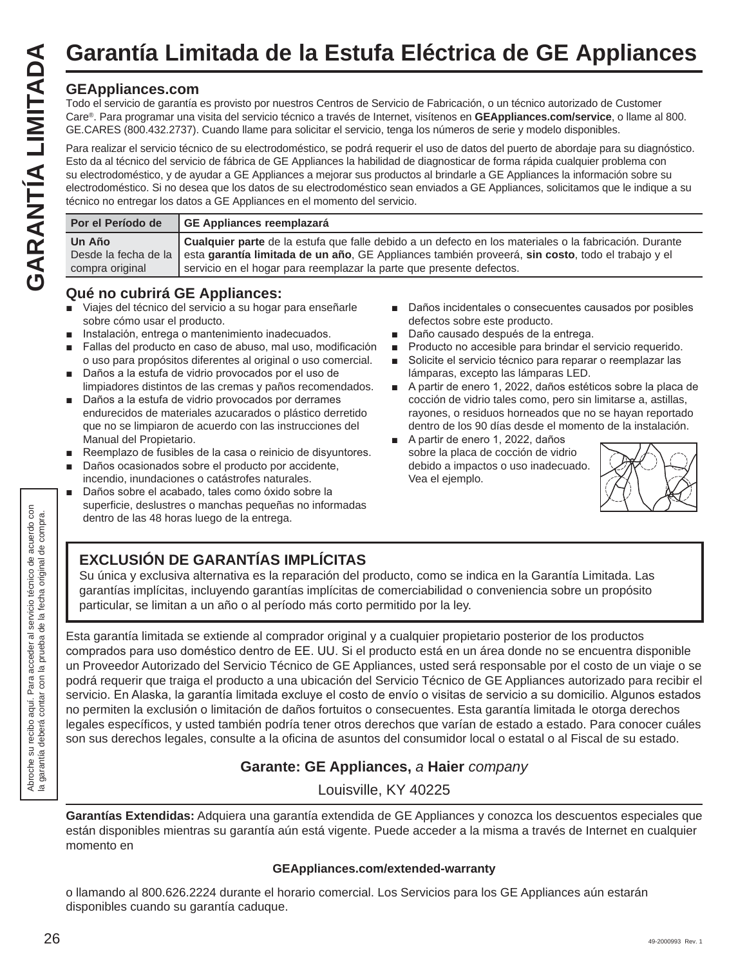# **Garantía Limitada de la Estufa Eléctrica de GE Appliances**

### **GEAppliances.com**

Todo el servicio de garantía es provisto por nuestros Centros de Servicio de Fabricación, o un técnico autorizado de Customer Care®. Para programar una visita del servicio técnico a través de Internet, visítenos en **GEAppliances.com/service**, o llame al 800. GE.CARES (800.432.2737). Cuando llame para solicitar el servicio, tenga los números de serie y modelo disponibles.

Para realizar el servicio técnico de su electrodoméstico, se podrá requerir el uso de datos del puerto de abordaje para su diagnóstico. Esto da al técnico del servicio de fábrica de GE Appliances la habilidad de diagnosticar de forma rápida cualquier problema con su electrodoméstico, y de ayudar a GE Appliances a mejorar sus productos al brindarle a GE Appliances la información sobre su electrodoméstico. Si no desea que los datos de su electrodoméstico sean enviados a GE Appliances, solicitamos que le indique a su técnico no entregar los datos a GE Appliances en el momento del servicio.

| Por el Período de<br>GE Appliances reemplazará                                                                                                      |
|-----------------------------------------------------------------------------------------------------------------------------------------------------|
| Un Año<br>Desde la fecha de la esta garantía limitada de un año, GE Appliances también proveerá, sin costo, todo el trabajo y el<br>compra original |

### **Qué no cubrirá GE Appliances:**

- Viajes del técnico del servicio a su hogar para enseñarle sobre cómo usar el producto.
- Instalación, entrega o mantenimiento inadecuados.
- Fallas del producto en caso de abuso, mal uso, modificación o uso para propósitos diferentes al original o uso comercial.
- Daños a la estufa de vidrio provocados por el uso de limpiadores distintos de las cremas y paños recomendados.
- Daños a la estufa de vidrio provocados por derrames endurecidos de materiales azucarados o plástico derretido que no se limpiaron de acuerdo con las instrucciones del Manual del Propietario.
- Reemplazo de fusibles de la casa o reinicio de disyuntores.
- Daños ocasionados sobre el producto por accidente, incendio, inundaciones o catástrofes naturales.
- Daños sobre el acabado, tales como óxido sobre la superficie, deslustres o manchas pequeñas no informadas dentro de las 48 horas luego de la entrega.
- Daños incidentales o consecuentes causados por posibles defectos sobre este producto.
- Daño causado después de la entrega.
- **Producto no accesible para brindar el servicio requerido.**
- Solicite el servicio técnico para reparar o reemplazar las lámparas, excepto las lámparas LED.
- A partir de enero 1, 2022, daños estéticos sobre la placa de cocción de vidrio tales como, pero sin limitarse a, astillas, rayones, o residuos horneados que no se hayan reportado dentro de los 90 días desde el momento de la instalación.
- A partir de enero 1, 2022, daños sobre la placa de cocción de vidrio debido a impactos o uso inadecuado. Vea el ejemplo.



### **EXCLUSIÓN DE GARANTÍAS IMPLÍCITAS**

Su única y exclusiva alternativa es la reparación del producto, como se indica en la Garantía Limitada. Las garantías implícitas, incluyendo garantías implícitas de comerciabilidad o conveniencia sobre un propósito particular, se limitan a un año o al período más corto permitido por la ley.

Esta garantía limitada se extiende al comprador original y a cualquier propietario posterior de los productos comprados para uso doméstico dentro de EE. UU. Si el producto está en un área donde no se encuentra disponible un Proveedor Autorizado del Servicio Técnico de GE Appliances, usted será responsable por el costo de un viaje o se podrá requerir que traiga el producto a una ubicación del Servicio Técnico de GE Appliances autorizado para recibir el servicio. En Alaska, la garantía limitada excluye el costo de envío o visitas de servicio a su domicilio. Algunos estados no permiten la exclusión o limitación de daños fortuitos o consecuentes. Esta garantía limitada le otorga derechos legales específicos, y usted también podría tener otros derechos que varían de estado a estado. Para conocer cuáles son sus derechos legales, consulte a la oficina de asuntos del consumidor local o estatal o al Fiscal de su estado.

### **Garante: GE Appliances,** *a* **Haier** *company*

Louisville, KY 40225

**Garantías Extendidas:** Adquiera una garantía extendida de GE Appliances y conozca los descuentos especiales que están disponibles mientras su garantía aún está vigente. Puede acceder a la misma a través de Internet en cualquier momento en

### **GEAppliances.com/extended-warranty**

o llamando al 800.626.2224 durante el horario comercial. Los Servicios para los GE Appliances aún estarán disponibles cuando su garantía caduque.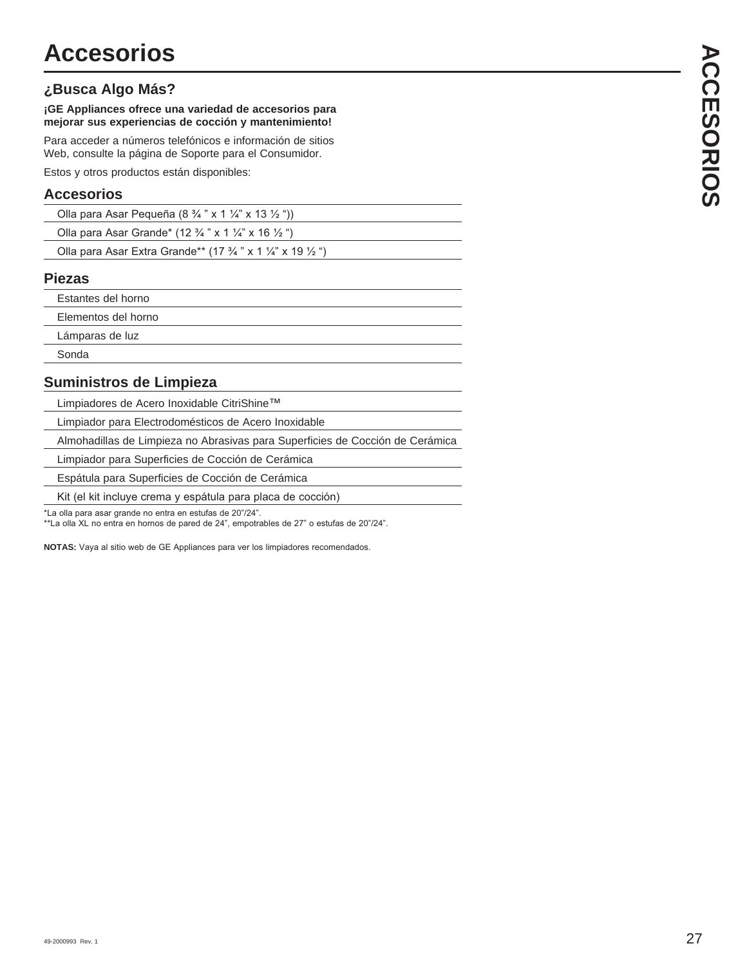### **¿Busca Algo Más?**

### **Accesorios**

| Olla para Asar Pequeña (8 $\frac{3}{4}$ " x 1 $\frac{1}{4}$ " x 13 $\frac{1}{2}$ ")         |  |
|---------------------------------------------------------------------------------------------|--|
| Olla para Asar Grande* (12 $\frac{3}{4}$ " x 1 $\frac{1}{4}$ " x 16 $\frac{1}{2}$ ")        |  |
| Olla para Asar Extra Grande** (17 $\frac{3}{4}$ " x 1 $\frac{1}{4}$ " x 19 $\frac{1}{2}$ ") |  |

### **Piezas**

| <b>Accesorios</b>                                                                                                                                      |
|--------------------------------------------------------------------------------------------------------------------------------------------------------|
| Busca Algo Más?                                                                                                                                        |
| ¡GE Appliances ofrece una variedad de accesorios para<br>mejorar sus experiencias de cocción y mantenimiento!                                          |
| Para acceder a números telefónicos e información de sitios<br>Web, consulte la página de Soporte para el Consumidor.                                   |
| Estos y otros productos están disponibles:                                                                                                             |
| <b>Accesorios</b>                                                                                                                                      |
| Olla para Asar Pequeña (8 $\frac{3}{4}$ " x 1 $\frac{1}{4}$ " x 13 $\frac{1}{2}$ "))                                                                   |
| Olla para Asar Grande* (12 3/4 " x 1 1/4" x 16 1/2 ")                                                                                                  |
| Olla para Asar Extra Grande** (17 3/4 " x 1 1/4" x 19 1/2 ")                                                                                           |
| <b>Piezas</b>                                                                                                                                          |
| Estantes del horno                                                                                                                                     |
| Elementos del horno                                                                                                                                    |
| Lámparas de luz                                                                                                                                        |
| Sonda                                                                                                                                                  |
| Suministros de Limpieza                                                                                                                                |
| Limpiadores de Acero Inoxidable CitriShine™                                                                                                            |
| Limpiador para Electrodomésticos de Acero Inoxidable                                                                                                   |
| Almohadillas de Limpieza no Abrasivas para Superficies de Cocción de Cerámica                                                                          |
| Limpiador para Superficies de Cocción de Cerámica                                                                                                      |
| Espátula para Superficies de Cocción de Cerámica                                                                                                       |
| Kit (el kit incluye crema y espátula para placa de cocción)                                                                                            |
| *La olla para asar grande no entra en estufas de 20"/24".<br>**La olla XL no entra en hornos de pared de 24", empotrables de 27" o estufas de 20"/24". |
| NOTAS: Vaya al sitio web de GE Appliances para ver los limpiadores recomendados.                                                                       |
|                                                                                                                                                        |
|                                                                                                                                                        |
|                                                                                                                                                        |
|                                                                                                                                                        |
|                                                                                                                                                        |
|                                                                                                                                                        |
|                                                                                                                                                        |
|                                                                                                                                                        |
|                                                                                                                                                        |
|                                                                                                                                                        |
|                                                                                                                                                        |
|                                                                                                                                                        |
|                                                                                                                                                        |
|                                                                                                                                                        |
|                                                                                                                                                        |
|                                                                                                                                                        |
|                                                                                                                                                        |
|                                                                                                                                                        |
|                                                                                                                                                        |
| 49-2000993 Rev. 1                                                                                                                                      |

### **Suministros de Limpieza**